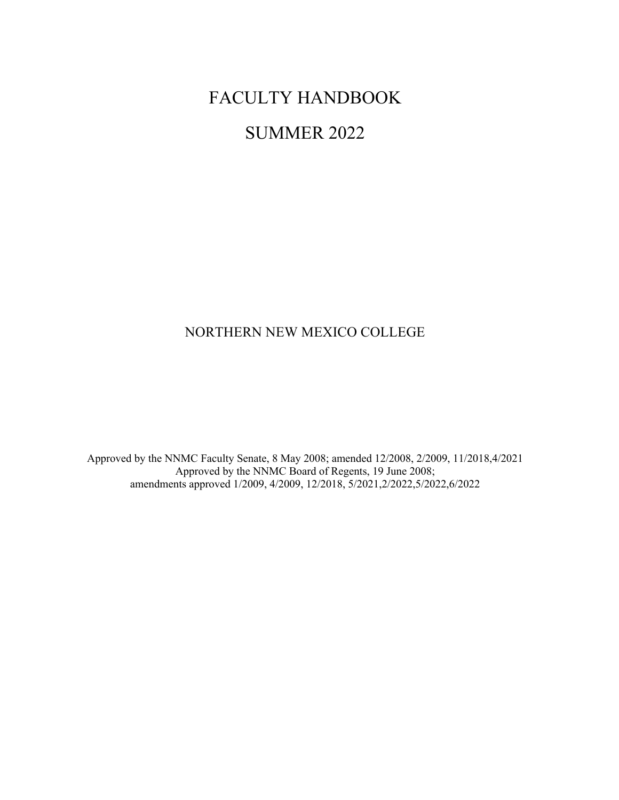# FACULTY HANDBOOK

# SUMMER 2022

# NORTHERN NEW MEXICO COLLEGE

Approved by the NNMC Faculty Senate, 8 May 2008; amended 12/2008, 2/2009, 11/2018,4/2021 Approved by the NNMC Board of Regents, 19 June 2008; amendments approved 1/2009, 4/2009, 12/2018, 5/2021,2/2022,5/2022,6/2022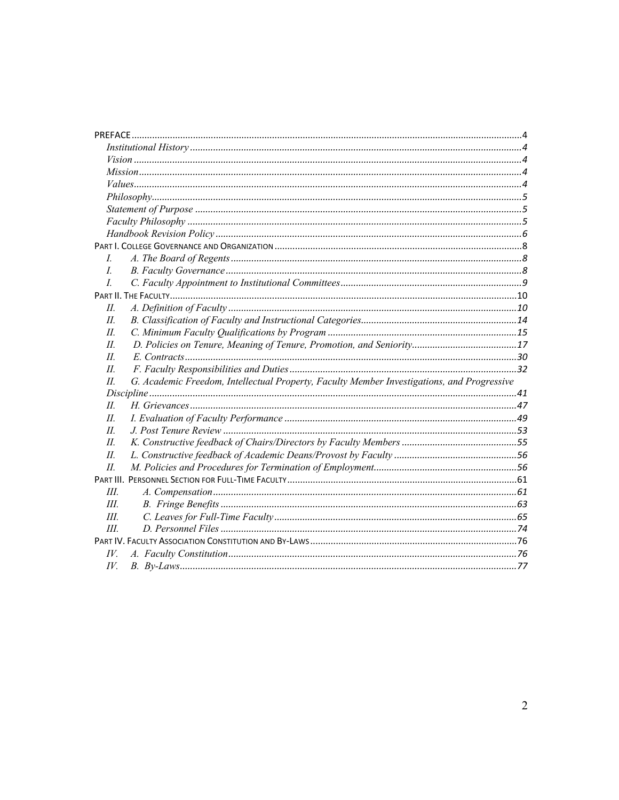| L                                                                                                    |  |
|------------------------------------------------------------------------------------------------------|--|
| L                                                                                                    |  |
| $\overline{L}$                                                                                       |  |
|                                                                                                      |  |
| H.                                                                                                   |  |
| $II$ .                                                                                               |  |
| $II$ .                                                                                               |  |
| H.                                                                                                   |  |
| II                                                                                                   |  |
| Ш.                                                                                                   |  |
| G. Academic Freedom, Intellectual Property, Faculty Member Investigations, and Progressive<br>$II$ . |  |
|                                                                                                      |  |
| П.                                                                                                   |  |
| H.                                                                                                   |  |
| H.                                                                                                   |  |
| H.                                                                                                   |  |
| Ш.                                                                                                   |  |
| II                                                                                                   |  |
|                                                                                                      |  |
| III.                                                                                                 |  |
| III.                                                                                                 |  |
| III.                                                                                                 |  |
| III                                                                                                  |  |
|                                                                                                      |  |
| IV.                                                                                                  |  |
| IV.                                                                                                  |  |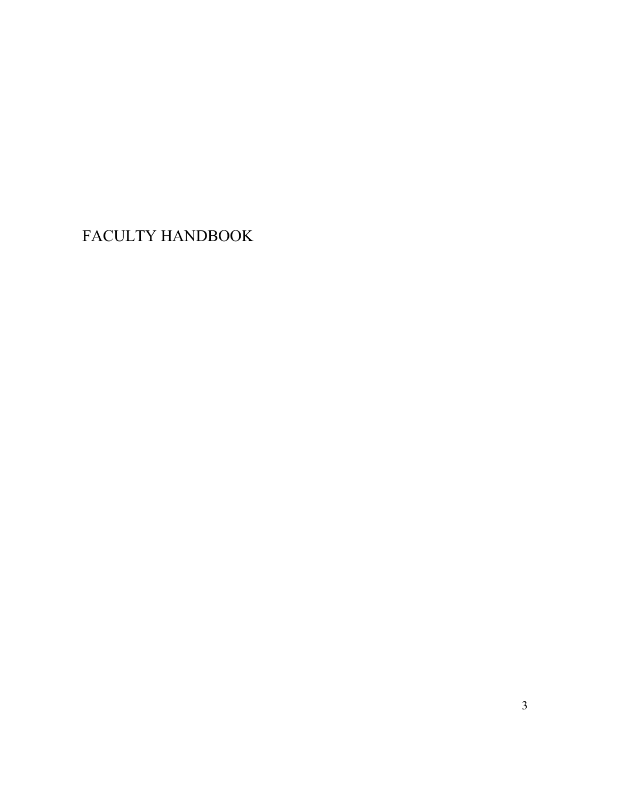FACULTY HANDBOOK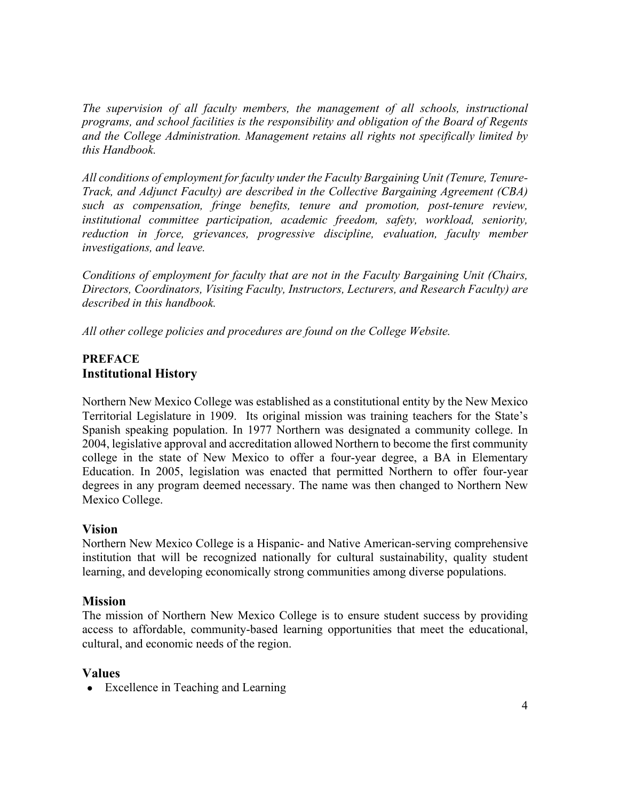*The supervision of all faculty members, the management of all schools, instructional programs, and school facilities is the responsibility and obligation of the Board of Regents and the College Administration. Management retains all rights not specifically limited by this Handbook.*

*All conditions of employment for faculty under the Faculty Bargaining Unit (Tenure, Tenure-Track, and Adjunct Faculty) are described in the Collective Bargaining Agreement (CBA) such as compensation, fringe benefits, tenure and promotion, post-tenure review, institutional committee participation, academic freedom, safety, workload, seniority, reduction in force, grievances, progressive discipline, evaluation, faculty member investigations, and leave.* 

*Conditions of employment for faculty that are not in the Faculty Bargaining Unit (Chairs, Directors, Coordinators, Visiting Faculty, Instructors, Lecturers, and Research Faculty) are described in this handbook.*

*All other college policies and procedures are found on the College Website.*

# **PREFACE Institutional History**

Northern New Mexico College was established as a constitutional entity by the New Mexico Territorial Legislature in 1909. Its original mission was training teachers for the State's Spanish speaking population. In 1977 Northern was designated a community college. In 2004, legislative approval and accreditation allowed Northern to become the first community college in the state of New Mexico to offer a four-year degree, a BA in Elementary Education. In 2005, legislation was enacted that permitted Northern to offer four-year degrees in any program deemed necessary. The name was then changed to Northern New Mexico College.

# **Vision**

Northern New Mexico College is a Hispanic- and Native American-serving comprehensive institution that will be recognized nationally for cultural sustainability, quality student learning, and developing economically strong communities among diverse populations.

# **Mission**

The mission of Northern New Mexico College is to ensure student success by providing access to affordable, community-based learning opportunities that meet the educational, cultural, and economic needs of the region.

# **Values**

• Excellence in Teaching and Learning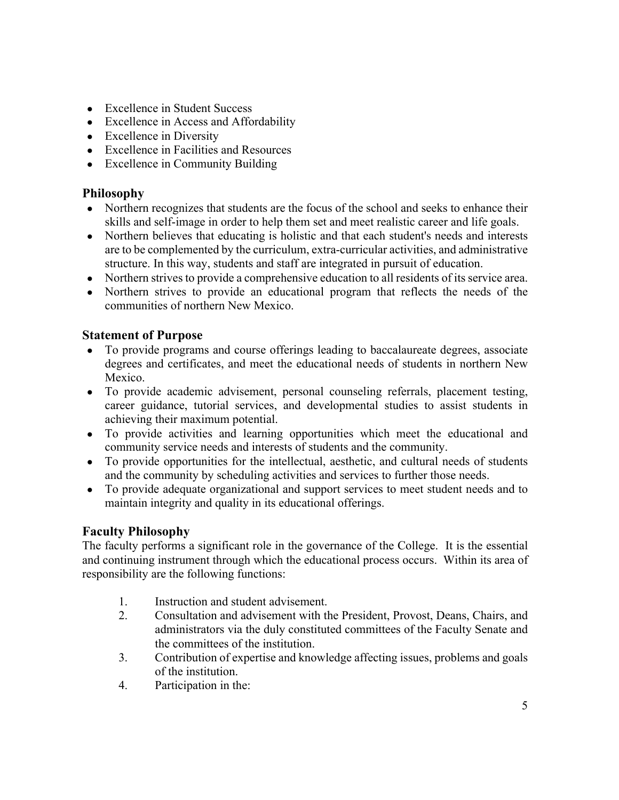- Excellence in Student Success
- Excellence in Access and Affordability
- Excellence in Diversity
- Excellence in Facilities and Resources
- Excellence in Community Building

# **Philosophy**

- Northern recognizes that students are the focus of the school and seeks to enhance their skills and self-image in order to help them set and meet realistic career and life goals.
- Northern believes that educating is holistic and that each student's needs and interests are to be complemented by the curriculum, extra-curricular activities, and administrative structure. In this way, students and staff are integrated in pursuit of education.
- Northern strives to provide a comprehensive education to all residents of its service area.
- Northern strives to provide an educational program that reflects the needs of the communities of northern New Mexico.

# **Statement of Purpose**

- To provide programs and course offerings leading to baccalaureate degrees, associate degrees and certificates, and meet the educational needs of students in northern New Mexico.
- To provide academic advisement, personal counseling referrals, placement testing, career guidance, tutorial services, and developmental studies to assist students in achieving their maximum potential.
- To provide activities and learning opportunities which meet the educational and community service needs and interests of students and the community.
- To provide opportunities for the intellectual, aesthetic, and cultural needs of students and the community by scheduling activities and services to further those needs.
- To provide adequate organizational and support services to meet student needs and to maintain integrity and quality in its educational offerings.

# **Faculty Philosophy**

The faculty performs a significant role in the governance of the College. It is the essential and continuing instrument through which the educational process occurs. Within its area of responsibility are the following functions:

- 1. Instruction and student advisement.
- 2. Consultation and advisement with the President, Provost, Deans, Chairs, and administrators via the duly constituted committees of the Faculty Senate and the committees of the institution.
- 3. Contribution of expertise and knowledge affecting issues, problems and goals of the institution.
- 4. Participation in the: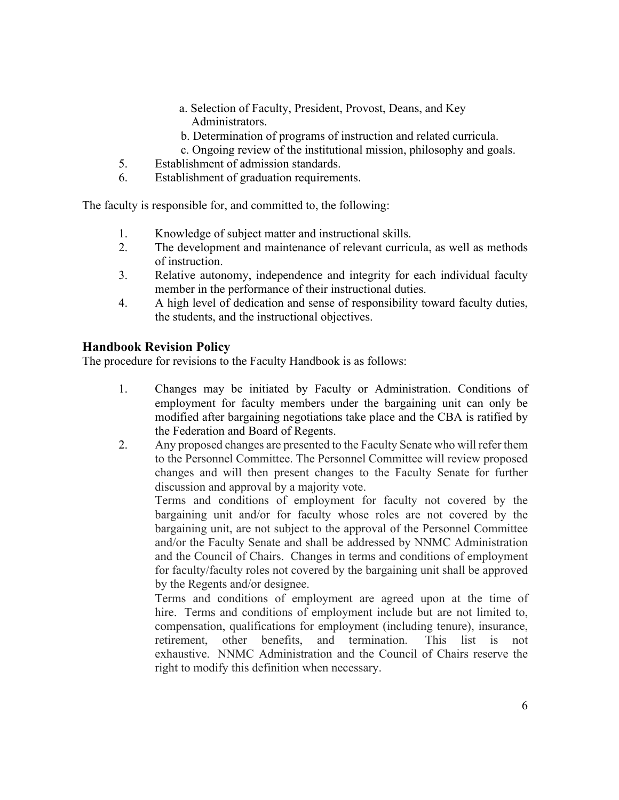- a. Selection of Faculty, President, Provost, Deans, and Key Administrators.
- b. Determination of programs of instruction and related curricula.
- c. Ongoing review of the institutional mission, philosophy and goals.
- 5. Establishment of admission standards.
- 6. Establishment of graduation requirements.

The faculty is responsible for, and committed to, the following:

- 1. Knowledge of subject matter and instructional skills.
- 2. The development and maintenance of relevant curricula, as well as methods of instruction.
- 3. Relative autonomy, independence and integrity for each individual faculty member in the performance of their instructional duties.
- 4. A high level of dedication and sense of responsibility toward faculty duties, the students, and the instructional objectives.

# **Handbook Revision Policy**

The procedure for revisions to the Faculty Handbook is as follows:

- 1. Changes may be initiated by Faculty or Administration. Conditions of employment for faculty members under the bargaining unit can only be modified after bargaining negotiations take place and the CBA is ratified by the Federation and Board of Regents.
- 2. Any proposed changes are presented to the Faculty Senate who will refer them to the Personnel Committee. The Personnel Committee will review proposed changes and will then present changes to the Faculty Senate for further discussion and approval by a majority vote.

Terms and conditions of employment for faculty not covered by the bargaining unit and/or for faculty whose roles are not covered by the bargaining unit, are not subject to the approval of the Personnel Committee and/or the Faculty Senate and shall be addressed by NNMC Administration and the Council of Chairs. Changes in terms and conditions of employment for faculty/faculty roles not covered by the bargaining unit shall be approved by the Regents and/or designee.

Terms and conditions of employment are agreed upon at the time of hire. Terms and conditions of employment include but are not limited to, compensation, qualifications for employment (including tenure), insurance, retirement, other benefits, and termination. This list is not exhaustive. NNMC Administration and the Council of Chairs reserve the right to modify this definition when necessary.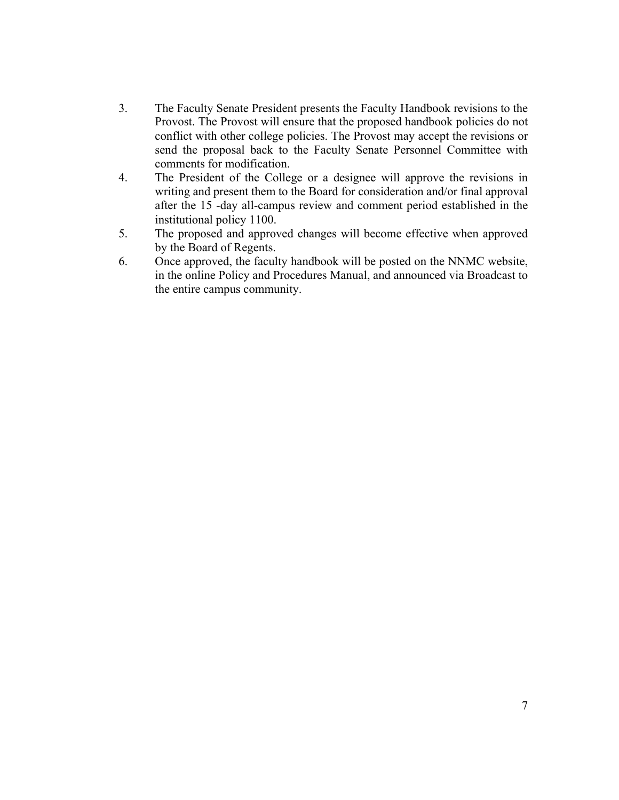- 3. The Faculty Senate President presents the Faculty Handbook revisions to the Provost. The Provost will ensure that the proposed handbook policies do not conflict with other college policies. The Provost may accept the revisions or send the proposal back to the Faculty Senate Personnel Committee with comments for modification.
- 4. The President of the College or a designee will approve the revisions in writing and present them to the Board for consideration and/or final approval after the 15 -day all-campus review and comment period established in the institutional policy 1100.
- 5. The proposed and approved changes will become effective when approved by the Board of Regents.
- 6. Once approved, the faculty handbook will be posted on the NNMC website, in the online Policy and Procedures Manual, and announced via Broadcast to the entire campus community.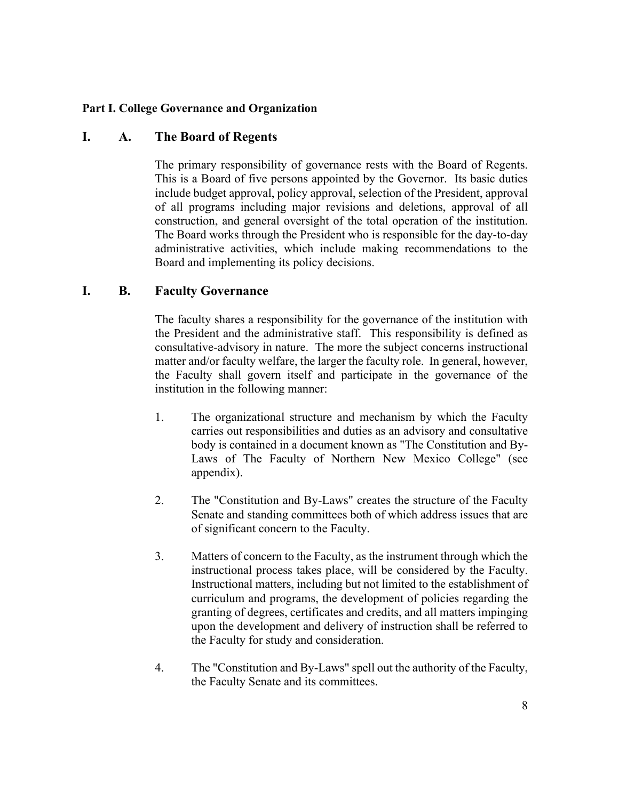#### **Part I. College Governance and Organization**

# **I. A. The Board of Regents**

The primary responsibility of governance rests with the Board of Regents. This is a Board of five persons appointed by the Governor. Its basic duties include budget approval, policy approval, selection of the President, approval of all programs including major revisions and deletions, approval of all construction, and general oversight of the total operation of the institution. The Board works through the President who is responsible for the day-to-day administrative activities, which include making recommendations to the Board and implementing its policy decisions.

#### **I. B. Faculty Governance**

The faculty shares a responsibility for the governance of the institution with the President and the administrative staff. This responsibility is defined as consultative-advisory in nature. The more the subject concerns instructional matter and/or faculty welfare, the larger the faculty role. In general, however, the Faculty shall govern itself and participate in the governance of the institution in the following manner:

- 1. The organizational structure and mechanism by which the Faculty carries out responsibilities and duties as an advisory and consultative body is contained in a document known as "The Constitution and By-Laws of The Faculty of Northern New Mexico College" (see appendix).
- 2. The "Constitution and By-Laws" creates the structure of the Faculty Senate and standing committees both of which address issues that are of significant concern to the Faculty.
- 3. Matters of concern to the Faculty, as the instrument through which the instructional process takes place, will be considered by the Faculty. Instructional matters, including but not limited to the establishment of curriculum and programs, the development of policies regarding the granting of degrees, certificates and credits, and all matters impinging upon the development and delivery of instruction shall be referred to the Faculty for study and consideration.
- 4. The "Constitution and By-Laws" spell out the authority of the Faculty, the Faculty Senate and its committees.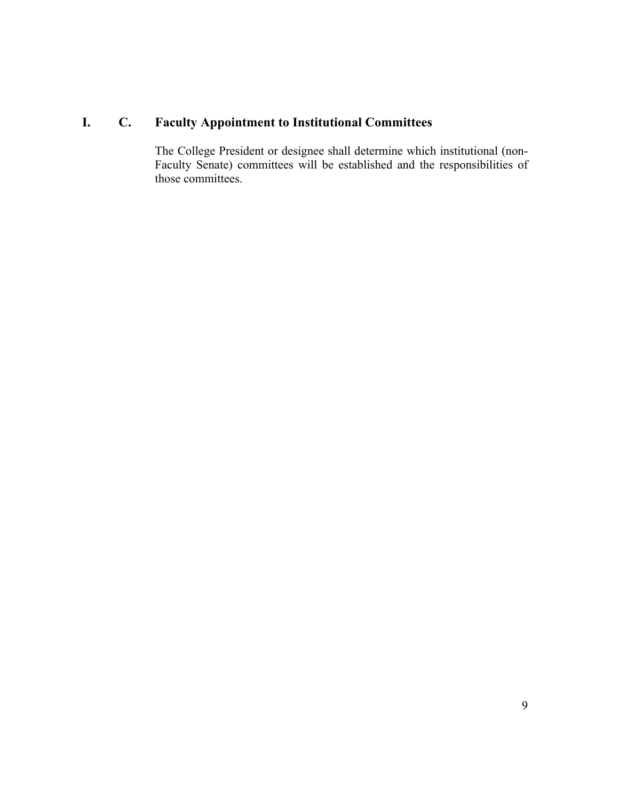# **I. C. Faculty Appointment to Institutional Committees**

The College President or designee shall determine which institutional (non-Faculty Senate) committees will be established and the responsibilities of those committees.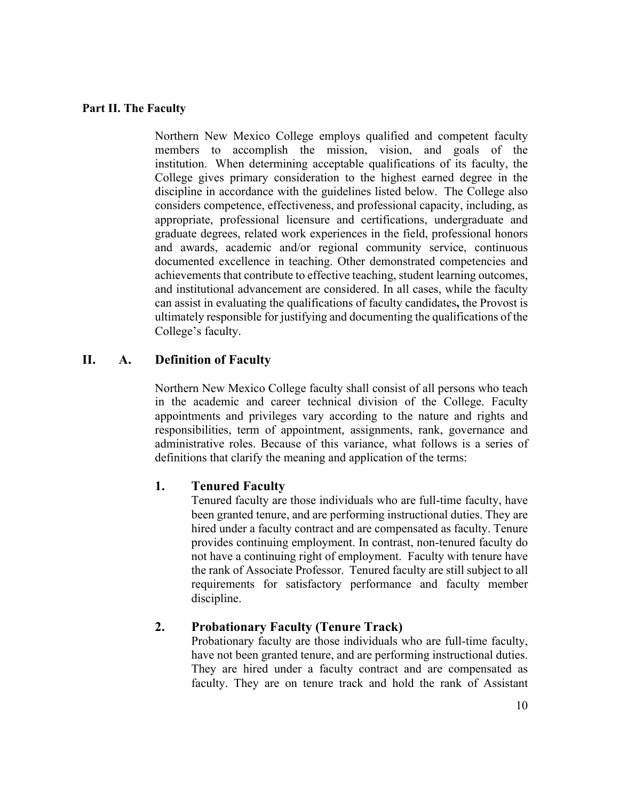#### **Part II. The Faculty**

Northern New Mexico College employs qualified and competent faculty members to accomplish the mission, vision, and goals of the institution. When determining acceptable qualifications of its faculty, the College gives primary consideration to the highest earned degree in the discipline in accordance with the guidelines listed below. The College also considers competence, effectiveness, and professional capacity, including, as appropriate, professional licensure and certifications, undergraduate and graduate degrees, related work experiences in the field, professional honors and awards, academic and/or regional community service, continuous documented excellence in teaching. Other demonstrated competencies and achievements that contribute to effective teaching, student learning outcomes, and institutional advancement are considered. In all cases, while the faculty can assist in evaluating the qualifications of faculty candidates**,** the Provost is ultimately responsible for justifying and documenting the qualifications of the College's faculty.

#### **II. A. Definition of Faculty**

Northern New Mexico College faculty shall consist of all persons who teach in the academic and career technical division of the College. Faculty appointments and privileges vary according to the nature and rights and responsibilities, term of appointment, assignments, rank, governance and administrative roles. Because of this variance, what follows is a series of definitions that clarify the meaning and application of the terms:

#### **1. Tenured Faculty**

Tenured faculty are those individuals who are full-time faculty, have been granted tenure, and are performing instructional duties. They are hired under a faculty contract and are compensated as faculty. Tenure provides continuing employment. In contrast, non-tenured faculty do not have a continuing right of employment. Faculty with tenure have the rank of Associate Professor. Tenured faculty are still subject to all requirements for satisfactory performance and faculty member discipline.

#### **2. Probationary Faculty (Tenure Track)**

Probationary faculty are those individuals who are full-time faculty, have not been granted tenure, and are performing instructional duties. They are hired under a faculty contract and are compensated as faculty. They are on tenure track and hold the rank of Assistant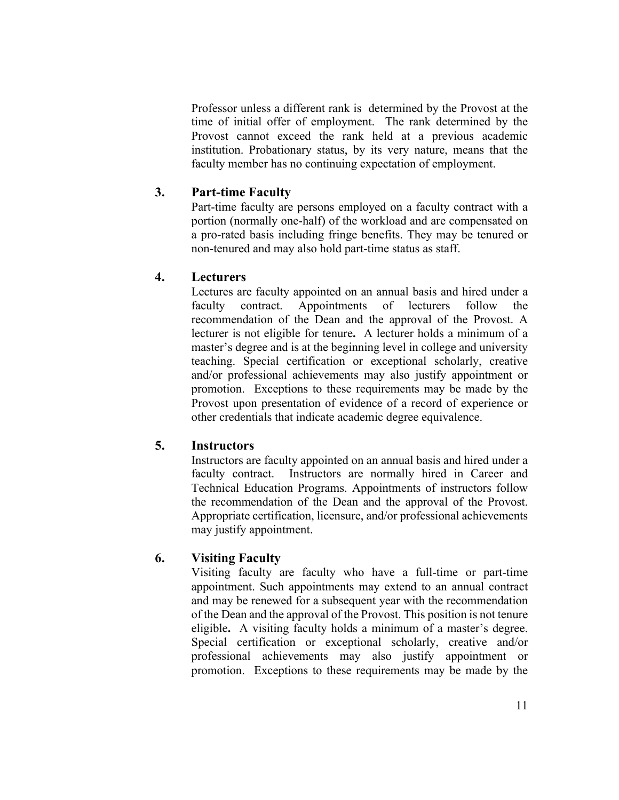Professor unless a different rank is determined by the Provost at the time of initial offer of employment. The rank determined by the Provost cannot exceed the rank held at a previous academic institution. Probationary status, by its very nature, means that the faculty member has no continuing expectation of employment.

#### **3. Part-time Faculty**

Part-time faculty are persons employed on a faculty contract with a portion (normally one-half) of the workload and are compensated on a pro-rated basis including fringe benefits. They may be tenured or non-tenured and may also hold part-time status as staff.

#### **4. Lecturers**

Lectures are faculty appointed on an annual basis and hired under a faculty contract. Appointments of lecturers follow the recommendation of the Dean and the approval of the Provost. A lecturer is not eligible for tenure**.** A lecturer holds a minimum of a master's degree and is at the beginning level in college and university teaching. Special certification or exceptional scholarly, creative and/or professional achievements may also justify appointment or promotion. Exceptions to these requirements may be made by the Provost upon presentation of evidence of a record of experience or other credentials that indicate academic degree equivalence.

# **5. Instructors**

Instructors are faculty appointed on an annual basis and hired under a faculty contract. Instructors are normally hired in Career and Technical Education Programs. Appointments of instructors follow the recommendation of the Dean and the approval of the Provost. Appropriate certification, licensure, and/or professional achievements may justify appointment.

# **6. Visiting Faculty**

Visiting faculty are faculty who have a full-time or part-time appointment. Such appointments may extend to an annual contract and may be renewed for a subsequent year with the recommendation of the Dean and the approval of the Provost. This position is not tenure eligible**.** A visiting faculty holds a minimum of a master's degree. Special certification or exceptional scholarly, creative and/or professional achievements may also justify appointment or promotion. Exceptions to these requirements may be made by the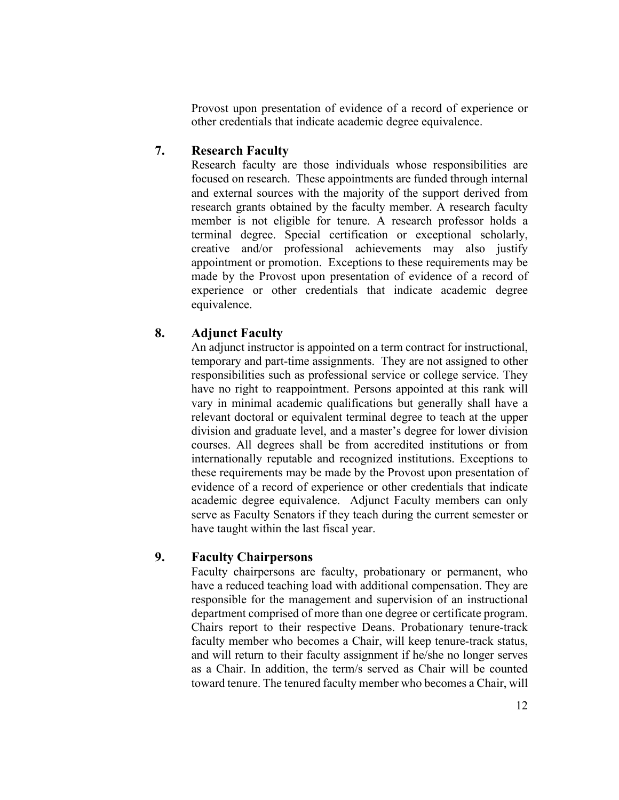Provost upon presentation of evidence of a record of experience or other credentials that indicate academic degree equivalence.

# **7. Research Faculty**

Research faculty are those individuals whose responsibilities are focused on research. These appointments are funded through internal and external sources with the majority of the support derived from research grants obtained by the faculty member. A research faculty member is not eligible for tenure. A research professor holds a terminal degree. Special certification or exceptional scholarly, creative and/or professional achievements may also justify appointment or promotion. Exceptions to these requirements may be made by the Provost upon presentation of evidence of a record of experience or other credentials that indicate academic degree equivalence.

# **8. Adjunct Faculty**

An adjunct instructor is appointed on a term contract for instructional, temporary and part-time assignments. They are not assigned to other responsibilities such as professional service or college service. They have no right to reappointment. Persons appointed at this rank will vary in minimal academic qualifications but generally shall have a relevant doctoral or equivalent terminal degree to teach at the upper division and graduate level, and a master's degree for lower division courses. All degrees shall be from accredited institutions or from internationally reputable and recognized institutions. Exceptions to these requirements may be made by the Provost upon presentation of evidence of a record of experience or other credentials that indicate academic degree equivalence. Adjunct Faculty members can only serve as Faculty Senators if they teach during the current semester or have taught within the last fiscal year.

# **9. Faculty Chairpersons**

Faculty chairpersons are faculty, probationary or permanent, who have a reduced teaching load with additional compensation. They are responsible for the management and supervision of an instructional department comprised of more than one degree or certificate program. Chairs report to their respective Deans. Probationary tenure-track faculty member who becomes a Chair, will keep tenure-track status, and will return to their faculty assignment if he/she no longer serves as a Chair. In addition, the term/s served as Chair will be counted toward tenure. The tenured faculty member who becomes a Chair, will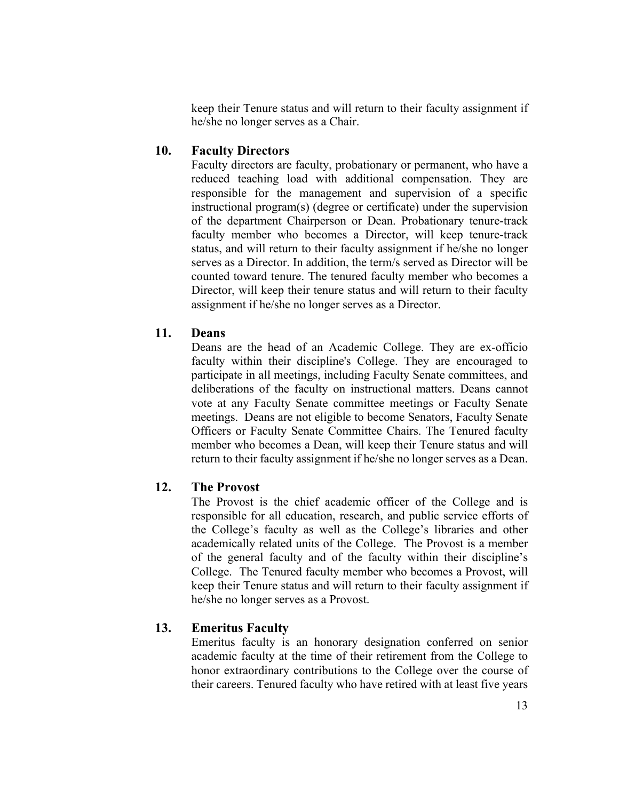keep their Tenure status and will return to their faculty assignment if he/she no longer serves as a Chair.

### **10. Faculty Directors**

Faculty directors are faculty, probationary or permanent, who have a reduced teaching load with additional compensation. They are responsible for the management and supervision of a specific instructional program(s) (degree or certificate) under the supervision of the department Chairperson or Dean. Probationary tenure-track faculty member who becomes a Director, will keep tenure-track status, and will return to their faculty assignment if he/she no longer serves as a Director. In addition, the term/s served as Director will be counted toward tenure. The tenured faculty member who becomes a Director, will keep their tenure status and will return to their faculty assignment if he/she no longer serves as a Director.

### **11. Deans**

Deans are the head of an Academic College. They are ex-officio faculty within their discipline's College. They are encouraged to participate in all meetings, including Faculty Senate committees, and deliberations of the faculty on instructional matters. Deans cannot vote at any Faculty Senate committee meetings or Faculty Senate meetings. Deans are not eligible to become Senators, Faculty Senate Officers or Faculty Senate Committee Chairs. The Tenured faculty member who becomes a Dean, will keep their Tenure status and will return to their faculty assignment if he/she no longer serves as a Dean.

# **12. The Provost**

The Provost is the chief academic officer of the College and is responsible for all education, research, and public service efforts of the College's faculty as well as the College's libraries and other academically related units of the College. The Provost is a member of the general faculty and of the faculty within their discipline's College. The Tenured faculty member who becomes a Provost, will keep their Tenure status and will return to their faculty assignment if he/she no longer serves as a Provost.

# **13. Emeritus Faculty**

Emeritus faculty is an honorary designation conferred on senior academic faculty at the time of their retirement from the College to honor extraordinary contributions to the College over the course of their careers. Tenured faculty who have retired with at least five years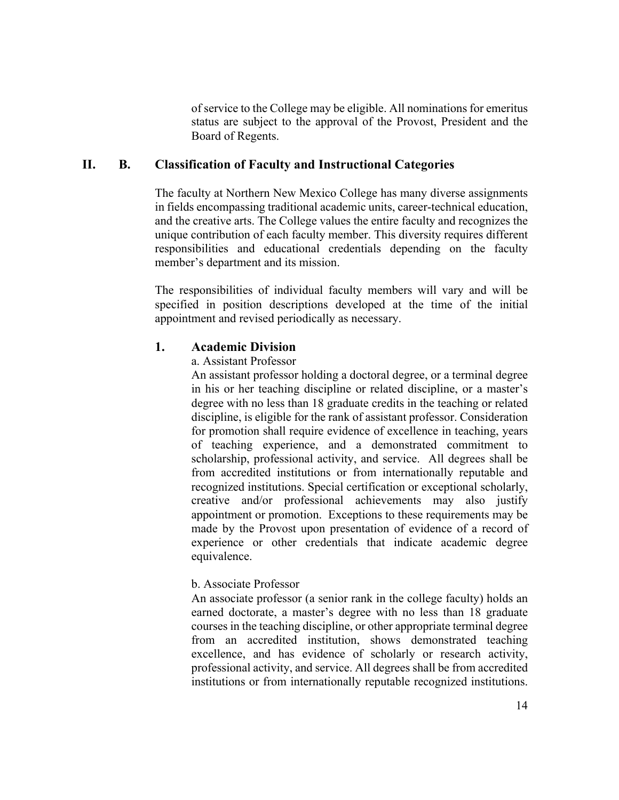of service to the College may be eligible. All nominations for emeritus status are subject to the approval of the Provost, President and the Board of Regents.

#### **II. B. Classification of Faculty and Instructional Categories**

The faculty at Northern New Mexico College has many diverse assignments in fields encompassing traditional academic units, career-technical education, and the creative arts. The College values the entire faculty and recognizes the unique contribution of each faculty member. This diversity requires different responsibilities and educational credentials depending on the faculty member's department and its mission.

The responsibilities of individual faculty members will vary and will be specified in position descriptions developed at the time of the initial appointment and revised periodically as necessary.

#### **1. Academic Division**

a. Assistant Professor

An assistant professor holding a doctoral degree, or a terminal degree in his or her teaching discipline or related discipline, or a master's degree with no less than 18 graduate credits in the teaching or related discipline, is eligible for the rank of assistant professor. Consideration for promotion shall require evidence of excellence in teaching, years of teaching experience, and a demonstrated commitment to scholarship, professional activity, and service. All degrees shall be from accredited institutions or from internationally reputable and recognized institutions. Special certification or exceptional scholarly, creative and/or professional achievements may also justify appointment or promotion. Exceptions to these requirements may be made by the Provost upon presentation of evidence of a record of experience or other credentials that indicate academic degree equivalence.

#### b. Associate Professor

An associate professor (a senior rank in the college faculty) holds an earned doctorate, a master's degree with no less than 18 graduate courses in the teaching discipline, or other appropriate terminal degree from an accredited institution, shows demonstrated teaching excellence, and has evidence of scholarly or research activity, professional activity, and service. All degrees shall be from accredited institutions or from internationally reputable recognized institutions.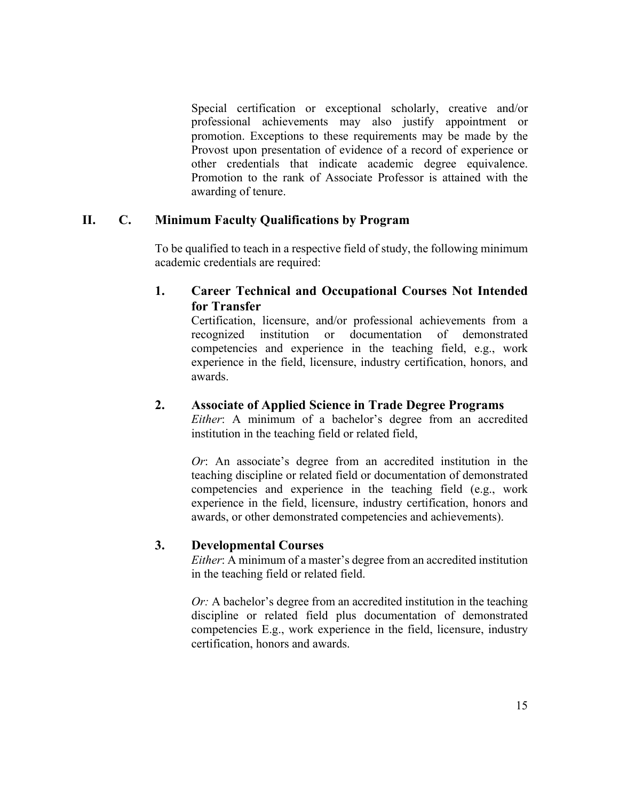Special certification or exceptional scholarly, creative and/or professional achievements may also justify appointment or promotion. Exceptions to these requirements may be made by the Provost upon presentation of evidence of a record of experience or other credentials that indicate academic degree equivalence. Promotion to the rank of Associate Professor is attained with the awarding of tenure.

# **II. C. Minimum Faculty Qualifications by Program**

To be qualified to teach in a respective field of study, the following minimum academic credentials are required:

# **1. Career Technical and Occupational Courses Not Intended for Transfer**

Certification, licensure, and/or professional achievements from a recognized institution or documentation of demonstrated competencies and experience in the teaching field, e.g., work experience in the field, licensure, industry certification, honors, and awards.

# **2. Associate of Applied Science in Trade Degree Programs**

*Either*: A minimum of a bachelor's degree from an accredited institution in the teaching field or related field,

*Or*: An associate's degree from an accredited institution in the teaching discipline or related field or documentation of demonstrated competencies and experience in the teaching field (e.g., work experience in the field, licensure, industry certification, honors and awards, or other demonstrated competencies and achievements).

# **3. Developmental Courses**

*Either*: A minimum of a master's degree from an accredited institution in the teaching field or related field.

*Or:* A bachelor's degree from an accredited institution in the teaching discipline or related field plus documentation of demonstrated competencies E.g., work experience in the field, licensure, industry certification, honors and awards.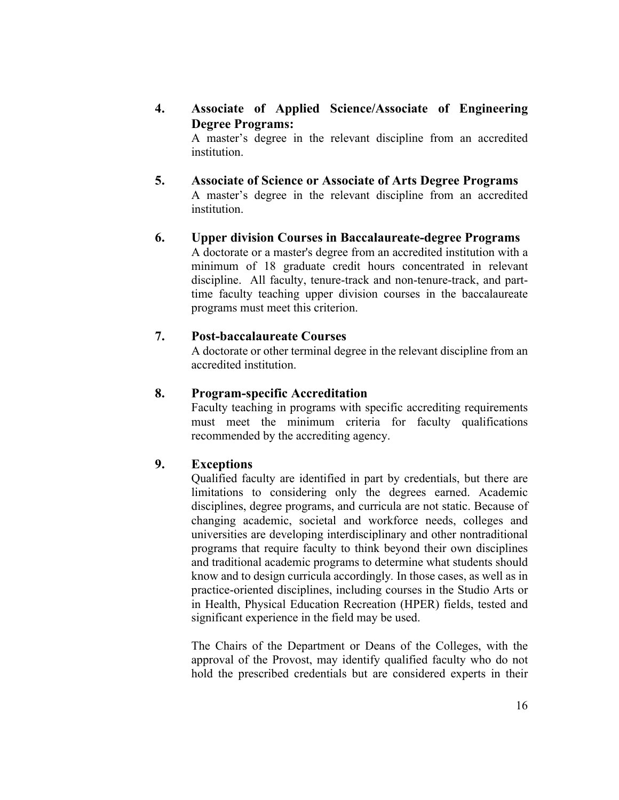**4. Associate of Applied Science/Associate of Engineering Degree Programs:**

A master's degree in the relevant discipline from an accredited institution.

- **5. Associate of Science or Associate of Arts Degree Programs** A master's degree in the relevant discipline from an accredited institution.
- **6. Upper division Courses in Baccalaureate-degree Programs** A doctorate or a master's degree from an accredited institution with a minimum of 18 graduate credit hours concentrated in relevant discipline. All faculty, tenure-track and non-tenure-track, and parttime faculty teaching upper division courses in the baccalaureate programs must meet this criterion.

#### **7. Post-baccalaureate Courses**

A doctorate or other terminal degree in the relevant discipline from an accredited institution.

#### **8. Program-specific Accreditation**

Faculty teaching in programs with specific accrediting requirements must meet the minimum criteria for faculty qualifications recommended by the accrediting agency.

### **9. Exceptions**

Qualified faculty are identified in part by credentials, but there are limitations to considering only the degrees earned. Academic disciplines, degree programs, and curricula are not static. Because of changing academic, societal and workforce needs, colleges and universities are developing interdisciplinary and other nontraditional programs that require faculty to think beyond their own disciplines and traditional academic programs to determine what students should know and to design curricula accordingly*.* In those cases, as well as in practice-oriented disciplines, including courses in the Studio Arts or in Health, Physical Education Recreation (HPER) fields, tested and significant experience in the field may be used.

The Chairs of the Department or Deans of the Colleges, with the approval of the Provost, may identify qualified faculty who do not hold the prescribed credentials but are considered experts in their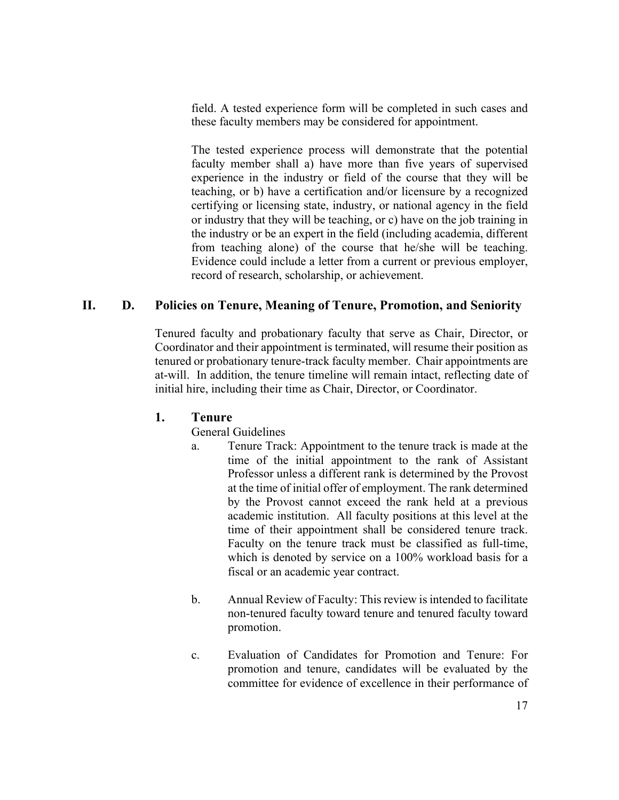field. A tested experience form will be completed in such cases and these faculty members may be considered for appointment.

The tested experience process will demonstrate that the potential faculty member shall a) have more than five years of supervised experience in the industry or field of the course that they will be teaching, or b) have a certification and/or licensure by a recognized certifying or licensing state, industry, or national agency in the field or industry that they will be teaching, or c) have on the job training in the industry or be an expert in the field (including academia, different from teaching alone) of the course that he/she will be teaching. Evidence could include a letter from a current or previous employer, record of research, scholarship, or achievement.

# **II. D. Policies on Tenure, Meaning of Tenure, Promotion, and Seniority**

Tenured faculty and probationary faculty that serve as Chair, Director, or Coordinator and their appointment is terminated, will resume their position as tenured or probationary tenure-track faculty member. Chair appointments are at-will. In addition, the tenure timeline will remain intact, reflecting date of initial hire, including their time as Chair, Director, or Coordinator.

#### **1. Tenure**

General Guidelines

- a. Tenure Track: Appointment to the tenure track is made at the time of the initial appointment to the rank of Assistant Professor unless a different rank is determined by the Provost at the time of initial offer of employment. The rank determined by the Provost cannot exceed the rank held at a previous academic institution. All faculty positions at this level at the time of their appointment shall be considered tenure track. Faculty on the tenure track must be classified as full-time, which is denoted by service on a 100% workload basis for a fiscal or an academic year contract.
- b. Annual Review of Faculty: This review is intended to facilitate non-tenured faculty toward tenure and tenured faculty toward promotion.
- c. Evaluation of Candidates for Promotion and Tenure: For promotion and tenure, candidates will be evaluated by the committee for evidence of excellence in their performance of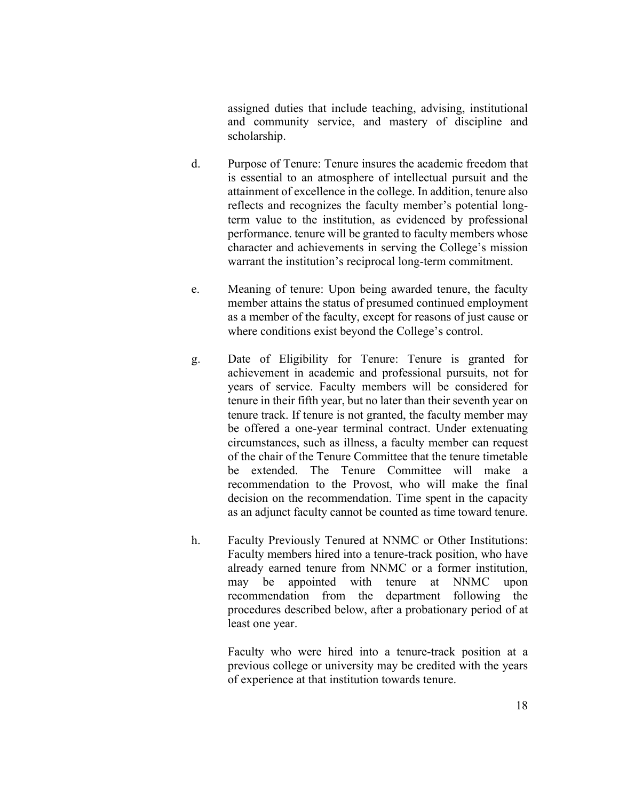assigned duties that include teaching, advising, institutional and community service, and mastery of discipline and scholarship.

- d. Purpose of Tenure: Tenure insures the academic freedom that is essential to an atmosphere of intellectual pursuit and the attainment of excellence in the college. In addition, tenure also reflects and recognizes the faculty member's potential longterm value to the institution, as evidenced by professional performance. tenure will be granted to faculty members whose character and achievements in serving the College's mission warrant the institution's reciprocal long-term commitment.
- e. Meaning of tenure: Upon being awarded tenure, the faculty member attains the status of presumed continued employment as a member of the faculty, except for reasons of just cause or where conditions exist beyond the College's control.
- g. Date of Eligibility for Tenure: Tenure is granted for achievement in academic and professional pursuits, not for years of service. Faculty members will be considered for tenure in their fifth year, but no later than their seventh year on tenure track. If tenure is not granted, the faculty member may be offered a one-year terminal contract. Under extenuating circumstances, such as illness, a faculty member can request of the chair of the Tenure Committee that the tenure timetable be extended. The Tenure Committee will make a recommendation to the Provost, who will make the final decision on the recommendation. Time spent in the capacity as an adjunct faculty cannot be counted as time toward tenure.
- h. Faculty Previously Tenured at NNMC or Other Institutions: Faculty members hired into a tenure-track position, who have already earned tenure from NNMC or a former institution, may be appointed with tenure at NNMC upon recommendation from the department following the procedures described below, after a probationary period of at least one year.

Faculty who were hired into a tenure-track position at a previous college or university may be credited with the years of experience at that institution towards tenure.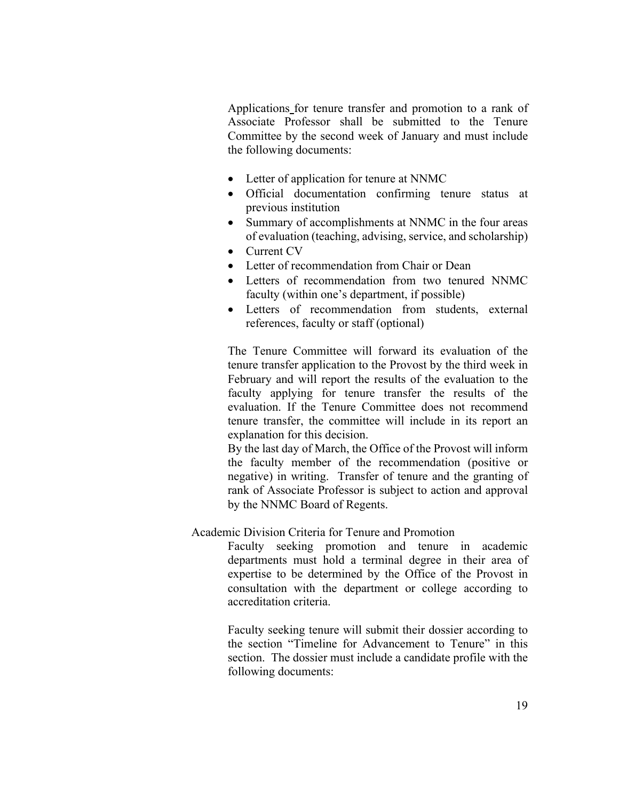Applications for tenure transfer and promotion to a rank of Associate Professor shall be submitted to the Tenure Committee by the second week of January and must include the following documents:

- Letter of application for tenure at NNMC
- Official documentation confirming tenure status at previous institution
- Summary of accomplishments at NNMC in the four areas of evaluation (teaching, advising, service, and scholarship)
- Current CV
- Letter of recommendation from Chair or Dean
- Letters of recommendation from two tenured NNMC faculty (within one's department, if possible)
- Letters of recommendation from students, external references, faculty or staff (optional)

The Tenure Committee will forward its evaluation of the tenure transfer application to the Provost by the third week in February and will report the results of the evaluation to the faculty applying for tenure transfer the results of the evaluation. If the Tenure Committee does not recommend tenure transfer, the committee will include in its report an explanation for this decision.

By the last day of March, the Office of the Provost will inform the faculty member of the recommendation (positive or negative) in writing. Transfer of tenure and the granting of rank of Associate Professor is subject to action and approval by the NNMC Board of Regents.

#### Academic Division Criteria for Tenure and Promotion

Faculty seeking promotion and tenure in academic departments must hold a terminal degree in their area of expertise to be determined by the Office of the Provost in consultation with the department or college according to accreditation criteria.

Faculty seeking tenure will submit their dossier according to the section "Timeline for Advancement to Tenure" in this section. The dossier must include a candidate profile with the following documents: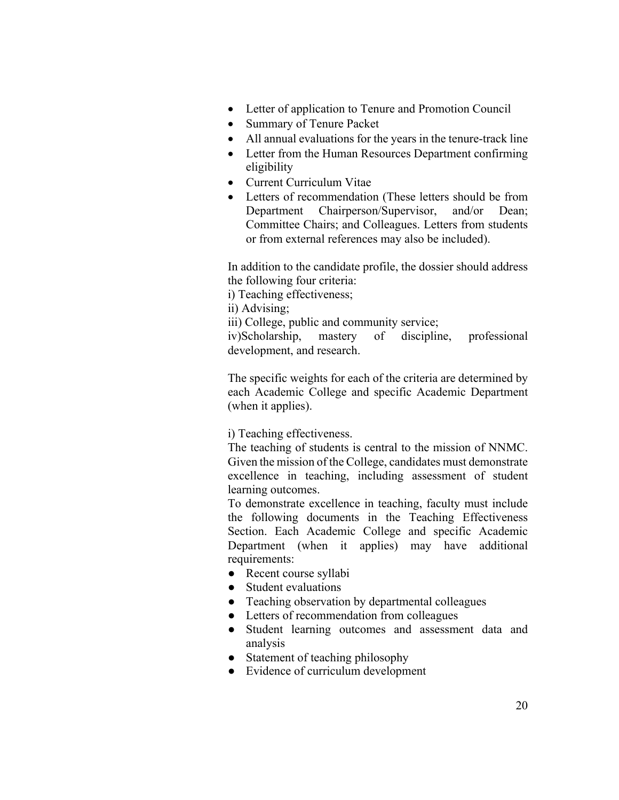- Letter of application to Tenure and Promotion Council
- Summary of Tenure Packet
- All annual evaluations for the years in the tenure-track line
- Letter from the Human Resources Department confirming eligibility
- Current Curriculum Vitae
- Letters of recommendation (These letters should be from Department Chairperson/Supervisor, and/or Dean; Committee Chairs; and Colleagues. Letters from students or from external references may also be included).

In addition to the candidate profile, the dossier should address the following four criteria:

i) Teaching effectiveness;

ii) Advising;

iii) College, public and community service;

iv)Scholarship, mastery of discipline, professional development, and research.

The specific weights for each of the criteria are determined by each Academic College and specific Academic Department (when it applies).

i) Teaching effectiveness.

The teaching of students is central to the mission of NNMC. Given the mission of the College, candidates must demonstrate excellence in teaching, including assessment of student learning outcomes.

To demonstrate excellence in teaching, faculty must include the following documents in the Teaching Effectiveness Section. Each Academic College and specific Academic Department (when it applies) may have additional requirements:

- Recent course syllabi
- Student evaluations
- Teaching observation by departmental colleagues
- Letters of recommendation from colleagues
- Student learning outcomes and assessment data and analysis
- Statement of teaching philosophy
- Evidence of curriculum development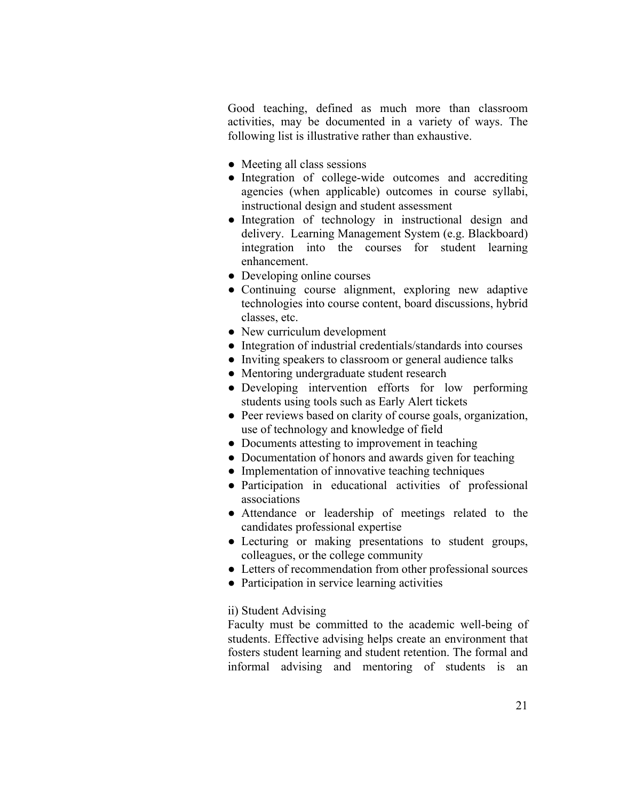Good teaching, defined as much more than classroom activities, may be documented in a variety of ways. The following list is illustrative rather than exhaustive.

- Meeting all class sessions
- Integration of college-wide outcomes and accrediting agencies (when applicable) outcomes in course syllabi, instructional design and student assessment
- Integration of technology in instructional design and delivery. Learning Management System (e.g. Blackboard) integration into the courses for student learning enhancement.
- Developing online courses
- Continuing course alignment, exploring new adaptive technologies into course content, board discussions, hybrid classes, etc.
- New curriculum development
- Integration of industrial credentials/standards into courses
- Inviting speakers to classroom or general audience talks
- Mentoring undergraduate student research
- Developing intervention efforts for low performing students using tools such as Early Alert tickets
- Peer reviews based on clarity of course goals, organization, use of technology and knowledge of field
- Documents attesting to improvement in teaching
- Documentation of honors and awards given for teaching
- Implementation of innovative teaching techniques
- Participation in educational activities of professional associations
- Attendance or leadership of meetings related to the candidates professional expertise
- Lecturing or making presentations to student groups, colleagues, or the college community
- Letters of recommendation from other professional sources
- Participation in service learning activities

#### ii) Student Advising

Faculty must be committed to the academic well-being of students. Effective advising helps create an environment that fosters student learning and student retention. The formal and informal advising and mentoring of students is an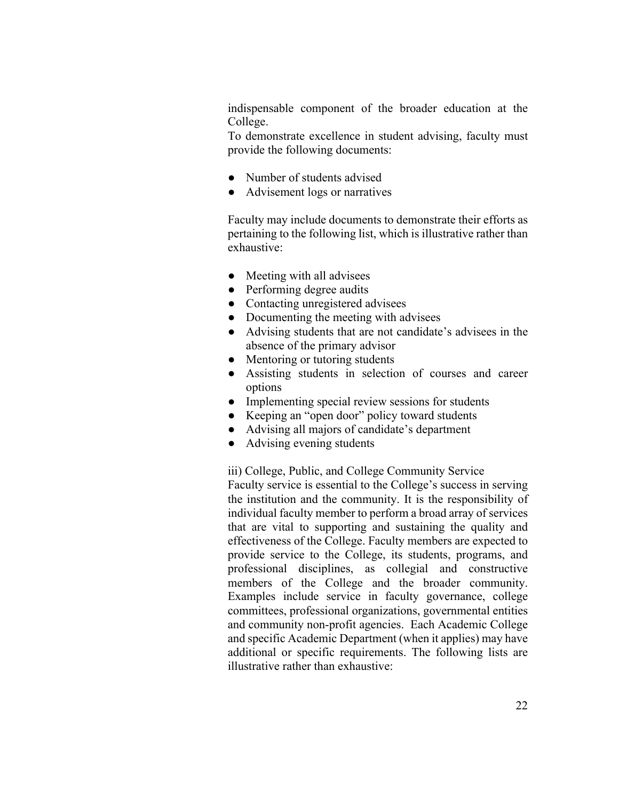indispensable component of the broader education at the College.

To demonstrate excellence in student advising, faculty must provide the following documents:

- Number of students advised
- Advisement logs or narratives

Faculty may include documents to demonstrate their efforts as pertaining to the following list, which is illustrative rather than exhaustive:

- Meeting with all advisees
- Performing degree audits
- Contacting unregistered advisees
- Documenting the meeting with advisees
- Advising students that are not candidate's advisees in the absence of the primary advisor
- Mentoring or tutoring students
- Assisting students in selection of courses and career options
- Implementing special review sessions for students
- Keeping an "open door" policy toward students
- Advising all majors of candidate's department
- Advising evening students

iii) College, Public, and College Community Service Faculty service is essential to the College's success in serving the institution and the community. It is the responsibility of individual faculty member to perform a broad array of services that are vital to supporting and sustaining the quality and effectiveness of the College. Faculty members are expected to provide service to the College, its students, programs, and professional disciplines, as collegial and constructive members of the College and the broader community. Examples include service in faculty governance, college committees, professional organizations, governmental entities and community non-profit agencies. Each Academic College and specific Academic Department (when it applies) may have additional or specific requirements. The following lists are illustrative rather than exhaustive: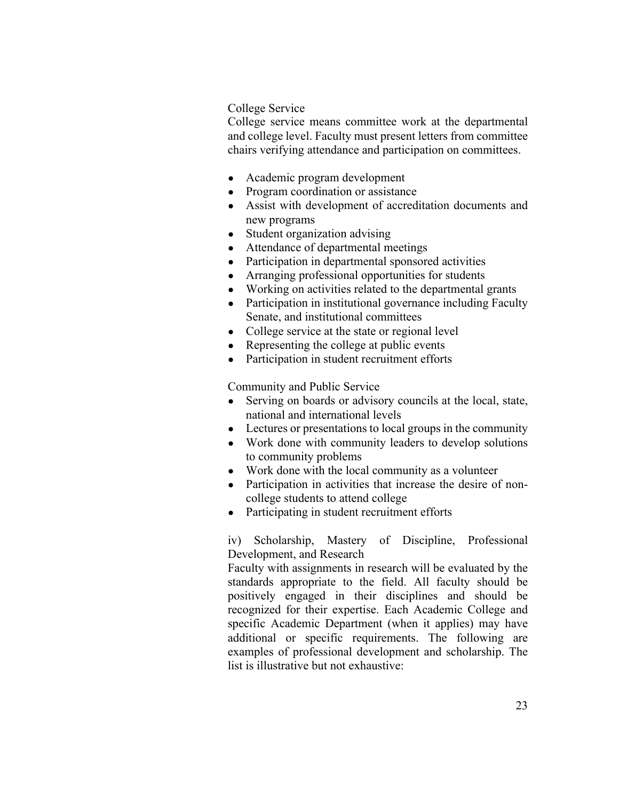#### College Service

College service means committee work at the departmental and college level. Faculty must present letters from committee chairs verifying attendance and participation on committees.

- Academic program development
- Program coordination or assistance
- Assist with development of accreditation documents and new programs
- Student organization advising
- Attendance of departmental meetings
- Participation in departmental sponsored activities
- Arranging professional opportunities for students
- Working on activities related to the departmental grants
- Participation in institutional governance including Faculty Senate, and institutional committees
- College service at the state or regional level
- Representing the college at public events
- Participation in student recruitment efforts

Community and Public Service

- Serving on boards or advisory councils at the local, state, national and international levels
- Lectures or presentations to local groups in the community
- Work done with community leaders to develop solutions to community problems
- Work done with the local community as a volunteer
- Participation in activities that increase the desire of noncollege students to attend college
- Participating in student recruitment efforts

iv) Scholarship, Mastery of Discipline, Professional Development, and Research

Faculty with assignments in research will be evaluated by the standards appropriate to the field. All faculty should be positively engaged in their disciplines and should be recognized for their expertise. Each Academic College and specific Academic Department (when it applies) may have additional or specific requirements. The following are examples of professional development and scholarship. The list is illustrative but not exhaustive: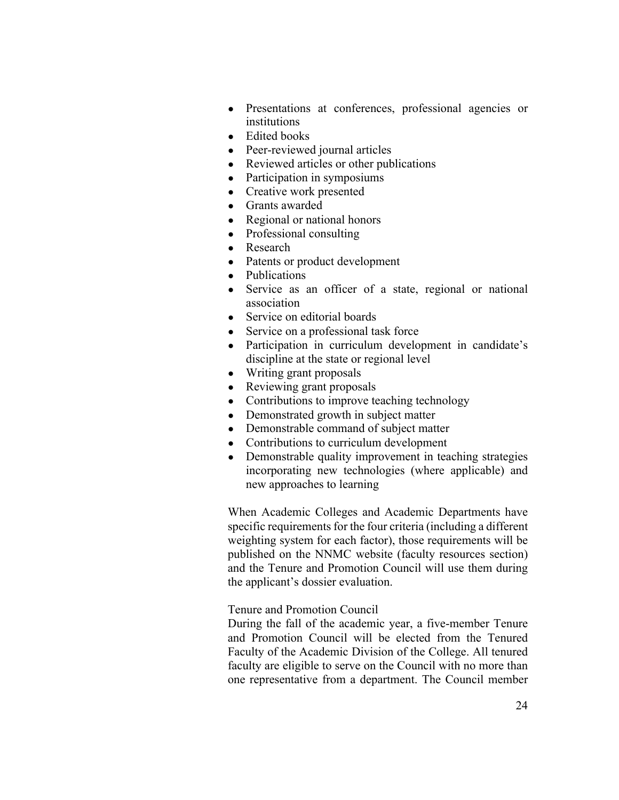- Presentations at conferences, professional agencies or institutions
- Edited books
- Peer-reviewed journal articles
- Reviewed articles or other publications
- Participation in symposiums
- Creative work presented
- Grants awarded
- Regional or national honors
- Professional consulting
- Research
- Patents or product development
- Publications
- Service as an officer of a state, regional or national association
- Service on editorial boards
- Service on a professional task force
- Participation in curriculum development in candidate's discipline at the state or regional level
- Writing grant proposals
- Reviewing grant proposals
- Contributions to improve teaching technology
- Demonstrated growth in subject matter
- Demonstrable command of subject matter
- Contributions to curriculum development
- Demonstrable quality improvement in teaching strategies incorporating new technologies (where applicable) and new approaches to learning

When Academic Colleges and Academic Departments have specific requirements for the four criteria (including a different weighting system for each factor), those requirements will be published on the NNMC website (faculty resources section) and the Tenure and Promotion Council will use them during the applicant's dossier evaluation.

Tenure and Promotion Council

During the fall of the academic year, a five-member Tenure and Promotion Council will be elected from the Tenured Faculty of the Academic Division of the College. All tenured faculty are eligible to serve on the Council with no more than one representative from a department. The Council member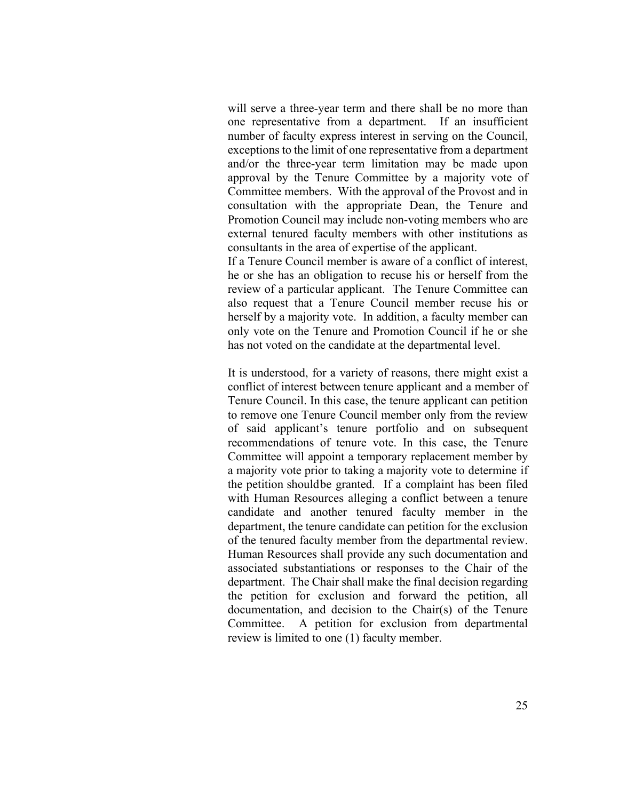will serve a three-year term and there shall be no more than one representative from a department. If an insufficient number of faculty express interest in serving on the Council, exceptions to the limit of one representative from a department and/or the three-year term limitation may be made upon approval by the Tenure Committee by a majority vote of Committee members. With the approval of the Provost and in consultation with the appropriate Dean, the Tenure and Promotion Council may include non-voting members who are external tenured faculty members with other institutions as consultants in the area of expertise of the applicant.

If a Tenure Council member is aware of a conflict of interest, he or she has an obligation to recuse his or herself from the review of a particular applicant. The Tenure Committee can also request that a Tenure Council member recuse his or herself by a majority vote. In addition, a faculty member can only vote on the Tenure and Promotion Council if he or she has not voted on the candidate at the departmental level.

It is understood, for a variety of reasons, there might exist a conflict of interest between tenure applicant and a member of Tenure Council. In this case, the tenure applicant can petition to remove one Tenure Council member only from the review of said applicant's tenure portfolio and on subsequent recommendations of tenure vote. In this case, the Tenure Committee will appoint a temporary replacement member by a majority vote prior to taking a majority vote to determine if the petition shouldbe granted. If a complaint has been filed with Human Resources alleging a conflict between a tenure candidate and another tenured faculty member in the department, the tenure candidate can petition for the exclusion of the tenured faculty member from the departmental review. Human Resources shall provide any such documentation and associated substantiations or responses to the Chair of the department. The Chair shall make the final decision regarding the petition for exclusion and forward the petition, all documentation, and decision to the Chair(s) of the Tenure Committee. A petition for exclusion from departmental review is limited to one (1) faculty member.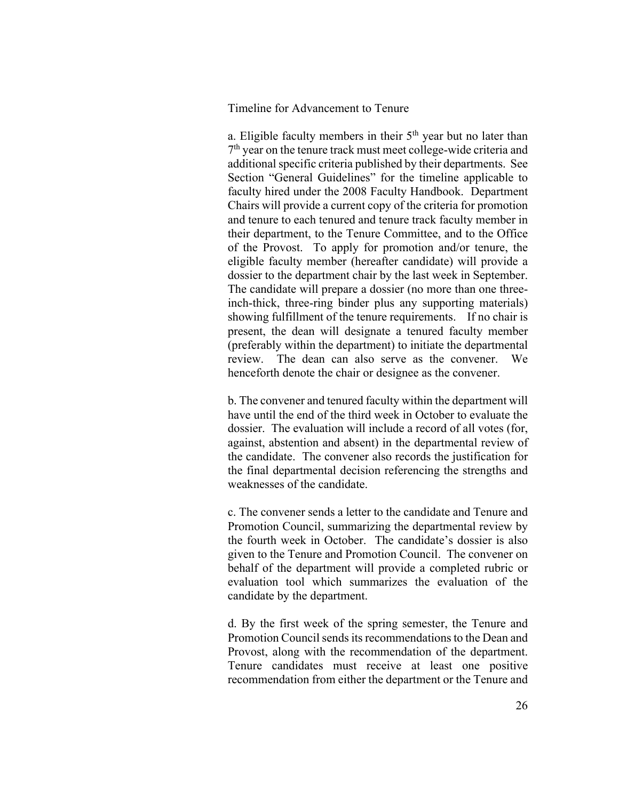Timeline for Advancement to Tenure

a. Eligible faculty members in their 5<sup>th</sup> year but no later than 7<sup>th</sup> year on the tenure track must meet college-wide criteria and additional specific criteria published by their departments. See Section "General Guidelines" for the timeline applicable to faculty hired under the 2008 Faculty Handbook. Department Chairs will provide a current copy of the criteria for promotion and tenure to each tenured and tenure track faculty member in their department, to the Tenure Committee, and to the Office of the Provost. To apply for promotion and/or tenure, the eligible faculty member (hereafter candidate) will provide a dossier to the department chair by the last week in September. The candidate will prepare a dossier (no more than one threeinch-thick, three-ring binder plus any supporting materials) showing fulfillment of the tenure requirements. If no chair is present, the dean will designate a tenured faculty member (preferably within the department) to initiate the departmental review. The dean can also serve as the convener. We henceforth denote the chair or designee as the convener.

b. The convener and tenured faculty within the department will have until the end of the third week in October to evaluate the dossier. The evaluation will include a record of all votes (for, against, abstention and absent) in the departmental review of the candidate. The convener also records the justification for the final departmental decision referencing the strengths and weaknesses of the candidate.

c. The convener sends a letter to the candidate and Tenure and Promotion Council, summarizing the departmental review by the fourth week in October. The candidate's dossier is also given to the Tenure and Promotion Council. The convener on behalf of the department will provide a completed rubric or evaluation tool which summarizes the evaluation of the candidate by the department.

d. By the first week of the spring semester, the Tenure and Promotion Council sends its recommendations to the Dean and Provost, along with the recommendation of the department. Tenure candidates must receive at least one positive recommendation from either the department or the Tenure and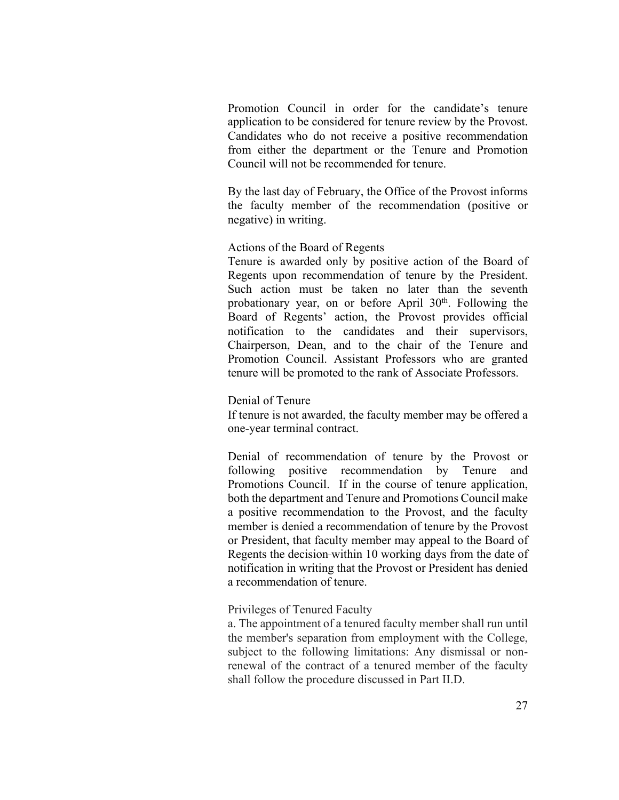Promotion Council in order for the candidate's tenure application to be considered for tenure review by the Provost. Candidates who do not receive a positive recommendation from either the department or the Tenure and Promotion Council will not be recommended for tenure.

By the last day of February, the Office of the Provost informs the faculty member of the recommendation (positive or negative) in writing.

#### Actions of the Board of Regents

Tenure is awarded only by positive action of the Board of Regents upon recommendation of tenure by the President. Such action must be taken no later than the seventh probationary year, on or before April 30<sup>th</sup>. Following the Board of Regents' action, the Provost provides official notification to the candidates and their supervisors, Chairperson, Dean, and to the chair of the Tenure and Promotion Council. Assistant Professors who are granted tenure will be promoted to the rank of Associate Professors.

#### Denial of Tenure

If tenure is not awarded, the faculty member may be offered a one-year terminal contract.

Denial of recommendation of tenure by the Provost or following positive recommendation by Tenure and Promotions Council. If in the course of tenure application, both the department and Tenure and Promotions Council make a positive recommendation to the Provost, and the faculty member is denied a recommendation of tenure by the Provost or President, that faculty member may appeal to the Board of Regents the decision-within 10 working days from the date of notification in writing that the Provost or President has denied a recommendation of tenure.

#### Privileges of Tenured Faculty

a. The appointment of a tenured faculty member shall run until the member's separation from employment with the College, subject to the following limitations: Any dismissal or nonrenewal of the contract of a tenured member of the faculty shall follow the procedure discussed in Part II.D.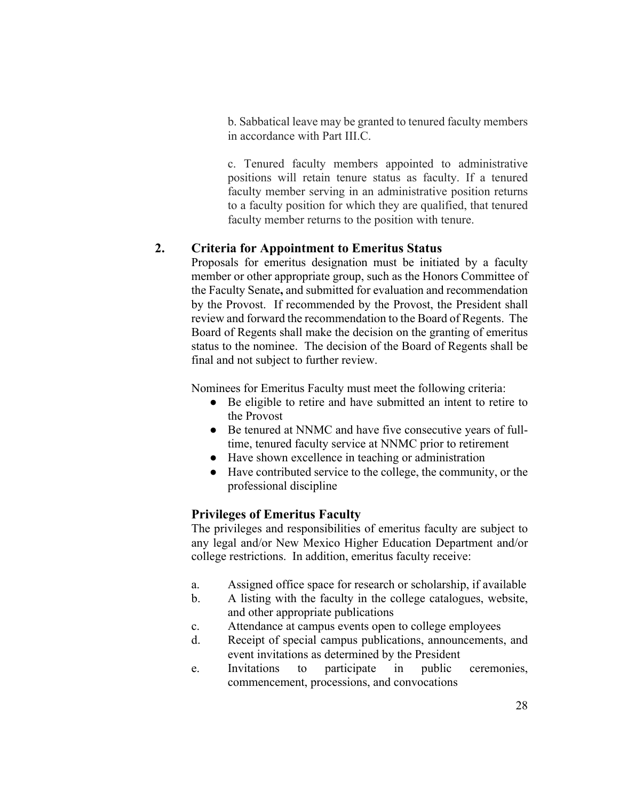b. Sabbatical leave may be granted to tenured faculty members in accordance with Part III.C.

c. Tenured faculty members appointed to administrative positions will retain tenure status as faculty. If a tenured faculty member serving in an administrative position returns to a faculty position for which they are qualified, that tenured faculty member returns to the position with tenure.

#### **2. Criteria for Appointment to Emeritus Status**

Proposals for emeritus designation must be initiated by a faculty member or other appropriate group, such as the Honors Committee of the Faculty Senate**,** and submitted for evaluation and recommendation by the Provost. If recommended by the Provost, the President shall review and forward the recommendation to the Board of Regents. The Board of Regents shall make the decision on the granting of emeritus status to the nominee. The decision of the Board of Regents shall be final and not subject to further review.

Nominees for Emeritus Faculty must meet the following criteria:

- Be eligible to retire and have submitted an intent to retire to the Provost
- Be tenured at NNMC and have five consecutive years of fulltime, tenured faculty service at NNMC prior to retirement
- Have shown excellence in teaching or administration
- Have contributed service to the college, the community, or the professional discipline

#### **Privileges of Emeritus Faculty**

The privileges and responsibilities of emeritus faculty are subject to any legal and/or New Mexico Higher Education Department and/or college restrictions. In addition, emeritus faculty receive:

- a. Assigned office space for research or scholarship, if available
- b. A listing with the faculty in the college catalogues, website, and other appropriate publications
- c. Attendance at campus events open to college employees
- d. Receipt of special campus publications, announcements, and event invitations as determined by the President
- e. Invitations to participate in public ceremonies, commencement, processions, and convocations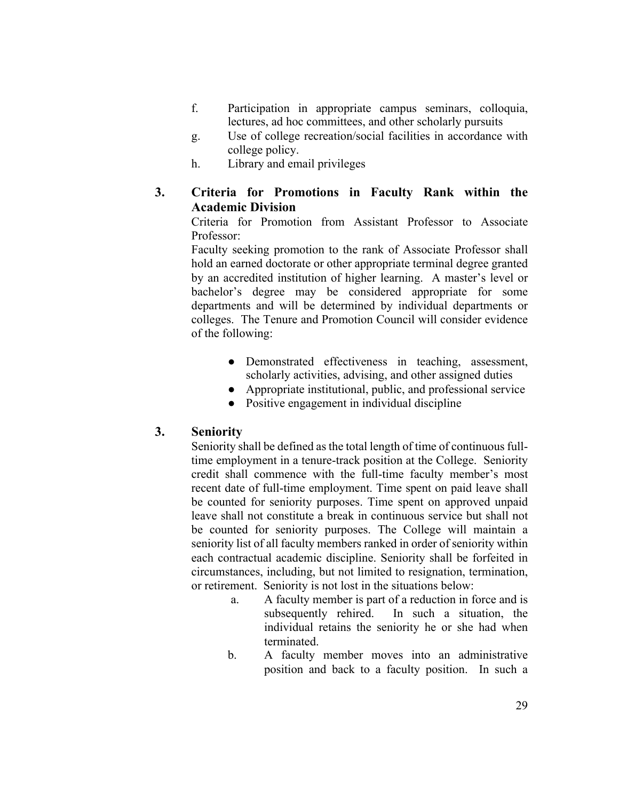- f. Participation in appropriate campus seminars, colloquia, lectures, ad hoc committees, and other scholarly pursuits
- g. Use of college recreation/social facilities in accordance with college policy.
- h. Library and email privileges
- **3. Criteria for Promotions in Faculty Rank within the Academic Division**

Criteria for Promotion from Assistant Professor to Associate Professor:

Faculty seeking promotion to the rank of Associate Professor shall hold an earned doctorate or other appropriate terminal degree granted by an accredited institution of higher learning. A master's level or bachelor's degree may be considered appropriate for some departments and will be determined by individual departments or colleges. The Tenure and Promotion Council will consider evidence of the following:

- Demonstrated effectiveness in teaching, assessment, scholarly activities, advising, and other assigned duties
- Appropriate institutional, public, and professional service
- Positive engagement in individual discipline

#### **3. Seniority**

Seniority shall be defined as the total length of time of continuous fulltime employment in a tenure-track position at the College. Seniority credit shall commence with the full-time faculty member's most recent date of full-time employment. Time spent on paid leave shall be counted for seniority purposes. Time spent on approved unpaid leave shall not constitute a break in continuous service but shall not be counted for seniority purposes. The College will maintain a seniority list of all faculty members ranked in order of seniority within each contractual academic discipline. Seniority shall be forfeited in circumstances, including, but not limited to resignation, termination, or retirement. Seniority is not lost in the situations below:

- a. A faculty member is part of a reduction in force and is subsequently rehired. In such a situation, the individual retains the seniority he or she had when terminated.
- b. A faculty member moves into an administrative position and back to a faculty position. In such a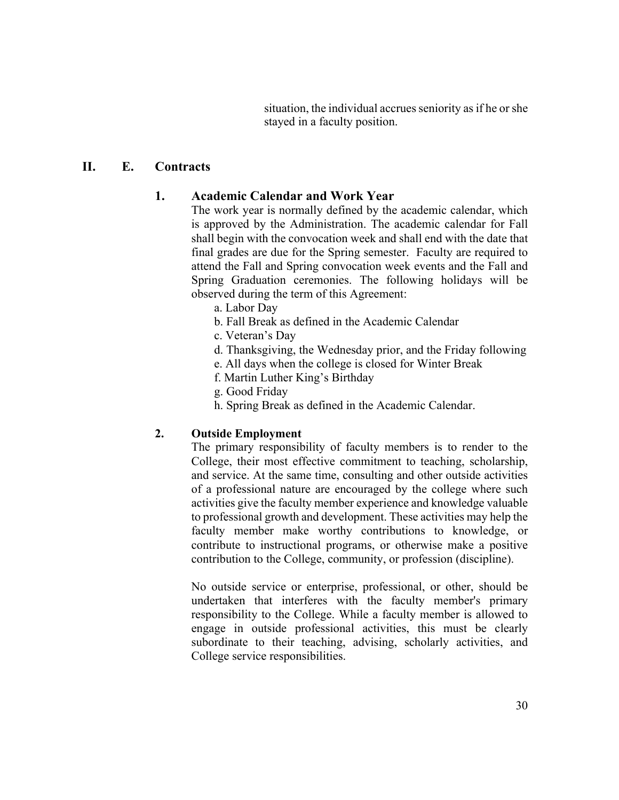situation, the individual accrues seniority as if he or she stayed in a faculty position.

# **II. E. Contracts**

# **1. Academic Calendar and Work Year**

The work year is normally defined by the academic calendar, which is approved by the Administration. The academic calendar for Fall shall begin with the convocation week and shall end with the date that final grades are due for the Spring semester. Faculty are required to attend the Fall and Spring convocation week events and the Fall and Spring Graduation ceremonies. The following holidays will be observed during the term of this Agreement:

- a. Labor Day
- b. Fall Break as defined in the Academic Calendar
- c. Veteran's Day
- d. Thanksgiving, the Wednesday prior, and the Friday following
- e. All days when the college is closed for Winter Break
- f. Martin Luther King's Birthday
- g. Good Friday
- h. Spring Break as defined in the Academic Calendar.

# **2. Outside Employment**

The primary responsibility of faculty members is to render to the College, their most effective commitment to teaching, scholarship, and service. At the same time, consulting and other outside activities of a professional nature are encouraged by the college where such activities give the faculty member experience and knowledge valuable to professional growth and development. These activities may help the faculty member make worthy contributions to knowledge, or contribute to instructional programs, or otherwise make a positive contribution to the College, community, or profession (discipline).

No outside service or enterprise, professional, or other, should be undertaken that interferes with the faculty member's primary responsibility to the College. While a faculty member is allowed to engage in outside professional activities, this must be clearly subordinate to their teaching, advising, scholarly activities, and College service responsibilities.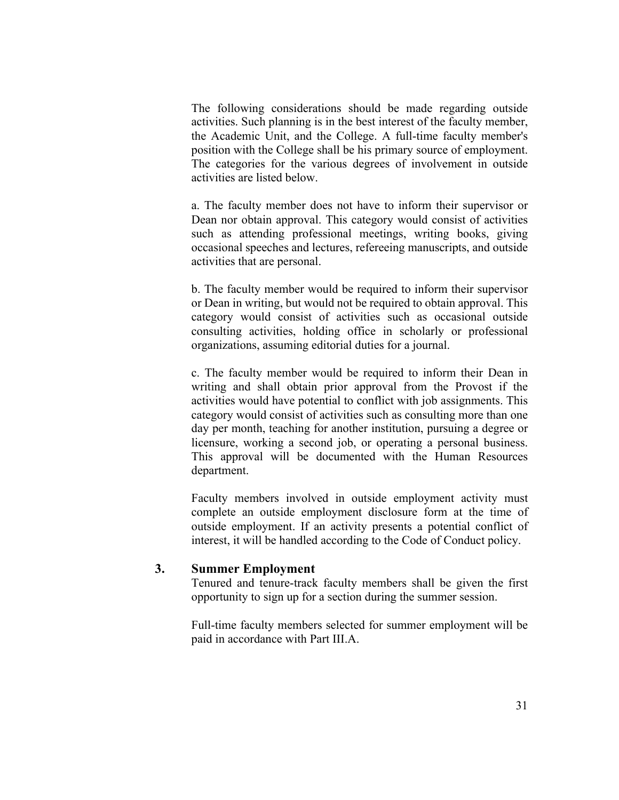The following considerations should be made regarding outside activities. Such planning is in the best interest of the faculty member, the Academic Unit, and the College. A full-time faculty member's position with the College shall be his primary source of employment. The categories for the various degrees of involvement in outside activities are listed below.

a. The faculty member does not have to inform their supervisor or Dean nor obtain approval. This category would consist of activities such as attending professional meetings, writing books, giving occasional speeches and lectures, refereeing manuscripts, and outside activities that are personal.

b. The faculty member would be required to inform their supervisor or Dean in writing, but would not be required to obtain approval. This category would consist of activities such as occasional outside consulting activities, holding office in scholarly or professional organizations, assuming editorial duties for a journal.

c. The faculty member would be required to inform their Dean in writing and shall obtain prior approval from the Provost if the activities would have potential to conflict with job assignments. This category would consist of activities such as consulting more than one day per month, teaching for another institution, pursuing a degree or licensure, working a second job, or operating a personal business. This approval will be documented with the Human Resources department.

Faculty members involved in outside employment activity must complete an outside employment disclosure form at the time of outside employment. If an activity presents a potential conflict of interest, it will be handled according to the Code of Conduct policy.

#### **3. Summer Employment**

Tenured and tenure-track faculty members shall be given the first opportunity to sign up for a section during the summer session.

Full-time faculty members selected for summer employment will be paid in accordance with Part III.A.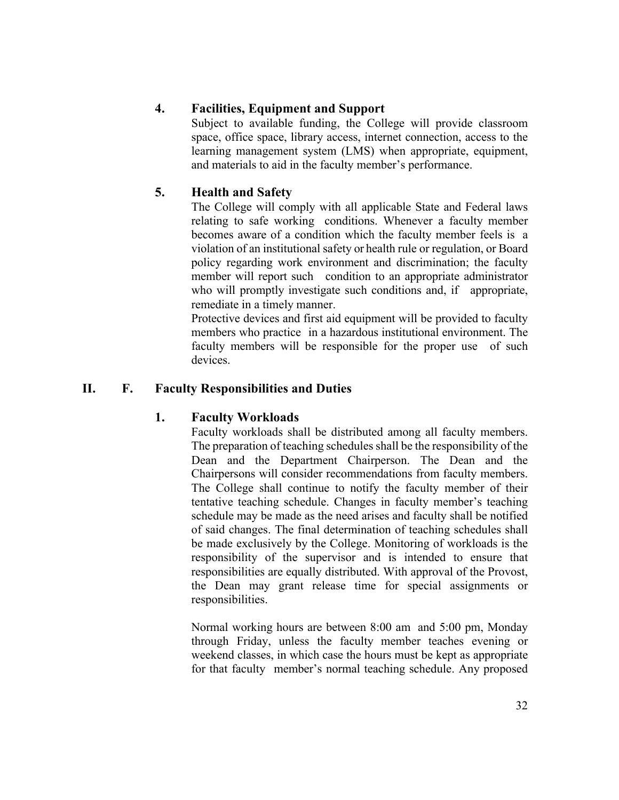# **4. Facilities, Equipment and Support**

Subject to available funding, the College will provide classroom space, office space, library access, internet connection, access to the learning management system (LMS) when appropriate, equipment, and materials to aid in the faculty member's performance.

# **5. Health and Safety**

The College will comply with all applicable State and Federal laws relating to safe working conditions. Whenever a faculty member becomes aware of a condition which the faculty member feels is a violation of an institutional safety or health rule or regulation, or Board policy regarding work environment and discrimination; the faculty member will report such condition to an appropriate administrator who will promptly investigate such conditions and, if appropriate, remediate in a timely manner.

Protective devices and first aid equipment will be provided to faculty members who practice in a hazardous institutional environment. The faculty members will be responsible for the proper use of such devices.

# **II. F. Faculty Responsibilities and Duties**

# **1. Faculty Workloads**

Faculty workloads shall be distributed among all faculty members. The preparation of teaching schedules shall be the responsibility of the Dean and the Department Chairperson. The Dean and the Chairpersons will consider recommendations from faculty members. The College shall continue to notify the faculty member of their tentative teaching schedule. Changes in faculty member's teaching schedule may be made as the need arises and faculty shall be notified of said changes. The final determination of teaching schedules shall be made exclusively by the College. Monitoring of workloads is the responsibility of the supervisor and is intended to ensure that responsibilities are equally distributed. With approval of the Provost, the Dean may grant release time for special assignments or responsibilities.

Normal working hours are between 8:00 am and 5:00 pm, Monday through Friday, unless the faculty member teaches evening or weekend classes, in which case the hours must be kept as appropriate for that faculty member's normal teaching schedule. Any proposed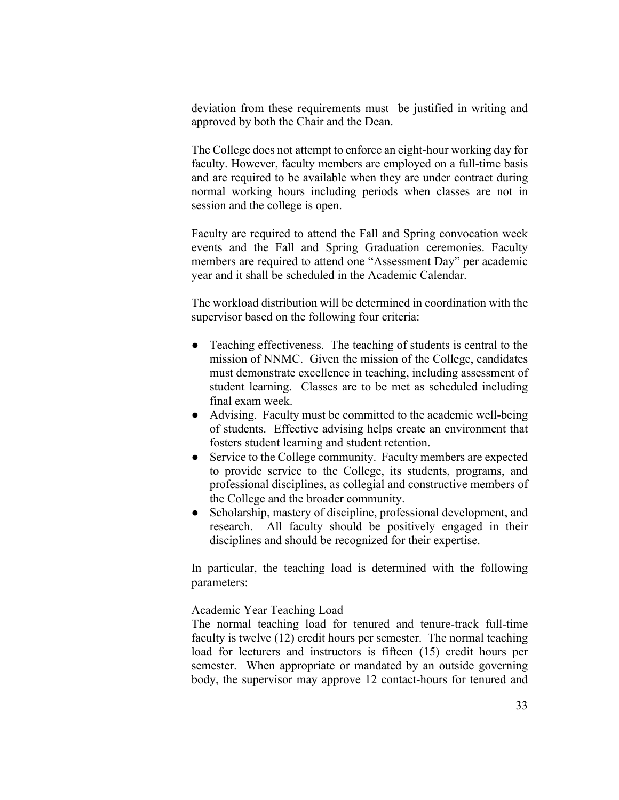deviation from these requirements must be justified in writing and approved by both the Chair and the Dean.

The College does not attempt to enforce an eight-hour working day for faculty. However, faculty members are employed on a full-time basis and are required to be available when they are under contract during normal working hours including periods when classes are not in session and the college is open.

Faculty are required to attend the Fall and Spring convocation week events and the Fall and Spring Graduation ceremonies. Faculty members are required to attend one "Assessment Day" per academic year and it shall be scheduled in the Academic Calendar.

The workload distribution will be determined in coordination with the supervisor based on the following four criteria:

- Teaching effectiveness. The teaching of students is central to the mission of NNMC. Given the mission of the College, candidates must demonstrate excellence in teaching, including assessment of student learning. Classes are to be met as scheduled including final exam week.
- Advising. Faculty must be committed to the academic well-being of students. Effective advising helps create an environment that fosters student learning and student retention.
- Service to the College community. Faculty members are expected to provide service to the College, its students, programs, and professional disciplines, as collegial and constructive members of the College and the broader community.
- Scholarship, mastery of discipline, professional development, and research. All faculty should be positively engaged in their disciplines and should be recognized for their expertise.

In particular, the teaching load is determined with the following parameters:

Academic Year Teaching Load

The normal teaching load for tenured and tenure-track full-time faculty is twelve (12) credit hours per semester. The normal teaching load for lecturers and instructors is fifteen (15) credit hours per semester. When appropriate or mandated by an outside governing body, the supervisor may approve 12 contact-hours for tenured and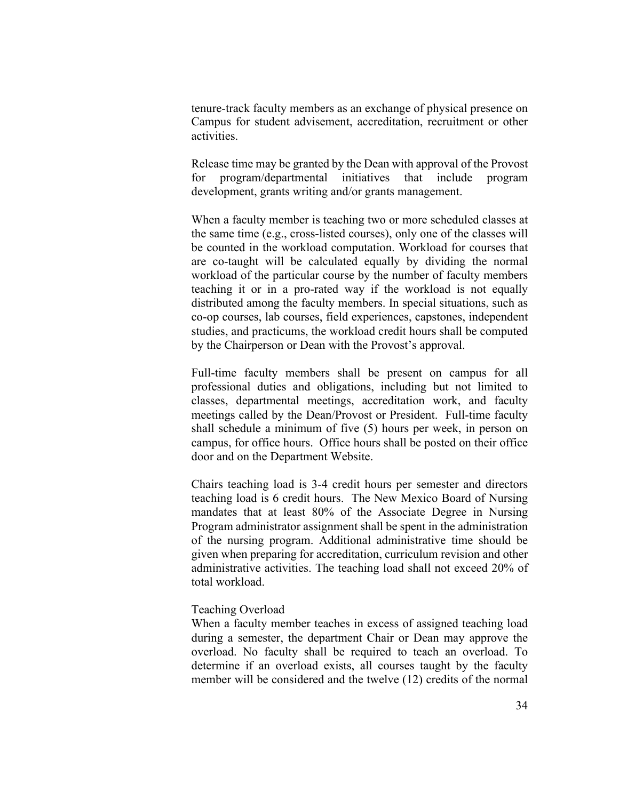tenure-track faculty members as an exchange of physical presence on Campus for student advisement, accreditation, recruitment or other activities.

Release time may be granted by the Dean with approval of the Provost for program/departmental initiatives that include program development, grants writing and/or grants management.

When a faculty member is teaching two or more scheduled classes at the same time (e.g., cross-listed courses), only one of the classes will be counted in the workload computation. Workload for courses that are co-taught will be calculated equally by dividing the normal workload of the particular course by the number of faculty members teaching it or in a pro-rated way if the workload is not equally distributed among the faculty members. In special situations, such as co-op courses, lab courses, field experiences, capstones, independent studies, and practicums, the workload credit hours shall be computed by the Chairperson or Dean with the Provost's approval.

Full-time faculty members shall be present on campus for all professional duties and obligations, including but not limited to classes, departmental meetings, accreditation work, and faculty meetings called by the Dean/Provost or President. Full-time faculty shall schedule a minimum of five (5) hours per week, in person on campus, for office hours. Office hours shall be posted on their office door and on the Department Website.

Chairs teaching load is 3-4 credit hours per semester and directors teaching load is 6 credit hours. The New Mexico Board of Nursing mandates that at least 80% of the Associate Degree in Nursing Program administrator assignment shall be spent in the administration of the nursing program. Additional administrative time should be given when preparing for accreditation, curriculum revision and other administrative activities. The teaching load shall not exceed 20% of total workload.

#### Teaching Overload

When a faculty member teaches in excess of assigned teaching load during a semester, the department Chair or Dean may approve the overload. No faculty shall be required to teach an overload. To determine if an overload exists, all courses taught by the faculty member will be considered and the twelve (12) credits of the normal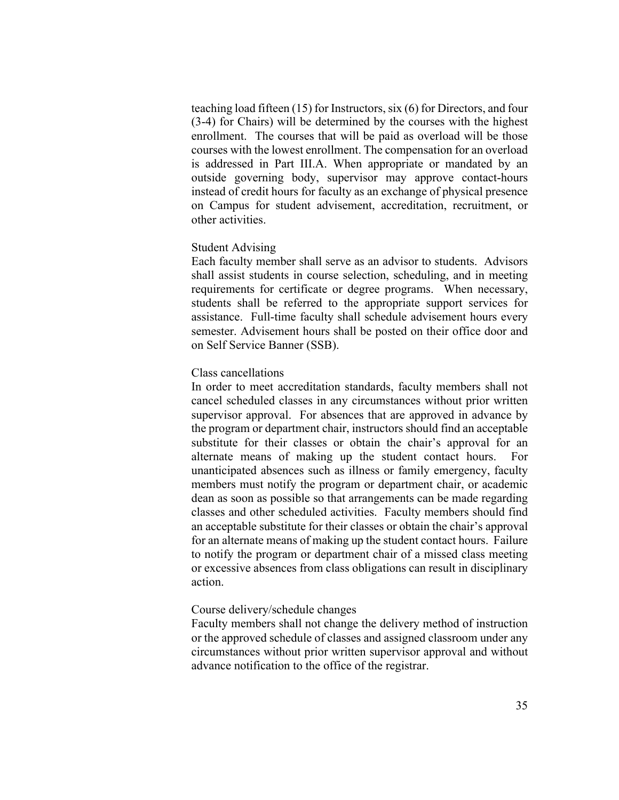teaching load fifteen (15) for Instructors, six (6) for Directors, and four (3-4) for Chairs) will be determined by the courses with the highest enrollment. The courses that will be paid as overload will be those courses with the lowest enrollment. The compensation for an overload is addressed in Part III.A. When appropriate or mandated by an outside governing body, supervisor may approve contact-hours instead of credit hours for faculty as an exchange of physical presence on Campus for student advisement, accreditation, recruitment, or other activities.

#### Student Advising

Each faculty member shall serve as an advisor to students. Advisors shall assist students in course selection, scheduling, and in meeting requirements for certificate or degree programs. When necessary, students shall be referred to the appropriate support services for assistance. Full-time faculty shall schedule advisement hours every semester. Advisement hours shall be posted on their office door and on Self Service Banner (SSB).

#### Class cancellations

In order to meet accreditation standards, faculty members shall not cancel scheduled classes in any circumstances without prior written supervisor approval. For absences that are approved in advance by the program or department chair, instructors should find an acceptable substitute for their classes or obtain the chair's approval for an alternate means of making up the student contact hours. For unanticipated absences such as illness or family emergency, faculty members must notify the program or department chair, or academic dean as soon as possible so that arrangements can be made regarding classes and other scheduled activities. Faculty members should find an acceptable substitute for their classes or obtain the chair's approval for an alternate means of making up the student contact hours. Failure to notify the program or department chair of a missed class meeting or excessive absences from class obligations can result in disciplinary action.

#### Course delivery/schedule changes

Faculty members shall not change the delivery method of instruction or the approved schedule of classes and assigned classroom under any circumstances without prior written supervisor approval and without advance notification to the office of the registrar.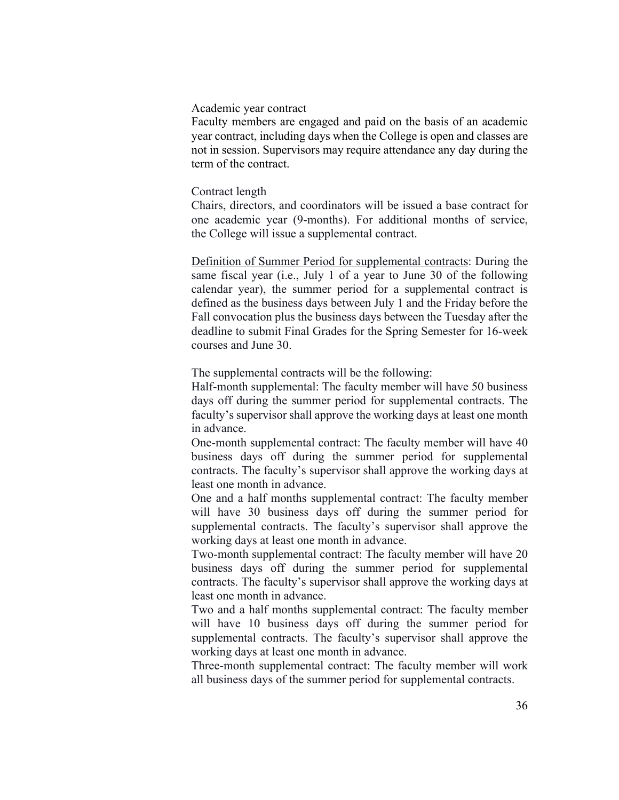#### Academic year contract

Faculty members are engaged and paid on the basis of an academic year contract, including days when the College is open and classes are not in session. Supervisors may require attendance any day during the term of the contract.

#### Contract length

Chairs, directors, and coordinators will be issued a base contract for one academic year (9-months). For additional months of service, the College will issue a supplemental contract.

Definition of Summer Period for supplemental contracts: During the same fiscal year (i.e., July 1 of a year to June 30 of the following calendar year), the summer period for a supplemental contract is defined as the business days between July 1 and the Friday before the Fall convocation plus the business days between the Tuesday after the deadline to submit Final Grades for the Spring Semester for 16-week courses and June 30.

The supplemental contracts will be the following:

Half-month supplemental: The faculty member will have 50 business days off during the summer period for supplemental contracts. The faculty's supervisor shall approve the working days at least one month in advance.

One-month supplemental contract: The faculty member will have 40 business days off during the summer period for supplemental contracts. The faculty's supervisor shall approve the working days at least one month in advance.

One and a half months supplemental contract: The faculty member will have 30 business days off during the summer period for supplemental contracts. The faculty's supervisor shall approve the working days at least one month in advance.

Two-month supplemental contract: The faculty member will have 20 business days off during the summer period for supplemental contracts. The faculty's supervisor shall approve the working days at least one month in advance.

Two and a half months supplemental contract: The faculty member will have 10 business days off during the summer period for supplemental contracts. The faculty's supervisor shall approve the working days at least one month in advance.

Three-month supplemental contract: The faculty member will work all business days of the summer period for supplemental contracts.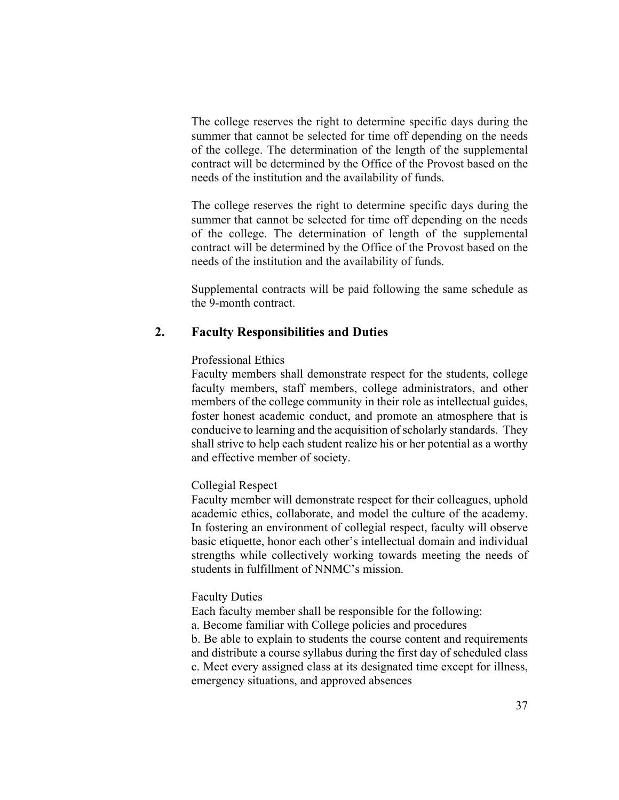The college reserves the right to determine specific days during the summer that cannot be selected for time off depending on the needs of the college. The determination of the length of the supplemental contract will be determined by the Office of the Provost based on the needs of the institution and the availability of funds.

The college reserves the right to determine specific days during the summer that cannot be selected for time off depending on the needs of the college. The determination of length of the supplemental contract will be determined by the Office of the Provost based on the needs of the institution and the availability of funds.

Supplemental contracts will be paid following the same schedule as the 9-month contract.

### **2. Faculty Responsibilities and Duties**

### Professional Ethics

Faculty members shall demonstrate respect for the students, college faculty members, staff members, college administrators, and other members of the college community in their role as intellectual guides, foster honest academic conduct, and promote an atmosphere that is conducive to learning and the acquisition of scholarly standards. They shall strive to help each student realize his or her potential as a worthy and effective member of society.

## Collegial Respect

Faculty member will demonstrate respect for their colleagues, uphold academic ethics, collaborate, and model the culture of the academy. In fostering an environment of collegial respect, faculty will observe basic etiquette, honor each other's intellectual domain and individual strengths while collectively working towards meeting the needs of students in fulfillment of NNMC's mission.

### Faculty Duties

Each faculty member shall be responsible for the following:

a. Become familiar with College policies and procedures

b. Be able to explain to students the course content and requirements and distribute a course syllabus during the first day of scheduled class c. Meet every assigned class at its designated time except for illness, emergency situations, and approved absences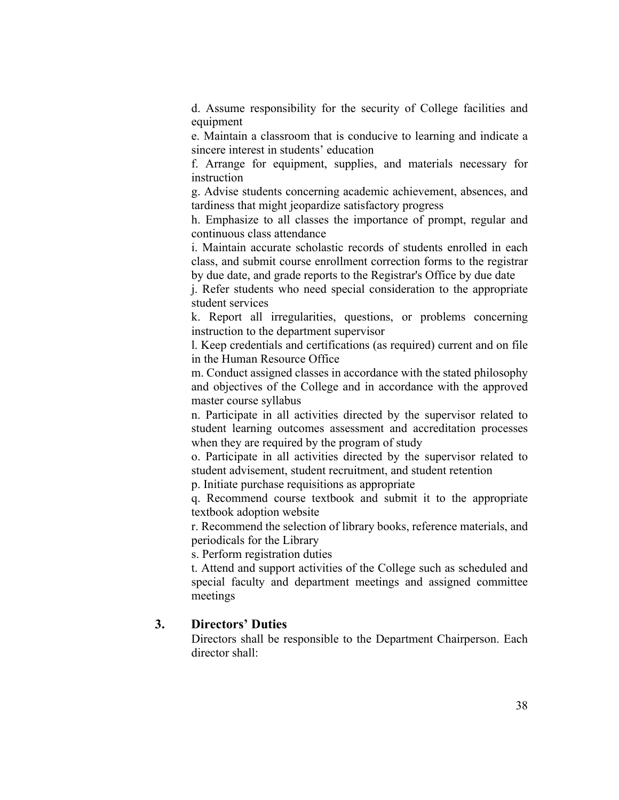d. Assume responsibility for the security of College facilities and equipment

e. Maintain a classroom that is conducive to learning and indicate a sincere interest in students' education

f. Arrange for equipment, supplies, and materials necessary for instruction

g. Advise students concerning academic achievement, absences, and tardiness that might jeopardize satisfactory progress

h. Emphasize to all classes the importance of prompt, regular and continuous class attendance

i. Maintain accurate scholastic records of students enrolled in each class, and submit course enrollment correction forms to the registrar by due date, and grade reports to the Registrar's Office by due date

j. Refer students who need special consideration to the appropriate student services

k. Report all irregularities, questions, or problems concerning instruction to the department supervisor

l. Keep credentials and certifications (as required) current and on file in the Human Resource Office

m. Conduct assigned classes in accordance with the stated philosophy and objectives of the College and in accordance with the approved master course syllabus

n. Participate in all activities directed by the supervisor related to student learning outcomes assessment and accreditation processes when they are required by the program of study

o. Participate in all activities directed by the supervisor related to student advisement, student recruitment, and student retention

p. Initiate purchase requisitions as appropriate

q. Recommend course textbook and submit it to the appropriate textbook adoption website

r. Recommend the selection of library books, reference materials, and periodicals for the Library

s. Perform registration duties

t. Attend and support activities of the College such as scheduled and special faculty and department meetings and assigned committee meetings

## **3. Directors' Duties**

Directors shall be responsible to the Department Chairperson. Each director shall: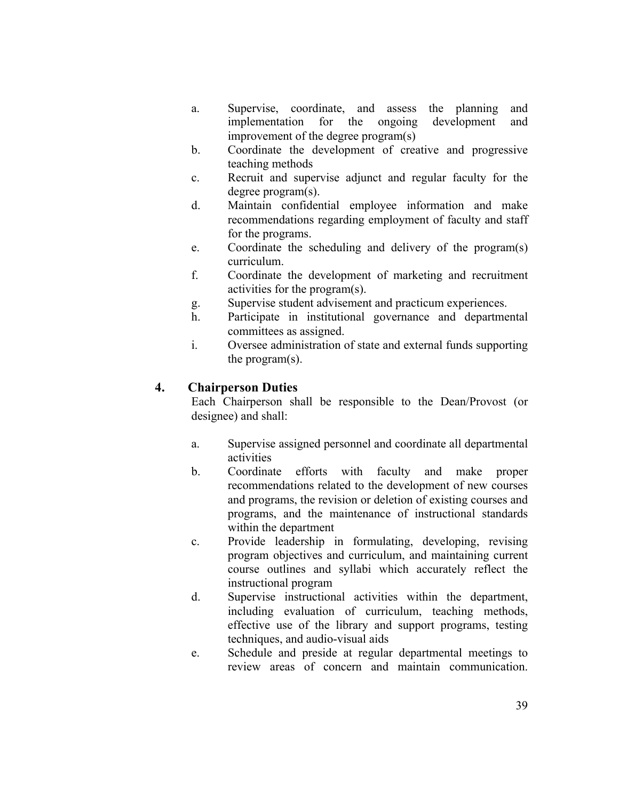- a. Supervise, coordinate, and assess the planning and implementation for the ongoing development and improvement of the degree program(s)
- b. Coordinate the development of creative and progressive teaching methods
- c. Recruit and supervise adjunct and regular faculty for the degree program(s).
- d. Maintain confidential employee information and make recommendations regarding employment of faculty and staff for the programs.
- e. Coordinate the scheduling and delivery of the program(s) curriculum.
- f. Coordinate the development of marketing and recruitment activities for the program(s).
- g. Supervise student advisement and practicum experiences.
- h. Participate in institutional governance and departmental committees as assigned.
- i. Oversee administration of state and external funds supporting the program(s).

# **4. Chairperson Duties**

Each Chairperson shall be responsible to the Dean/Provost (or designee) and shall:

- a. Supervise assigned personnel and coordinate all departmental activities
- b. Coordinate efforts with faculty and make proper recommendations related to the development of new courses and programs, the revision or deletion of existing courses and programs, and the maintenance of instructional standards within the department
- c. Provide leadership in formulating, developing, revising program objectives and curriculum, and maintaining current course outlines and syllabi which accurately reflect the instructional program
- d. Supervise instructional activities within the department, including evaluation of curriculum, teaching methods, effective use of the library and support programs, testing techniques, and audio-visual aids
- e. Schedule and preside at regular departmental meetings to review areas of concern and maintain communication.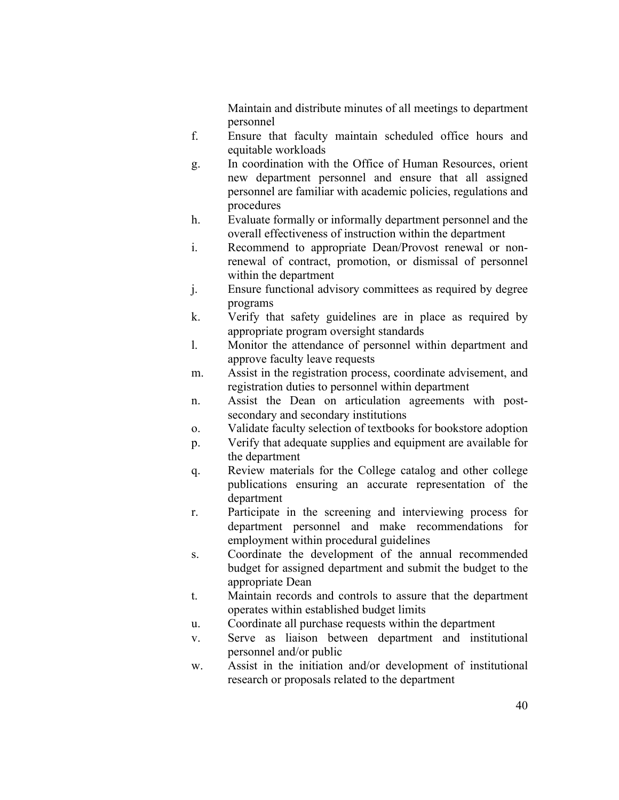Maintain and distribute minutes of all meetings to department personnel

- f. Ensure that faculty maintain scheduled office hours and equitable workloads
- g. In coordination with the Office of Human Resources, orient new department personnel and ensure that all assigned personnel are familiar with academic policies, regulations and procedures
- h. Evaluate formally or informally department personnel and the overall effectiveness of instruction within the department
- i. Recommend to appropriate Dean/Provost renewal or nonrenewal of contract, promotion, or dismissal of personnel within the department
- j. Ensure functional advisory committees as required by degree programs
- k. Verify that safety guidelines are in place as required by appropriate program oversight standards
- l. Monitor the attendance of personnel within department and approve faculty leave requests
- m. Assist in the registration process, coordinate advisement, and registration duties to personnel within department
- n. Assist the Dean on articulation agreements with postsecondary and secondary institutions
- o. Validate faculty selection of textbooks for bookstore adoption
- p. Verify that adequate supplies and equipment are available for the department
- q. Review materials for the College catalog and other college publications ensuring an accurate representation of the department
- r. Participate in the screening and interviewing process for department personnel and make recommendations for employment within procedural guidelines
- s. Coordinate the development of the annual recommended budget for assigned department and submit the budget to the appropriate Dean
- t. Maintain records and controls to assure that the department operates within established budget limits
- u. Coordinate all purchase requests within the department
- v. Serve as liaison between department and institutional personnel and/or public
- w. Assist in the initiation and/or development of institutional research or proposals related to the department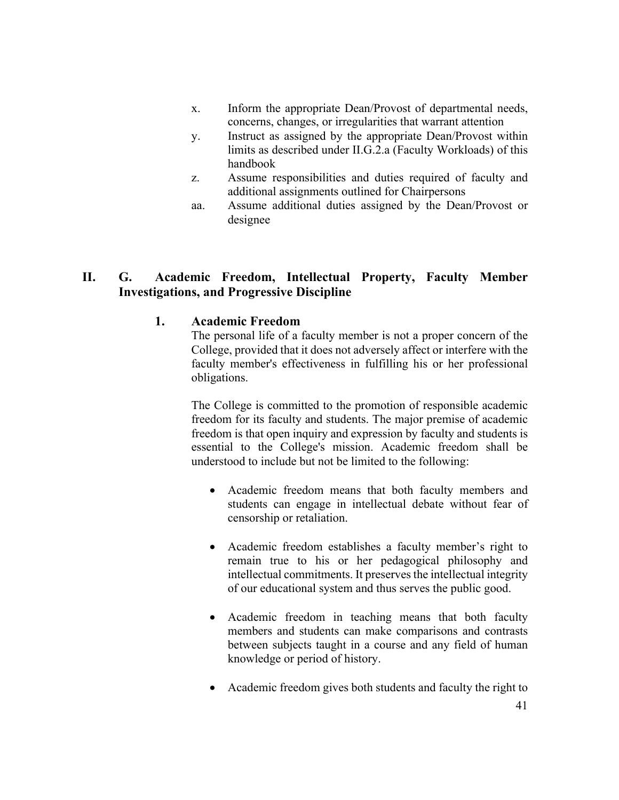- x. Inform the appropriate Dean/Provost of departmental needs, concerns, changes, or irregularities that warrant attention
- y. Instruct as assigned by the appropriate Dean/Provost within limits as described under II.G.2.a (Faculty Workloads) of this handbook
- z. Assume responsibilities and duties required of faculty and additional assignments outlined for Chairpersons
- aa. Assume additional duties assigned by the Dean/Provost or designee

# **II. G. Academic Freedom, Intellectual Property, Faculty Member Investigations, and Progressive Discipline**

## **1. Academic Freedom**

The personal life of a faculty member is not a proper concern of the College, provided that it does not adversely affect or interfere with the faculty member's effectiveness in fulfilling his or her professional obligations.

The College is committed to the promotion of responsible academic freedom for its faculty and students. The major premise of academic freedom is that open inquiry and expression by faculty and students is essential to the College's mission. Academic freedom shall be understood to include but not be limited to the following:

- Academic freedom means that both faculty members and students can engage in intellectual debate without fear of censorship or retaliation.
- Academic freedom establishes a faculty member's right to remain true to his or her pedagogical philosophy and intellectual commitments. It preserves the intellectual integrity of our educational system and thus serves the public good.
- Academic freedom in teaching means that both faculty members and students can make comparisons and contrasts between subjects taught in a course and any field of human knowledge or period of history.
- Academic freedom gives both students and faculty the right to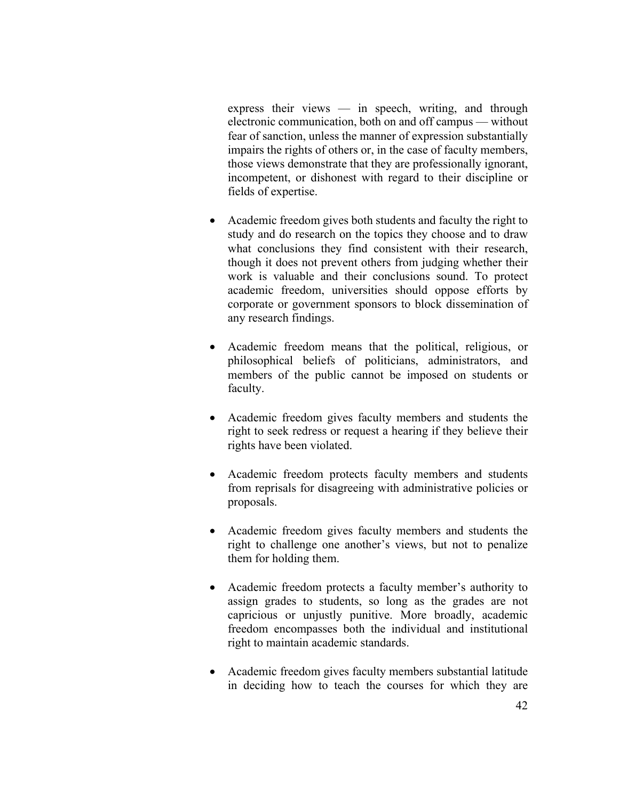express their views — in speech, writing, and through electronic communication, both on and off campus — without fear of sanction, unless the manner of expression substantially impairs the rights of others or, in the case of faculty members, those views demonstrate that they are professionally ignorant, incompetent, or dishonest with regard to their discipline or fields of expertise.

- Academic freedom gives both students and faculty the right to study and do research on the topics they choose and to draw what conclusions they find consistent with their research, though it does not prevent others from judging whether their work is valuable and their conclusions sound. To protect academic freedom, universities should oppose efforts by corporate or government sponsors to block dissemination of any research findings.
- Academic freedom means that the political, religious, or philosophical beliefs of politicians, administrators, and members of the public cannot be imposed on students or faculty.
- Academic freedom gives faculty members and students the right to seek redress or request a hearing if they believe their rights have been violated.
- Academic freedom protects faculty members and students from reprisals for disagreeing with administrative policies or proposals.
- Academic freedom gives faculty members and students the right to challenge one another's views, but not to penalize them for holding them.
- Academic freedom protects a faculty member's authority to assign grades to students, so long as the grades are not capricious or unjustly punitive. More broadly, academic freedom encompasses both the individual and institutional right to maintain academic standards.
- Academic freedom gives faculty members substantial latitude in deciding how to teach the courses for which they are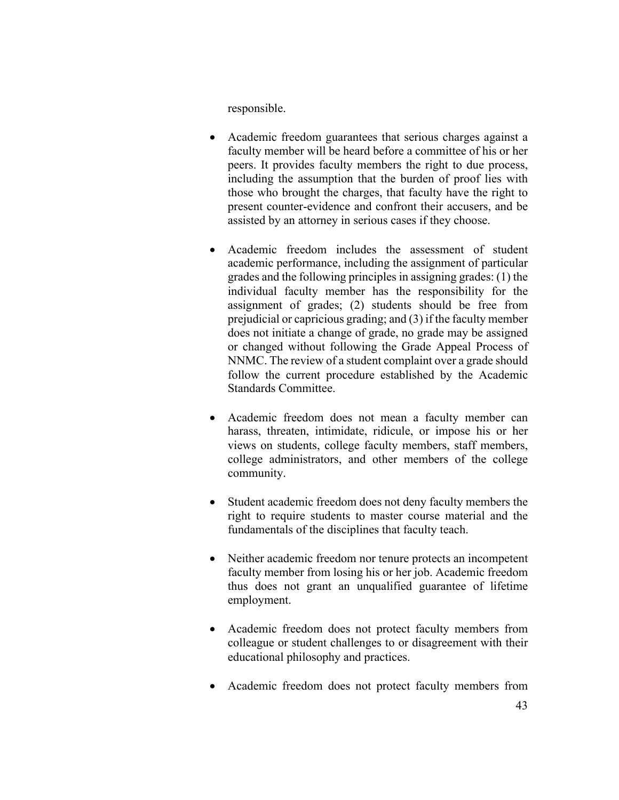responsible.

- Academic freedom guarantees that serious charges against a faculty member will be heard before a committee of his or her peers. It provides faculty members the right to due process, including the assumption that the burden of proof lies with those who brought the charges, that faculty have the right to present counter-evidence and confront their accusers, and be assisted by an attorney in serious cases if they choose.
- Academic freedom includes the assessment of student academic performance, including the assignment of particular grades and the following principles in assigning grades: (1) the individual faculty member has the responsibility for the assignment of grades; (2) students should be free from prejudicial or capricious grading; and (3) if the faculty member does not initiate a change of grade, no grade may be assigned or changed without following the Grade Appeal Process of NNMC. The review of a student complaint over a grade should follow the current procedure established by the Academic Standards Committee.
- Academic freedom does not mean a faculty member can harass, threaten, intimidate, ridicule, or impose his or her views on students, college faculty members, staff members, college administrators, and other members of the college community.
- Student academic freedom does not deny faculty members the right to require students to master course material and the fundamentals of the disciplines that faculty teach.
- Neither academic freedom nor tenure protects an incompetent faculty member from losing his or her job. Academic freedom thus does not grant an unqualified guarantee of lifetime employment.
- Academic freedom does not protect faculty members from colleague or student challenges to or disagreement with their educational philosophy and practices.
- Academic freedom does not protect faculty members from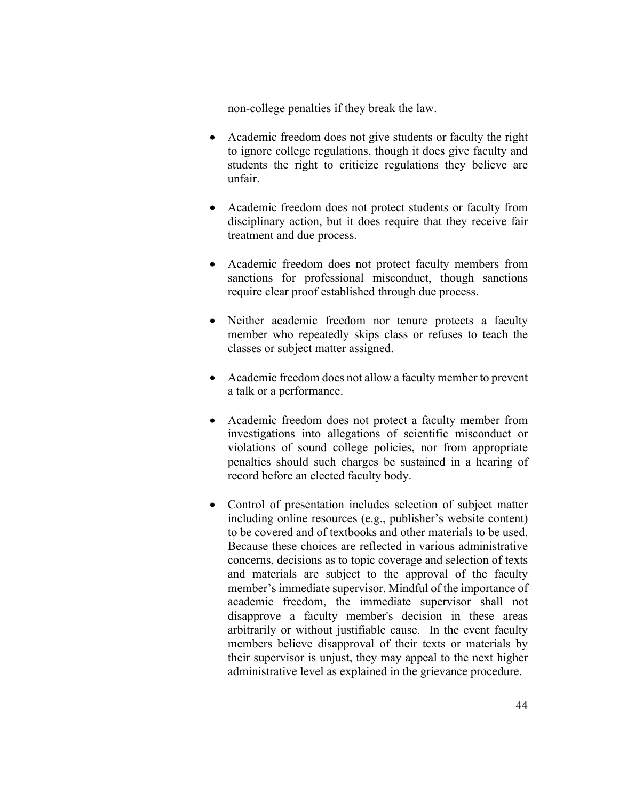non-college penalties if they break the law.

- Academic freedom does not give students or faculty the right to ignore college regulations, though it does give faculty and students the right to criticize regulations they believe are unfair.
- Academic freedom does not protect students or faculty from disciplinary action, but it does require that they receive fair treatment and due process.
- Academic freedom does not protect faculty members from sanctions for professional misconduct, though sanctions require clear proof established through due process.
- Neither academic freedom nor tenure protects a faculty member who repeatedly skips class or refuses to teach the classes or subject matter assigned.
- Academic freedom does not allow a faculty member to prevent a talk or a performance.
- Academic freedom does not protect a faculty member from investigations into allegations of scientific misconduct or violations of sound college policies, nor from appropriate penalties should such charges be sustained in a hearing of record before an elected faculty body.
- Control of presentation includes selection of subject matter including online resources (e.g., publisher's website content) to be covered and of textbooks and other materials to be used. Because these choices are reflected in various administrative concerns, decisions as to topic coverage and selection of texts and materials are subject to the approval of the faculty member's immediate supervisor. Mindful of the importance of academic freedom, the immediate supervisor shall not disapprove a faculty member's decision in these areas arbitrarily or without justifiable cause. In the event faculty members believe disapproval of their texts or materials by their supervisor is unjust, they may appeal to the next higher administrative level as explained in the grievance procedure.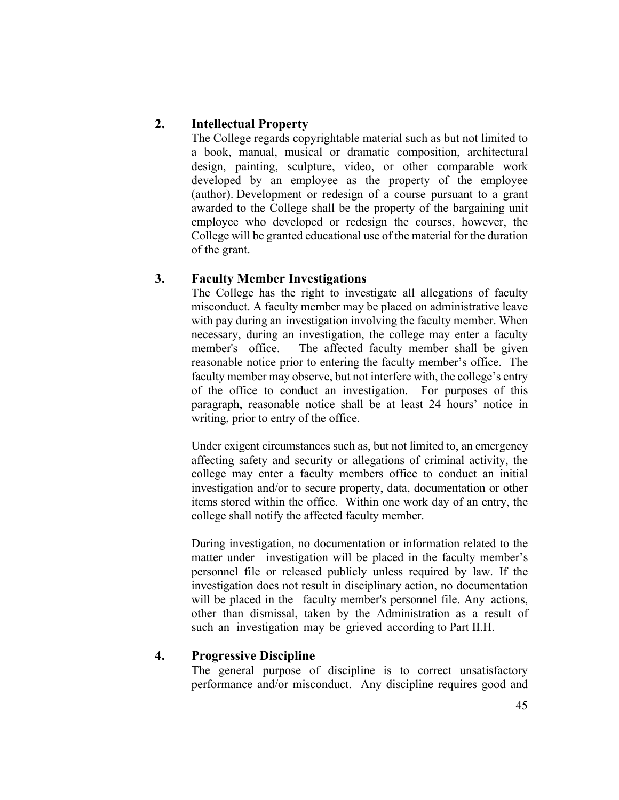# **2. Intellectual Property**

The College regards copyrightable material such as but not limited to a book, manual, musical or dramatic composition, architectural design, painting, sculpture, video, or other comparable work developed by an employee as the property of the employee (author). Development or redesign of a course pursuant to a grant awarded to the College shall be the property of the bargaining unit employee who developed or redesign the courses, however, the College will be granted educational use of the material for the duration of the grant.

# **3. Faculty Member Investigations**

The College has the right to investigate all allegations of faculty misconduct. A faculty member may be placed on administrative leave with pay during an investigation involving the faculty member. When necessary, during an investigation, the college may enter a faculty member's office. The affected faculty member shall be given reasonable notice prior to entering the faculty member's office. The faculty member may observe, but not interfere with, the college's entry of the office to conduct an investigation. For purposes of this paragraph, reasonable notice shall be at least 24 hours' notice in writing, prior to entry of the office.

Under exigent circumstances such as, but not limited to, an emergency affecting safety and security or allegations of criminal activity, the college may enter a faculty members office to conduct an initial investigation and/or to secure property, data, documentation or other items stored within the office. Within one work day of an entry, the college shall notify the affected faculty member.

During investigation, no documentation or information related to the matter under investigation will be placed in the faculty member's personnel file or released publicly unless required by law. If the investigation does not result in disciplinary action, no documentation will be placed in the faculty member's personnel file. Any actions, other than dismissal, taken by the Administration as a result of such an investigation may be grieved according to Part II.H.

# **4. Progressive Discipline**

The general purpose of discipline is to correct unsatisfactory performance and/or misconduct. Any discipline requires good and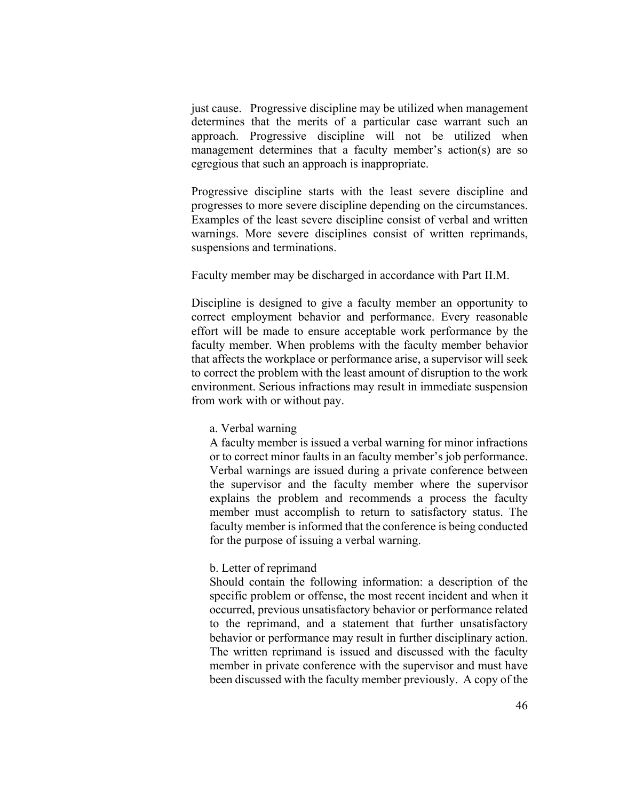just cause. Progressive discipline may be utilized when management determines that the merits of a particular case warrant such an approach. Progressive discipline will not be utilized when management determines that a faculty member's action(s) are so egregious that such an approach is inappropriate.

Progressive discipline starts with the least severe discipline and progresses to more severe discipline depending on the circumstances. Examples of the least severe discipline consist of verbal and written warnings. More severe disciplines consist of written reprimands, suspensions and terminations.

Faculty member may be discharged in accordance with Part II.M.

Discipline is designed to give a faculty member an opportunity to correct employment behavior and performance. Every reasonable effort will be made to ensure acceptable work performance by the faculty member. When problems with the faculty member behavior that affects the workplace or performance arise, a supervisor will seek to correct the problem with the least amount of disruption to the work environment. Serious infractions may result in immediate suspension from work with or without pay.

### a. Verbal warning

A faculty member is issued a verbal warning for minor infractions or to correct minor faults in an faculty member's job performance. Verbal warnings are issued during a private conference between the supervisor and the faculty member where the supervisor explains the problem and recommends a process the faculty member must accomplish to return to satisfactory status. The faculty member is informed that the conference is being conducted for the purpose of issuing a verbal warning.

### b. Letter of reprimand

Should contain the following information: a description of the specific problem or offense, the most recent incident and when it occurred, previous unsatisfactory behavior or performance related to the reprimand, and a statement that further unsatisfactory behavior or performance may result in further disciplinary action. The written reprimand is issued and discussed with the faculty member in private conference with the supervisor and must have been discussed with the faculty member previously. A copy of the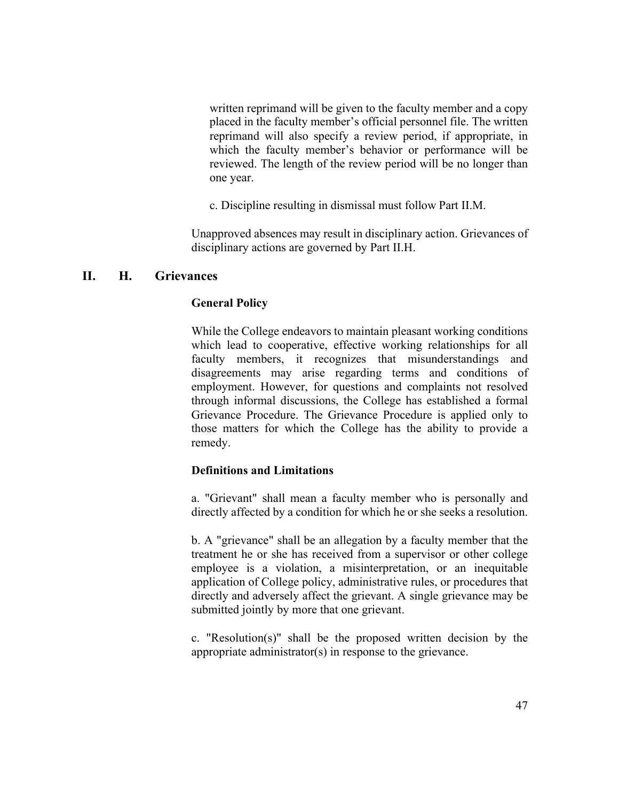written reprimand will be given to the faculty member and a copy placed in the faculty member's official personnel file. The written reprimand will also specify a review period, if appropriate, in which the faculty member's behavior or performance will be reviewed. The length of the review period will be no longer than one year.

c. Discipline resulting in dismissal must follow Part II.M.

Unapproved absences may result in disciplinary action. Grievances of disciplinary actions are governed by Part II.H.

### **II. H. Grievances**

### **General Policy**

While the College endeavors to maintain pleasant working conditions which lead to cooperative, effective working relationships for all faculty members, it recognizes that misunderstandings and disagreements may arise regarding terms and conditions of employment. However, for questions and complaints not resolved through informal discussions, the College has established a formal Grievance Procedure. The Grievance Procedure is applied only to those matters for which the College has the ability to provide a remedy.

### **Definitions and Limitations**

a. "Grievant" shall mean a faculty member who is personally and directly affected by a condition for which he or she seeks a resolution.

b. A "grievance" shall be an allegation by a faculty member that the treatment he or she has received from a supervisor or other college employee is a violation, a misinterpretation, or an inequitable application of College policy, administrative rules, or procedures that directly and adversely affect the grievant. A single grievance may be submitted jointly by more that one grievant.

c. "Resolution(s)" shall be the proposed written decision by the appropriate administrator(s) in response to the grievance.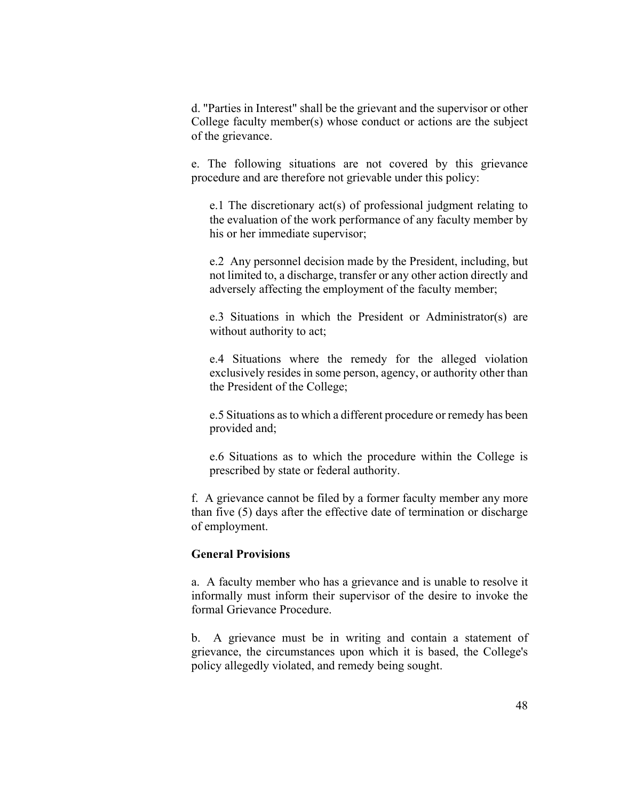d. "Parties in Interest" shall be the grievant and the supervisor or other College faculty member(s) whose conduct or actions are the subject of the grievance.

e. The following situations are not covered by this grievance procedure and are therefore not grievable under this policy:

e.1 The discretionary act(s) of professional judgment relating to the evaluation of the work performance of any faculty member by his or her immediate supervisor;

e.2 Any personnel decision made by the President, including, but not limited to, a discharge, transfer or any other action directly and adversely affecting the employment of the faculty member;

e.3 Situations in which the President or Administrator(s) are without authority to act;

e.4 Situations where the remedy for the alleged violation exclusively resides in some person, agency, or authority other than the President of the College;

e.5 Situations as to which a different procedure or remedy has been provided and;

e.6 Situations as to which the procedure within the College is prescribed by state or federal authority.

f. A grievance cannot be filed by a former faculty member any more than five (5) days after the effective date of termination or discharge of employment.

### **General Provisions**

a. A faculty member who has a grievance and is unable to resolve it informally must inform their supervisor of the desire to invoke the formal Grievance Procedure.

b. A grievance must be in writing and contain a statement of grievance, the circumstances upon which it is based, the College's policy allegedly violated, and remedy being sought.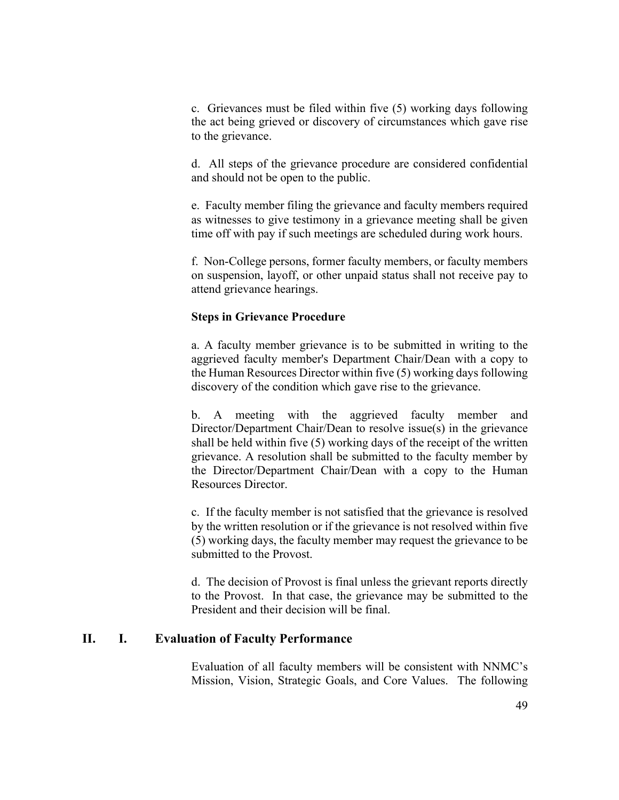c. Grievances must be filed within five (5) working days following the act being grieved or discovery of circumstances which gave rise to the grievance.

d. All steps of the grievance procedure are considered confidential and should not be open to the public.

e. Faculty member filing the grievance and faculty members required as witnesses to give testimony in a grievance meeting shall be given time off with pay if such meetings are scheduled during work hours.

f. Non-College persons, former faculty members, or faculty members on suspension, layoff, or other unpaid status shall not receive pay to attend grievance hearings.

### **Steps in Grievance Procedure**

a. A faculty member grievance is to be submitted in writing to the aggrieved faculty member's Department Chair/Dean with a copy to the Human Resources Director within five (5) working days following discovery of the condition which gave rise to the grievance.

b. A meeting with the aggrieved faculty member and Director/Department Chair/Dean to resolve issue(s) in the grievance shall be held within five (5) working days of the receipt of the written grievance. A resolution shall be submitted to the faculty member by the Director/Department Chair/Dean with a copy to the Human Resources Director.

c. If the faculty member is not satisfied that the grievance is resolved by the written resolution or if the grievance is not resolved within five (5) working days, the faculty member may request the grievance to be submitted to the Provost.

d. The decision of Provost is final unless the grievant reports directly to the Provost. In that case, the grievance may be submitted to the President and their decision will be final.

## **II. I. Evaluation of Faculty Performance**

Evaluation of all faculty members will be consistent with NNMC's Mission, Vision, Strategic Goals, and Core Values. The following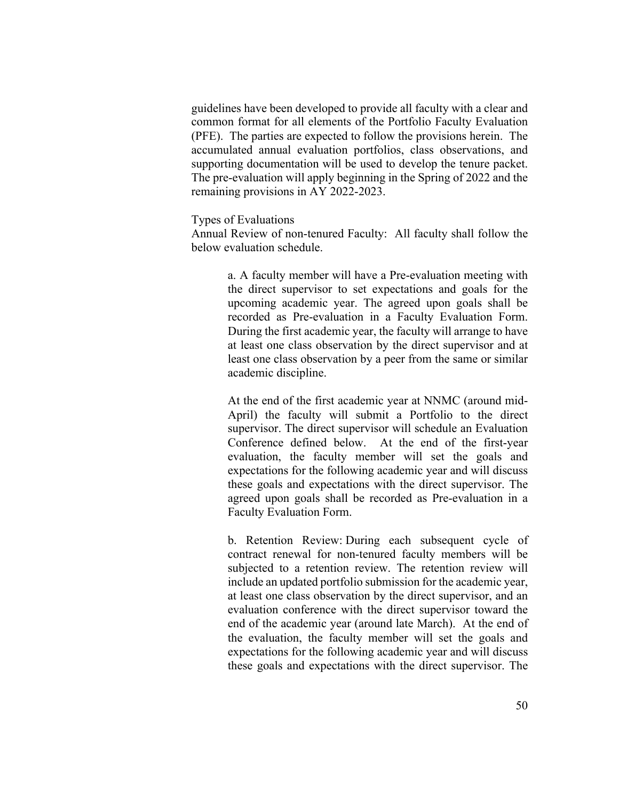guidelines have been developed to provide all faculty with a clear and common format for all elements of the Portfolio Faculty Evaluation (PFE). The parties are expected to follow the provisions herein. The accumulated annual evaluation portfolios, class observations, and supporting documentation will be used to develop the tenure packet. The pre-evaluation will apply beginning in the Spring of 2022 and the remaining provisions in AY 2022-2023.

### Types of Evaluations

Annual Review of non-tenured Faculty: All faculty shall follow the below evaluation schedule.

> a. A faculty member will have a Pre-evaluation meeting with the direct supervisor to set expectations and goals for the upcoming academic year. The agreed upon goals shall be recorded as Pre-evaluation in a Faculty Evaluation Form. During the first academic year, the faculty will arrange to have at least one class observation by the direct supervisor and at least one class observation by a peer from the same or similar academic discipline.

> At the end of the first academic year at NNMC (around mid-April) the faculty will submit a Portfolio to the direct supervisor. The direct supervisor will schedule an Evaluation Conference defined below. At the end of the first-year evaluation, the faculty member will set the goals and expectations for the following academic year and will discuss these goals and expectations with the direct supervisor. The agreed upon goals shall be recorded as Pre-evaluation in a Faculty Evaluation Form.

> b. Retention Review: During each subsequent cycle of contract renewal for non-tenured faculty members will be subjected to a retention review. The retention review will include an updated portfolio submission for the academic year, at least one class observation by the direct supervisor, and an evaluation conference with the direct supervisor toward the end of the academic year (around late March). At the end of the evaluation, the faculty member will set the goals and expectations for the following academic year and will discuss these goals and expectations with the direct supervisor. The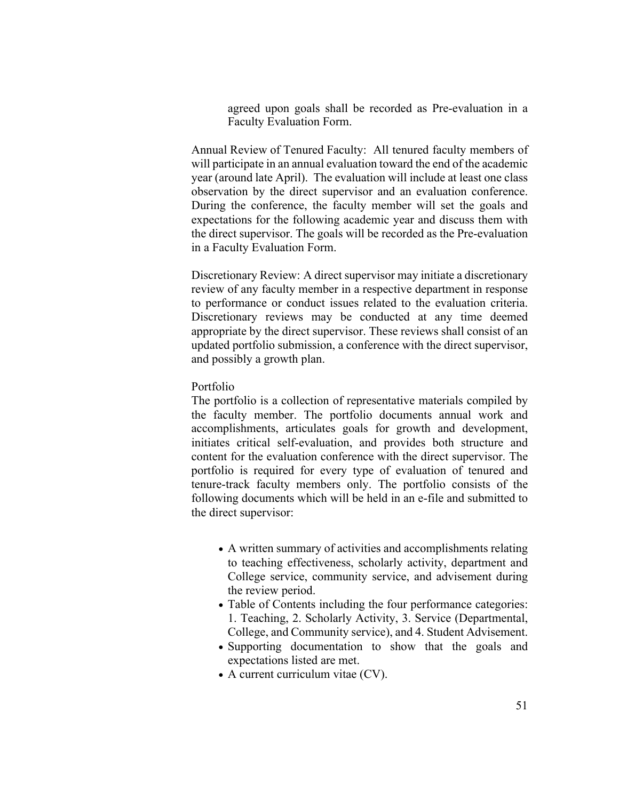agreed upon goals shall be recorded as Pre-evaluation in a Faculty Evaluation Form.

Annual Review of Tenured Faculty: All tenured faculty members of will participate in an annual evaluation toward the end of the academic year (around late April). The evaluation will include at least one class observation by the direct supervisor and an evaluation conference. During the conference, the faculty member will set the goals and expectations for the following academic year and discuss them with the direct supervisor. The goals will be recorded as the Pre-evaluation in a Faculty Evaluation Form.

Discretionary Review: A direct supervisor may initiate a discretionary review of any faculty member in a respective department in response to performance or conduct issues related to the evaluation criteria. Discretionary reviews may be conducted at any time deemed appropriate by the direct supervisor. These reviews shall consist of an updated portfolio submission, a conference with the direct supervisor, and possibly a growth plan.

### Portfolio

The portfolio is a collection of representative materials compiled by the faculty member. The portfolio documents annual work and accomplishments, articulates goals for growth and development, initiates critical self-evaluation, and provides both structure and content for the evaluation conference with the direct supervisor. The portfolio is required for every type of evaluation of tenured and tenure-track faculty members only. The portfolio consists of the following documents which will be held in an e-file and submitted to the direct supervisor:

- A written summary of activities and accomplishments relating to teaching effectiveness, scholarly activity, department and College service, community service, and advisement during the review period.
- Table of Contents including the four performance categories: 1. Teaching, 2. Scholarly Activity, 3. Service (Departmental, College, and Community service), and 4. Student Advisement.
- Supporting documentation to show that the goals and expectations listed are met.
- A current curriculum vitae (CV).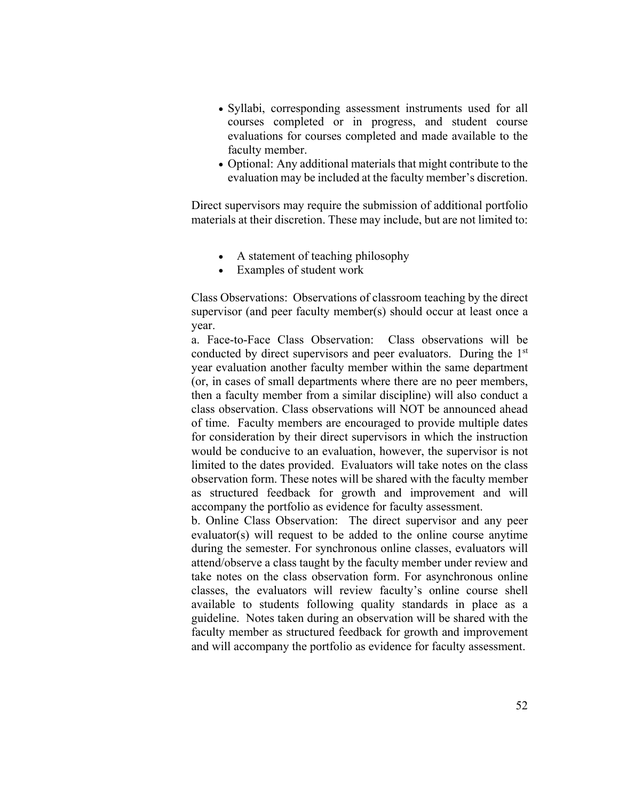- Syllabi, corresponding assessment instruments used for all courses completed or in progress, and student course evaluations for courses completed and made available to the faculty member.
- Optional: Any additional materials that might contribute to the evaluation may be included at the faculty member's discretion.

Direct supervisors may require the submission of additional portfolio materials at their discretion. These may include, but are not limited to:

- A statement of teaching philosophy
- Examples of student work

Class Observations: Observations of classroom teaching by the direct supervisor (and peer faculty member(s) should occur at least once a year.

a. Face-to-Face Class Observation: Class observations will be conducted by direct supervisors and peer evaluators. During the 1st year evaluation another faculty member within the same department (or, in cases of small departments where there are no peer members, then a faculty member from a similar discipline) will also conduct a class observation. Class observations will NOT be announced ahead of time. Faculty members are encouraged to provide multiple dates for consideration by their direct supervisors in which the instruction would be conducive to an evaluation, however, the supervisor is not limited to the dates provided. Evaluators will take notes on the class observation form. These notes will be shared with the faculty member as structured feedback for growth and improvement and will accompany the portfolio as evidence for faculty assessment.

b. Online Class Observation: The direct supervisor and any peer evaluator(s) will request to be added to the online course anytime during the semester. For synchronous online classes, evaluators will attend/observe a class taught by the faculty member under review and take notes on the class observation form. For asynchronous online classes, the evaluators will review faculty's online course shell available to students following quality standards in place as a guideline. Notes taken during an observation will be shared with the faculty member as structured feedback for growth and improvement and will accompany the portfolio as evidence for faculty assessment.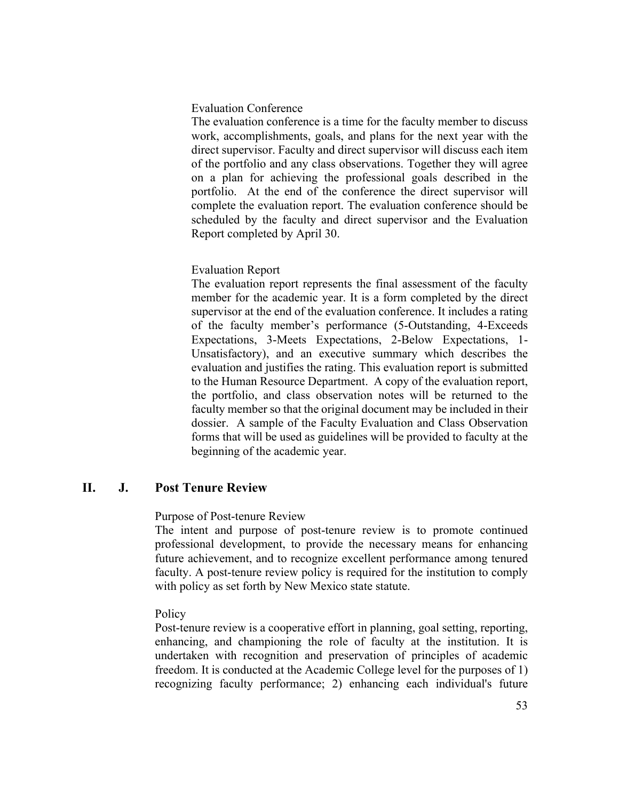### Evaluation Conference

The evaluation conference is a time for the faculty member to discuss work, accomplishments, goals, and plans for the next year with the direct supervisor. Faculty and direct supervisor will discuss each item of the portfolio and any class observations. Together they will agree on a plan for achieving the professional goals described in the portfolio. At the end of the conference the direct supervisor will complete the evaluation report. The evaluation conference should be scheduled by the faculty and direct supervisor and the Evaluation Report completed by April 30.

### Evaluation Report

The evaluation report represents the final assessment of the faculty member for the academic year. It is a form completed by the direct supervisor at the end of the evaluation conference. It includes a rating of the faculty member's performance (5-Outstanding, 4-Exceeds Expectations, 3-Meets Expectations, 2-Below Expectations, 1- Unsatisfactory), and an executive summary which describes the evaluation and justifies the rating. This evaluation report is submitted to the Human Resource Department. A copy of the evaluation report, the portfolio, and class observation notes will be returned to the faculty member so that the original document may be included in their dossier. A sample of the Faculty Evaluation and Class Observation forms that will be used as guidelines will be provided to faculty at the beginning of the academic year.

### **II. J. Post Tenure Review**

### Purpose of Post-tenure Review

The intent and purpose of post-tenure review is to promote continued professional development, to provide the necessary means for enhancing future achievement, and to recognize excellent performance among tenured faculty. A post-tenure review policy is required for the institution to comply with policy as set forth by New Mexico state statute.

### **Policy**

Post-tenure review is a cooperative effort in planning, goal setting, reporting, enhancing, and championing the role of faculty at the institution. It is undertaken with recognition and preservation of principles of academic freedom. It is conducted at the Academic College level for the purposes of 1) recognizing faculty performance; 2) enhancing each individual's future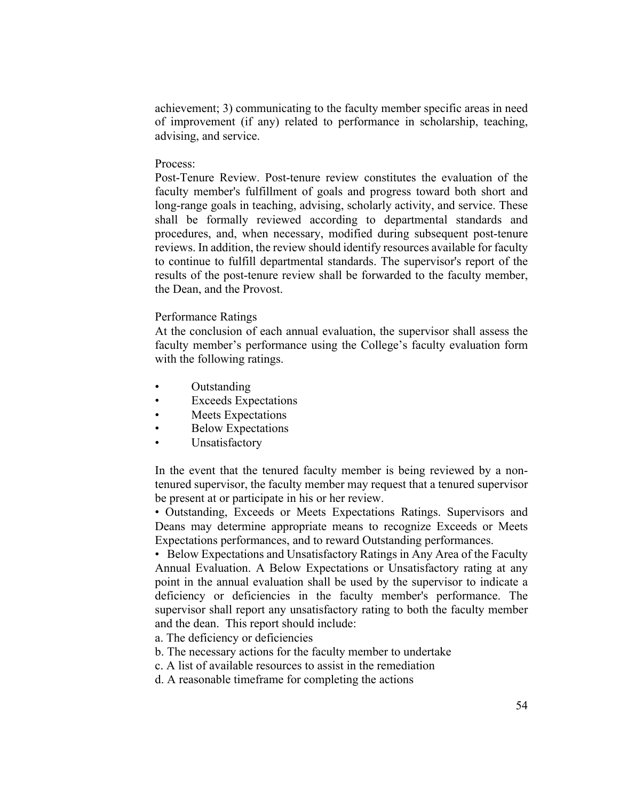achievement; 3) communicating to the faculty member specific areas in need of improvement (if any) related to performance in scholarship, teaching, advising, and service.

### Process:

Post-Tenure Review. Post-tenure review constitutes the evaluation of the faculty member's fulfillment of goals and progress toward both short and long-range goals in teaching, advising, scholarly activity, and service. These shall be formally reviewed according to departmental standards and procedures, and, when necessary, modified during subsequent post-tenure reviews. In addition, the review should identify resources available for faculty to continue to fulfill departmental standards. The supervisor's report of the results of the post-tenure review shall be forwarded to the faculty member, the Dean, and the Provost.

### Performance Ratings

At the conclusion of each annual evaluation, the supervisor shall assess the faculty member's performance using the College's faculty evaluation form with the following ratings.

- Outstanding
- **Exceeds Expectations**
- Meets Expectations
- **Below Expectations**
- **Unsatisfactory**

In the event that the tenured faculty member is being reviewed by a nontenured supervisor, the faculty member may request that a tenured supervisor be present at or participate in his or her review.

• Outstanding, Exceeds or Meets Expectations Ratings. Supervisors and Deans may determine appropriate means to recognize Exceeds or Meets Expectations performances, and to reward Outstanding performances.

• Below Expectations and Unsatisfactory Ratings in Any Area of the Faculty Annual Evaluation. A Below Expectations or Unsatisfactory rating at any point in the annual evaluation shall be used by the supervisor to indicate a deficiency or deficiencies in the faculty member's performance. The supervisor shall report any unsatisfactory rating to both the faculty member and the dean. This report should include:

a. The deficiency or deficiencies

- b. The necessary actions for the faculty member to undertake
- c. A list of available resources to assist in the remediation
- d. A reasonable timeframe for completing the actions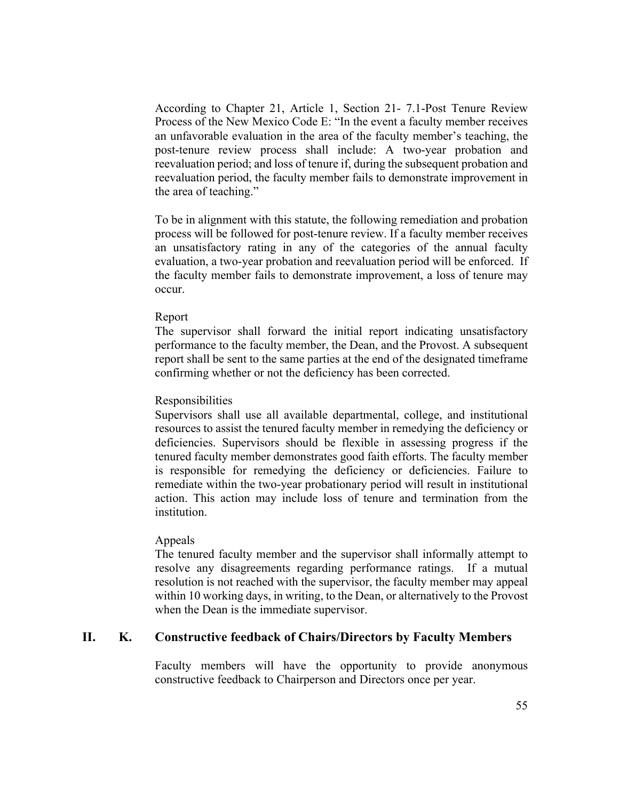According to Chapter 21, Article 1, Section 21- 7.1-Post Tenure Review Process of the New Mexico Code E: "In the event a faculty member receives an unfavorable evaluation in the area of the faculty member's teaching, the post-tenure review process shall include: A two-year probation and reevaluation period; and loss of tenure if, during the subsequent probation and reevaluation period, the faculty member fails to demonstrate improvement in the area of teaching."

To be in alignment with this statute, the following remediation and probation process will be followed for post-tenure review. If a faculty member receives an unsatisfactory rating in any of the categories of the annual faculty evaluation, a two-year probation and reevaluation period will be enforced. If the faculty member fails to demonstrate improvement, a loss of tenure may occur.

### Report

The supervisor shall forward the initial report indicating unsatisfactory performance to the faculty member, the Dean, and the Provost. A subsequent report shall be sent to the same parties at the end of the designated timeframe confirming whether or not the deficiency has been corrected.

#### Responsibilities

Supervisors shall use all available departmental, college, and institutional resources to assist the tenured faculty member in remedying the deficiency or deficiencies. Supervisors should be flexible in assessing progress if the tenured faculty member demonstrates good faith efforts. The faculty member is responsible for remedying the deficiency or deficiencies. Failure to remediate within the two-year probationary period will result in institutional action. This action may include loss of tenure and termination from the institution.

#### Appeals

The tenured faculty member and the supervisor shall informally attempt to resolve any disagreements regarding performance ratings. If a mutual resolution is not reached with the supervisor, the faculty member may appeal within 10 working days, in writing, to the Dean, or alternatively to the Provost when the Dean is the immediate supervisor.

## **II. K. Constructive feedback of Chairs/Directors by Faculty Members**

Faculty members will have the opportunity to provide anonymous constructive feedback to Chairperson and Directors once per year.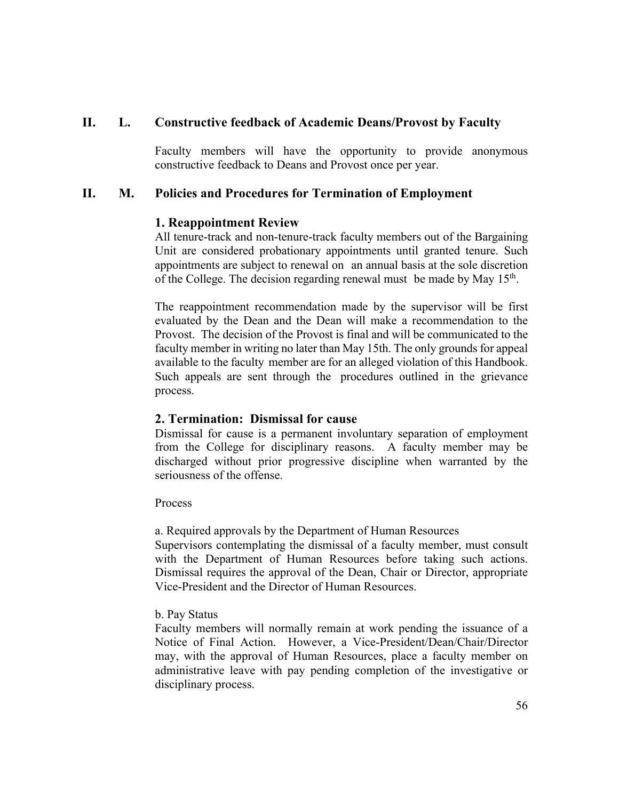# **II. L. Constructive feedback of Academic Deans/Provost by Faculty**

Faculty members will have the opportunity to provide anonymous constructive feedback to Deans and Provost once per year.

# **II. M. Policies and Procedures for Termination of Employment**

## **1. Reappointment Review**

All tenure-track and non-tenure-track faculty members out of the Bargaining Unit are considered probationary appointments until granted tenure. Such appointments are subject to renewal on an annual basis at the sole discretion of the College. The decision regarding renewal must be made by May 15<sup>th</sup>.

The reappointment recommendation made by the supervisor will be first evaluated by the Dean and the Dean will make a recommendation to the Provost. The decision of the Provost is final and will be communicated to the faculty member in writing no later than May 15th. The only grounds for appeal available to the faculty member are for an alleged violation of this Handbook. Such appeals are sent through the procedures outlined in the grievance process.

## **2. Termination: Dismissal for cause**

Dismissal for cause is a permanent involuntary separation of employment from the College for disciplinary reasons. A faculty member may be discharged without prior progressive discipline when warranted by the seriousness of the offense.

Process

a. Required approvals by the Department of Human Resources

Supervisors contemplating the dismissal of a faculty member, must consult with the Department of Human Resources before taking such actions. Dismissal requires the approval of the Dean, Chair or Director, appropriate Vice-President and the Director of Human Resources.

### b. Pay Status

Faculty members will normally remain at work pending the issuance of a Notice of Final Action. However, a Vice-President/Dean/Chair/Director may, with the approval of Human Resources, place a faculty member on administrative leave with pay pending completion of the investigative or disciplinary process.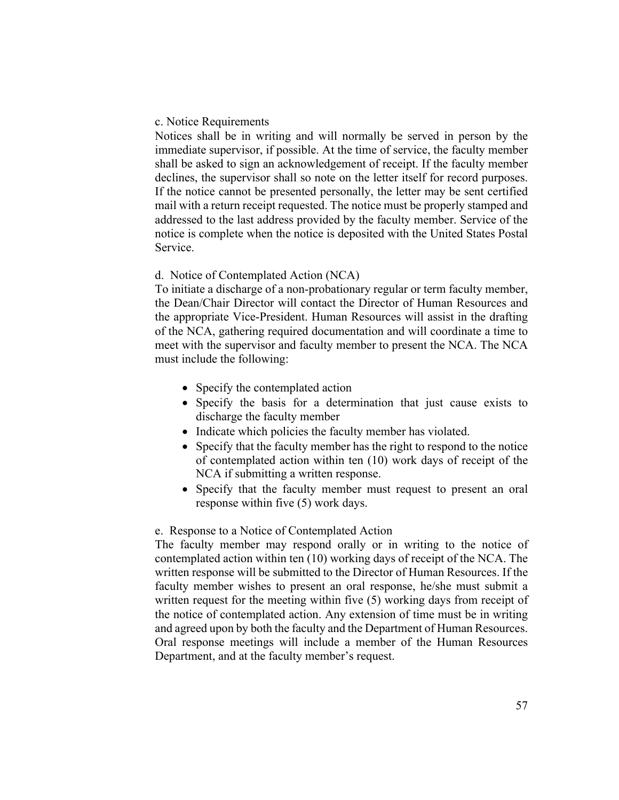### c. Notice Requirements

Notices shall be in writing and will normally be served in person by the immediate supervisor, if possible. At the time of service, the faculty member shall be asked to sign an acknowledgement of receipt. If the faculty member declines, the supervisor shall so note on the letter itself for record purposes. If the notice cannot be presented personally, the letter may be sent certified mail with a return receipt requested. The notice must be properly stamped and addressed to the last address provided by the faculty member. Service of the notice is complete when the notice is deposited with the United States Postal Service.

## d. Notice of Contemplated Action (NCA)

To initiate a discharge of a non-probationary regular or term faculty member, the Dean/Chair Director will contact the Director of Human Resources and the appropriate Vice-President. Human Resources will assist in the drafting of the NCA, gathering required documentation and will coordinate a time to meet with the supervisor and faculty member to present the NCA. The NCA must include the following:

- Specify the contemplated action
- Specify the basis for a determination that just cause exists to discharge the faculty member
- Indicate which policies the faculty member has violated.
- Specify that the faculty member has the right to respond to the notice of contemplated action within ten (10) work days of receipt of the NCA if submitting a written response.
- Specify that the faculty member must request to present an oral response within five (5) work days.

### e. Response to a Notice of Contemplated Action

The faculty member may respond orally or in writing to the notice of contemplated action within ten (10) working days of receipt of the NCA. The written response will be submitted to the Director of Human Resources. If the faculty member wishes to present an oral response, he/she must submit a written request for the meeting within five (5) working days from receipt of the notice of contemplated action. Any extension of time must be in writing and agreed upon by both the faculty and the Department of Human Resources. Oral response meetings will include a member of the Human Resources Department, and at the faculty member's request.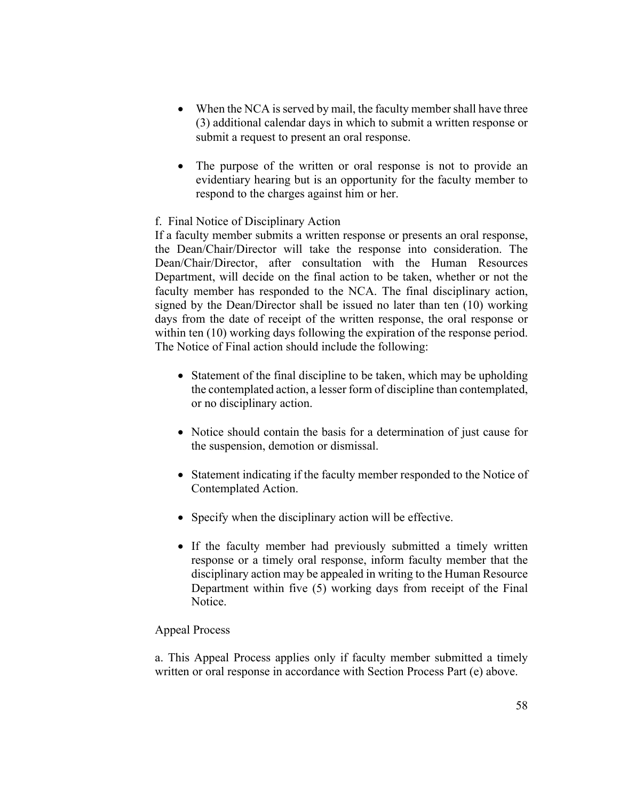- When the NCA is served by mail, the faculty member shall have three (3) additional calendar days in which to submit a written response or submit a request to present an oral response.
- The purpose of the written or oral response is not to provide an evidentiary hearing but is an opportunity for the faculty member to respond to the charges against him or her.

## f. Final Notice of Disciplinary Action

If a faculty member submits a written response or presents an oral response, the Dean/Chair/Director will take the response into consideration. The Dean/Chair/Director, after consultation with the Human Resources Department, will decide on the final action to be taken, whether or not the faculty member has responded to the NCA. The final disciplinary action, signed by the Dean/Director shall be issued no later than ten (10) working days from the date of receipt of the written response, the oral response or within ten (10) working days following the expiration of the response period. The Notice of Final action should include the following:

- Statement of the final discipline to be taken, which may be upholding the contemplated action, a lesser form of discipline than contemplated, or no disciplinary action.
- Notice should contain the basis for a determination of just cause for the suspension, demotion or dismissal.
- Statement indicating if the faculty member responded to the Notice of Contemplated Action.
- Specify when the disciplinary action will be effective.
- If the faculty member had previously submitted a timely written response or a timely oral response, inform faculty member that the disciplinary action may be appealed in writing to the Human Resource Department within five (5) working days from receipt of the Final Notice.

## Appeal Process

a. This Appeal Process applies only if faculty member submitted a timely written or oral response in accordance with Section Process Part (e) above.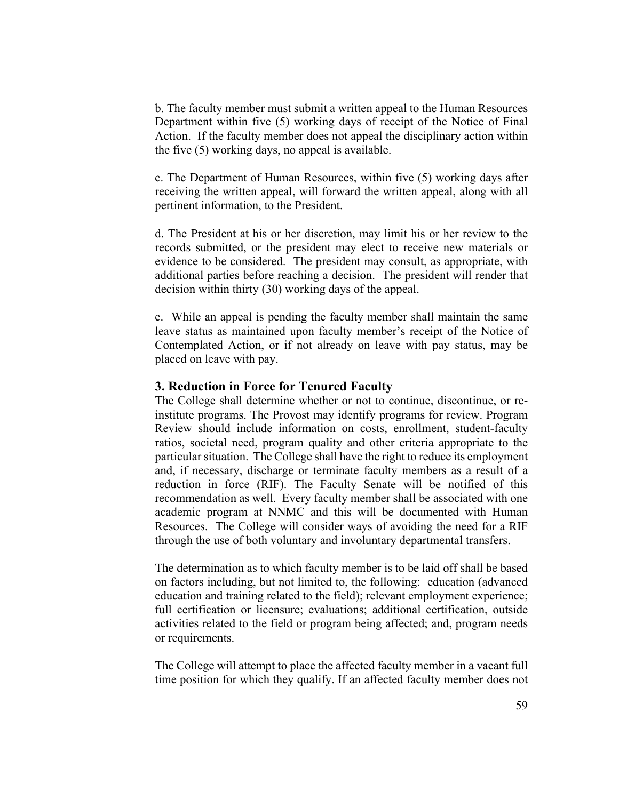b. The faculty member must submit a written appeal to the Human Resources Department within five (5) working days of receipt of the Notice of Final Action. If the faculty member does not appeal the disciplinary action within the five (5) working days, no appeal is available.

c. The Department of Human Resources, within five (5) working days after receiving the written appeal, will forward the written appeal, along with all pertinent information, to the President.

d. The President at his or her discretion, may limit his or her review to the records submitted, or the president may elect to receive new materials or evidence to be considered. The president may consult, as appropriate, with additional parties before reaching a decision. The president will render that decision within thirty (30) working days of the appeal.

e. While an appeal is pending the faculty member shall maintain the same leave status as maintained upon faculty member's receipt of the Notice of Contemplated Action, or if not already on leave with pay status, may be placed on leave with pay.

### **3. Reduction in Force for Tenured Faculty**

The College shall determine whether or not to continue, discontinue, or reinstitute programs. The Provost may identify programs for review. Program Review should include information on costs, enrollment, student-faculty ratios, societal need, program quality and other criteria appropriate to the particular situation. The College shall have the right to reduce its employment and, if necessary, discharge or terminate faculty members as a result of a reduction in force (RIF). The Faculty Senate will be notified of this recommendation as well. Every faculty member shall be associated with one academic program at NNMC and this will be documented with Human Resources. The College will consider ways of avoiding the need for a RIF through the use of both voluntary and involuntary departmental transfers.

The determination as to which faculty member is to be laid off shall be based on factors including, but not limited to, the following: education (advanced education and training related to the field); relevant employment experience; full certification or licensure; evaluations; additional certification, outside activities related to the field or program being affected; and, program needs or requirements.

The College will attempt to place the affected faculty member in a vacant full time position for which they qualify. If an affected faculty member does not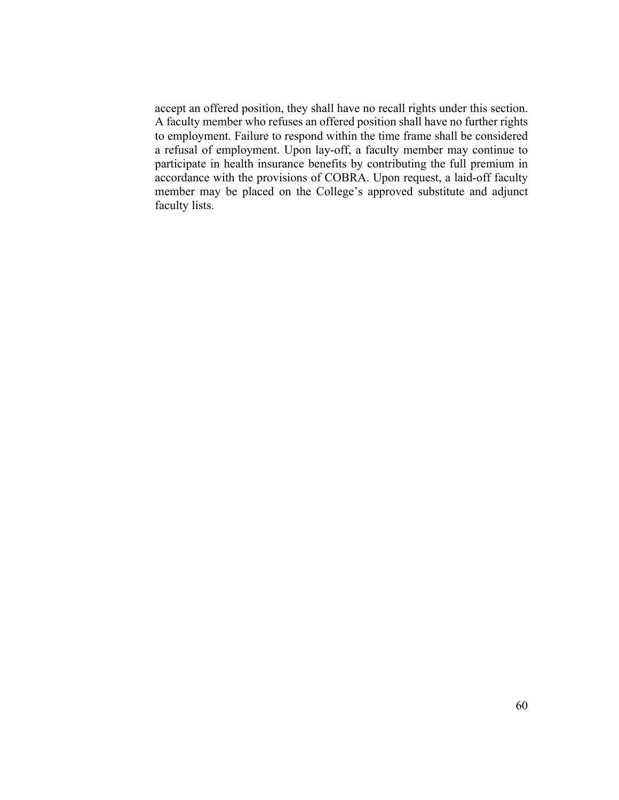accept an offered position, they shall have no recall rights under this section. A faculty member who refuses an offered position shall have no further rights to employment. Failure to respond within the time frame shall be considered a refusal of employment. Upon lay-off, a faculty member may continue to participate in health insurance benefits by contributing the full premium in accordance with the provisions of COBRA. Upon request, a laid-off faculty member may be placed on the College's approved substitute and adjunct faculty lists.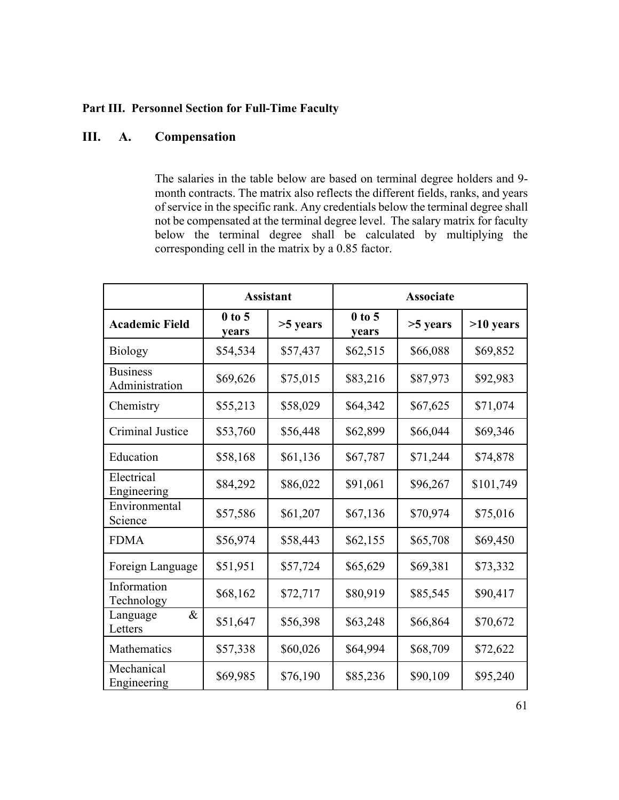# **Part III. Personnel Section for Full-Time Faculty**

# **III. A. Compensation**

The salaries in the table below are based on terminal degree holders and 9 month contracts. The matrix also reflects the different fields, ranks, and years of service in the specific rank. Any credentials below the terminal degree shall not be compensated at the terminal degree level. The salary matrix for faculty below the terminal degree shall be calculated by multiplying the corresponding cell in the matrix by a 0.85 factor.

|                                   | <b>Assistant</b>  |            | <b>Associate</b>  |          |             |
|-----------------------------------|-------------------|------------|-------------------|----------|-------------|
| <b>Academic Field</b>             | $0$ to 5<br>years | $>5$ years | $0$ to 5<br>years | >5 years | $>10$ years |
| <b>Biology</b>                    | \$54,534          | \$57,437   | \$62,515          | \$66,088 | \$69,852    |
| <b>Business</b><br>Administration | \$69,626          | \$75,015   | \$83,216          | \$87,973 | \$92,983    |
| Chemistry                         | \$55,213          | \$58,029   | \$64,342          | \$67,625 | \$71,074    |
| <b>Criminal Justice</b>           | \$53,760          | \$56,448   | \$62,899          | \$66,044 | \$69,346    |
| Education                         | \$58,168          | \$61,136   | \$67,787          | \$71,244 | \$74,878    |
| Electrical<br>Engineering         | \$84,292          | \$86,022   | \$91,061          | \$96,267 | \$101,749   |
| Environmental<br>Science          | \$57,586          | \$61,207   | \$67,136          | \$70,974 | \$75,016    |
| <b>FDMA</b>                       | \$56,974          | \$58,443   | \$62,155          | \$65,708 | \$69,450    |
| Foreign Language                  | \$51,951          | \$57,724   | \$65,629          | \$69,381 | \$73,332    |
| Information<br>Technology         | \$68,162          | \$72,717   | \$80,919          | \$85,545 | \$90,417    |
| $\&$<br>Language<br>Letters       | \$51,647          | \$56,398   | \$63,248          | \$66,864 | \$70,672    |
| Mathematics                       | \$57,338          | \$60,026   | \$64,994          | \$68,709 | \$72,622    |
| Mechanical<br>Engineering         | \$69,985          | \$76,190   | \$85,236          | \$90,109 | \$95,240    |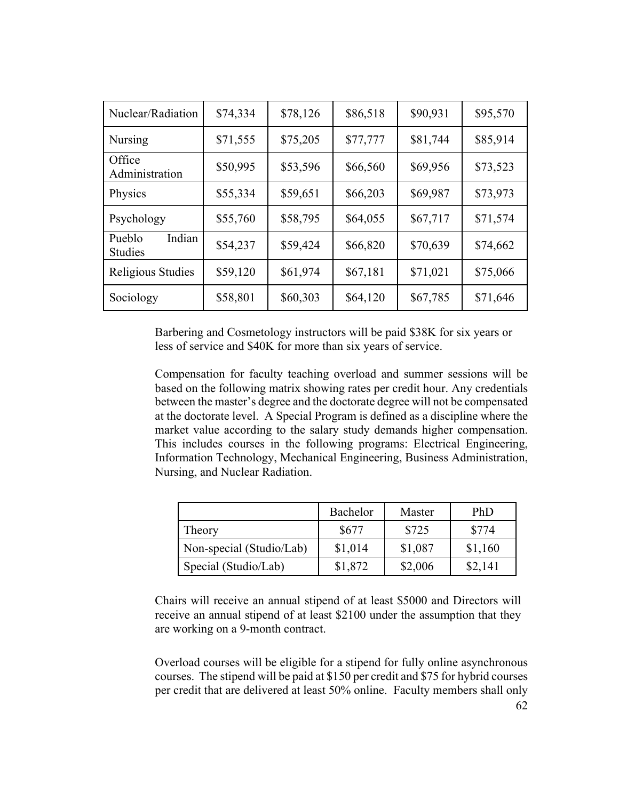| Nuclear/Radiation                  | \$74,334 | \$78,126 | \$86,518 | \$90,931 | \$95,570 |
|------------------------------------|----------|----------|----------|----------|----------|
| Nursing                            | \$71,555 | \$75,205 | \$77,777 | \$81,744 | \$85,914 |
| Office<br>Administration           | \$50,995 | \$53,596 | \$66,560 | \$69,956 | \$73,523 |
| Physics                            | \$55,334 | \$59,651 | \$66,203 | \$69,987 | \$73,973 |
| Psychology                         | \$55,760 | \$58,795 | \$64,055 | \$67,717 | \$71,574 |
| Indian<br>Pueblo<br><b>Studies</b> | \$54,237 | \$59,424 | \$66,820 | \$70,639 | \$74,662 |
| Religious Studies                  | \$59,120 | \$61,974 | \$67,181 | \$71,021 | \$75,066 |
| Sociology                          | \$58,801 | \$60,303 | \$64,120 | \$67,785 | \$71,646 |

Barbering and Cosmetology instructors will be paid \$38K for six years or less of service and \$40K for more than six years of service.

Compensation for faculty teaching overload and summer sessions will be based on the following matrix showing rates per credit hour. Any credentials between the master's degree and the doctorate degree will not be compensated at the doctorate level. A Special Program is defined as a discipline where the market value according to the salary study demands higher compensation. This includes courses in the following programs: Electrical Engineering, Information Technology, Mechanical Engineering, Business Administration, Nursing, and Nuclear Radiation.

|                          | Bachelor | Master  | PhD     |
|--------------------------|----------|---------|---------|
| Theory                   | \$677    | \$725   | \$774   |
| Non-special (Studio/Lab) | \$1,014  | \$1,087 | \$1,160 |
| Special (Studio/Lab)     | \$1,872  | \$2,006 | \$2,141 |

Chairs will receive an annual stipend of at least \$5000 and Directors will receive an annual stipend of at least \$2100 under the assumption that they are working on a 9-month contract.

Overload courses will be eligible for a stipend for fully online asynchronous courses. The stipend will be paid at \$150 per credit and \$75 for hybrid courses per credit that are delivered at least 50% online. Faculty members shall only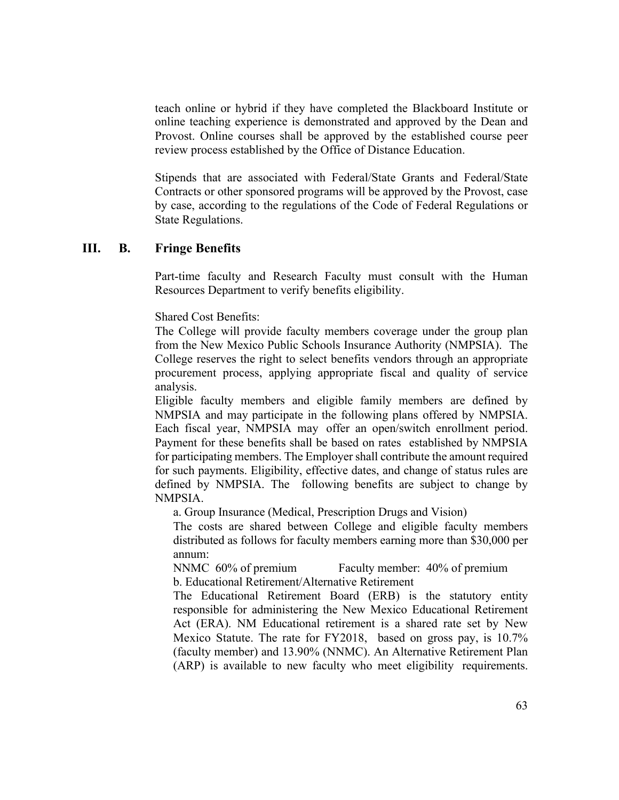teach online or hybrid if they have completed the Blackboard Institute or online teaching experience is demonstrated and approved by the Dean and Provost. Online courses shall be approved by the established course peer review process established by the Office of Distance Education.

Stipends that are associated with Federal/State Grants and Federal/State Contracts or other sponsored programs will be approved by the Provost, case by case, according to the regulations of the Code of Federal Regulations or State Regulations.

### **III. B. Fringe Benefits**

Part-time faculty and Research Faculty must consult with the Human Resources Department to verify benefits eligibility.

Shared Cost Benefits:

The College will provide faculty members coverage under the group plan from the New Mexico Public Schools Insurance Authority (NMPSIA). The College reserves the right to select benefits vendors through an appropriate procurement process, applying appropriate fiscal and quality of service analysis.

Eligible faculty members and eligible family members are defined by NMPSIA and may participate in the following plans offered by NMPSIA. Each fiscal year, NMPSIA may offer an open/switch enrollment period. Payment for these benefits shall be based on rates established by NMPSIA for participating members. The Employer shall contribute the amount required for such payments. Eligibility, effective dates, and change of status rules are defined by NMPSIA. The following benefits are subject to change by NMPSIA.

a. Group Insurance (Medical, Prescription Drugs and Vision)

The costs are shared between College and eligible faculty members distributed as follows for faculty members earning more than \$30,000 per annum:

NNMC 60% of premium Faculty member: 40% of premium b. Educational Retirement/Alternative Retirement

The Educational Retirement Board (ERB) is the statutory entity responsible for administering the New Mexico Educational Retirement Act (ERA). NM Educational retirement is a shared rate set by New Mexico Statute. The rate for FY2018, based on gross pay, is 10.7% (faculty member) and 13.90% (NNMC). An Alternative Retirement Plan (ARP) is available to new faculty who meet eligibility requirements.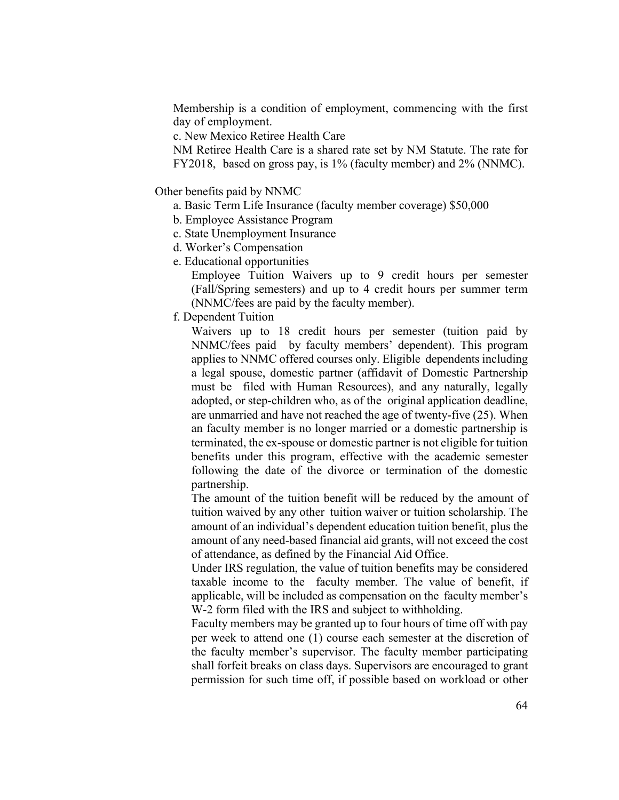Membership is a condition of employment, commencing with the first day of employment.

c. New Mexico Retiree Health Care

NM Retiree Health Care is a shared rate set by NM Statute. The rate for FY2018, based on gross pay, is 1% (faculty member) and 2% (NNMC).

Other benefits paid by NNMC

- a. Basic Term Life Insurance (faculty member coverage) \$50,000
- b. Employee Assistance Program
- c. State Unemployment Insurance
- d. Worker's Compensation
- e. Educational opportunities

Employee Tuition Waivers up to 9 credit hours per semester (Fall/Spring semesters) and up to 4 credit hours per summer term (NNMC/fees are paid by the faculty member).

f. Dependent Tuition

Waivers up to 18 credit hours per semester (tuition paid by NNMC/fees paid by faculty members' dependent). This program applies to NNMC offered courses only. Eligible dependents including a legal spouse, domestic partner (affidavit of Domestic Partnership must be filed with Human Resources), and any naturally, legally adopted, or step-children who, as of the original application deadline, are unmarried and have not reached the age of twenty-five (25). When an faculty member is no longer married or a domestic partnership is terminated, the ex-spouse or domestic partner is not eligible for tuition benefits under this program, effective with the academic semester following the date of the divorce or termination of the domestic partnership.

The amount of the tuition benefit will be reduced by the amount of tuition waived by any other tuition waiver or tuition scholarship. The amount of an individual's dependent education tuition benefit, plus the amount of any need-based financial aid grants, will not exceed the cost of attendance, as defined by the Financial Aid Office.

Under IRS regulation, the value of tuition benefits may be considered taxable income to the faculty member. The value of benefit, if applicable, will be included as compensation on the faculty member's W-2 form filed with the IRS and subject to withholding.

Faculty members may be granted up to four hours of time off with pay per week to attend one (1) course each semester at the discretion of the faculty member's supervisor. The faculty member participating shall forfeit breaks on class days. Supervisors are encouraged to grant permission for such time off, if possible based on workload or other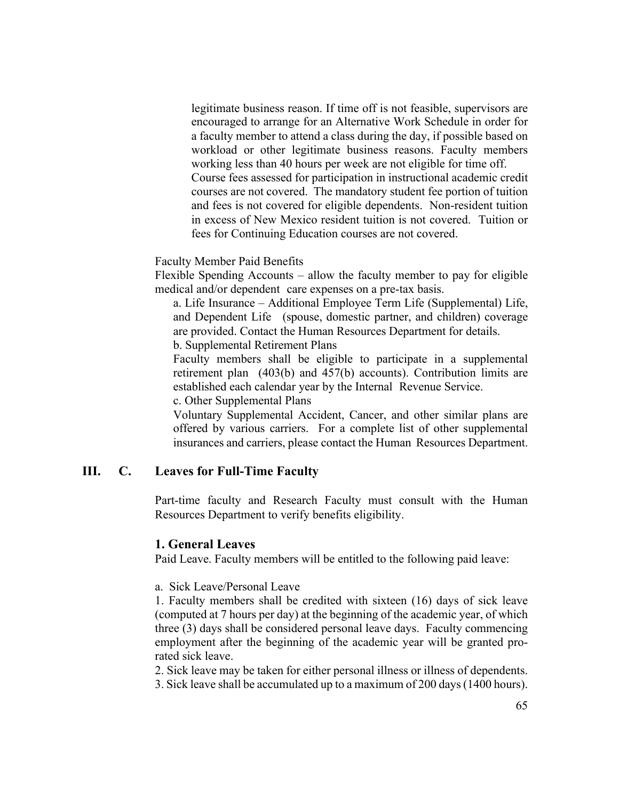legitimate business reason. If time off is not feasible, supervisors are encouraged to arrange for an Alternative Work Schedule in order for a faculty member to attend a class during the day, if possible based on workload or other legitimate business reasons. Faculty members working less than 40 hours per week are not eligible for time off. Course fees assessed for participation in instructional academic credit courses are not covered. The mandatory student fee portion of tuition and fees is not covered for eligible dependents. Non-resident tuition in excess of New Mexico resident tuition is not covered. Tuition or fees for Continuing Education courses are not covered.

Faculty Member Paid Benefits

Flexible Spending Accounts – allow the faculty member to pay for eligible medical and/or dependent care expenses on a pre-tax basis.

a. Life Insurance – Additional Employee Term Life (Supplemental) Life, and Dependent Life (spouse, domestic partner, and children) coverage are provided. Contact the Human Resources Department for details. b. Supplemental Retirement Plans

Faculty members shall be eligible to participate in a supplemental retirement plan (403(b) and 457(b) accounts). Contribution limits are established each calendar year by the Internal Revenue Service.

c. Other Supplemental Plans

Voluntary Supplemental Accident, Cancer, and other similar plans are offered by various carriers. For a complete list of other supplemental insurances and carriers, please contact the Human Resources Department.

## **III. C. Leaves for Full-Time Faculty**

Part-time faculty and Research Faculty must consult with the Human Resources Department to verify benefits eligibility.

### **1. General Leaves**

Paid Leave. Faculty members will be entitled to the following paid leave:

a. Sick Leave/Personal Leave

1. Faculty members shall be credited with sixteen (16) days of sick leave (computed at 7 hours per day) at the beginning of the academic year, of which three (3) days shall be considered personal leave days. Faculty commencing employment after the beginning of the academic year will be granted prorated sick leave.

2. Sick leave may be taken for either personal illness or illness of dependents. 3. Sick leave shall be accumulated up to a maximum of 200 days (1400 hours).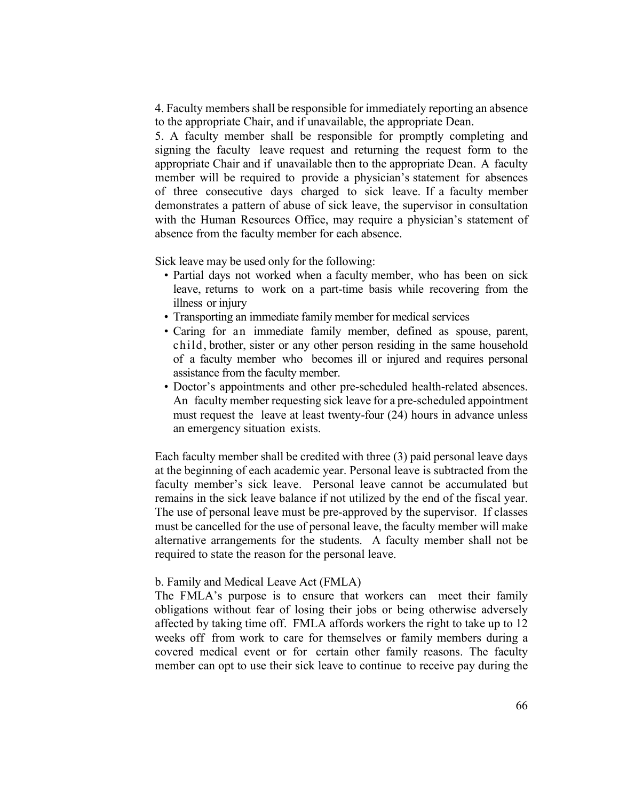4. Faculty members shall be responsible for immediately reporting an absence to the appropriate Chair, and if unavailable, the appropriate Dean.

5. A faculty member shall be responsible for promptly completing and signing the faculty leave request and returning the request form to the appropriate Chair and if unavailable then to the appropriate Dean. A faculty member will be required to provide a physician's statement for absences of three consecutive days charged to sick leave. If a faculty member demonstrates a pattern of abuse of sick leave, the supervisor in consultation with the Human Resources Office, may require a physician's statement of absence from the faculty member for each absence.

Sick leave may be used only for the following:

- Partial days not worked when a faculty member, who has been on sick leave, returns to work on a part-time basis while recovering from the illness or injury
- Transporting an immediate family member for medical services
- Caring for an immediate family member, defined as spouse, parent, child, brother, sister or any other person residing in the same household of a faculty member who becomes ill or injured and requires personal assistance from the faculty member.
- Doctor's appointments and other pre-scheduled health-related absences. An faculty member requesting sick leave for a pre-scheduled appointment must request the leave at least twenty-four (24) hours in advance unless an emergency situation exists.

Each faculty member shall be credited with three (3) paid personal leave days at the beginning of each academic year. Personal leave is subtracted from the faculty member's sick leave. Personal leave cannot be accumulated but remains in the sick leave balance if not utilized by the end of the fiscal year. The use of personal leave must be pre-approved by the supervisor. If classes must be cancelled for the use of personal leave, the faculty member will make alternative arrangements for the students. A faculty member shall not be required to state the reason for the personal leave.

#### b. Family and Medical Leave Act (FMLA)

The FMLA's purpose is to ensure that workers can meet their family obligations without fear of losing their jobs or being otherwise adversely affected by taking time off. FMLA affords workers the right to take up to 12 weeks off from work to care for themselves or family members during a covered medical event or for certain other family reasons. The faculty member can opt to use their sick leave to continue to receive pay during the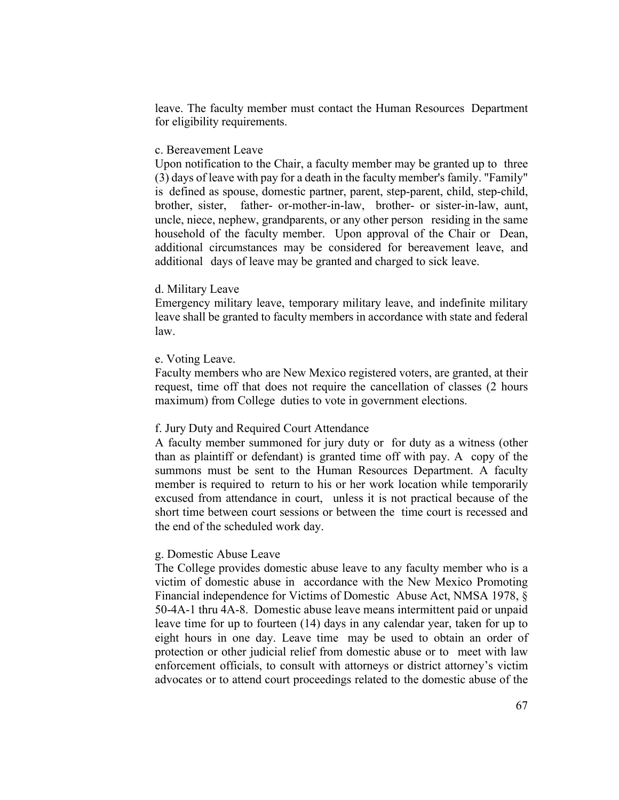leave. The faculty member must contact the Human Resources Department for eligibility requirements.

### c. Bereavement Leave

Upon notification to the Chair, a faculty member may be granted up to three (3) days of leave with pay for a death in the faculty member's family. "Family" is defined as spouse, domestic partner, parent, step-parent, child, step-child, brother, sister, father- or-mother-in-law, brother- or sister-in-law, aunt, uncle, niece, nephew, grandparents, or any other person residing in the same household of the faculty member. Upon approval of the Chair or Dean, additional circumstances may be considered for bereavement leave, and additional days of leave may be granted and charged to sick leave.

### d. Military Leave

Emergency military leave, temporary military leave, and indefinite military leave shall be granted to faculty members in accordance with state and federal law.

#### e. Voting Leave.

Faculty members who are New Mexico registered voters, are granted, at their request, time off that does not require the cancellation of classes (2 hours maximum) from College duties to vote in government elections.

### f. Jury Duty and Required Court Attendance

A faculty member summoned for jury duty or for duty as a witness (other than as plaintiff or defendant) is granted time off with pay. A copy of the summons must be sent to the Human Resources Department. A faculty member is required to return to his or her work location while temporarily excused from attendance in court, unless it is not practical because of the short time between court sessions or between the time court is recessed and the end of the scheduled work day.

### g. Domestic Abuse Leave

The College provides domestic abuse leave to any faculty member who is a victim of domestic abuse in accordance with the New Mexico Promoting Financial independence for Victims of Domestic Abuse Act, NMSA 1978, § 50-4A-1 thru 4A-8. Domestic abuse leave means intermittent paid or unpaid leave time for up to fourteen (14) days in any calendar year, taken for up to eight hours in one day. Leave time may be used to obtain an order of protection or other judicial relief from domestic abuse or to meet with law enforcement officials, to consult with attorneys or district attorney's victim advocates or to attend court proceedings related to the domestic abuse of the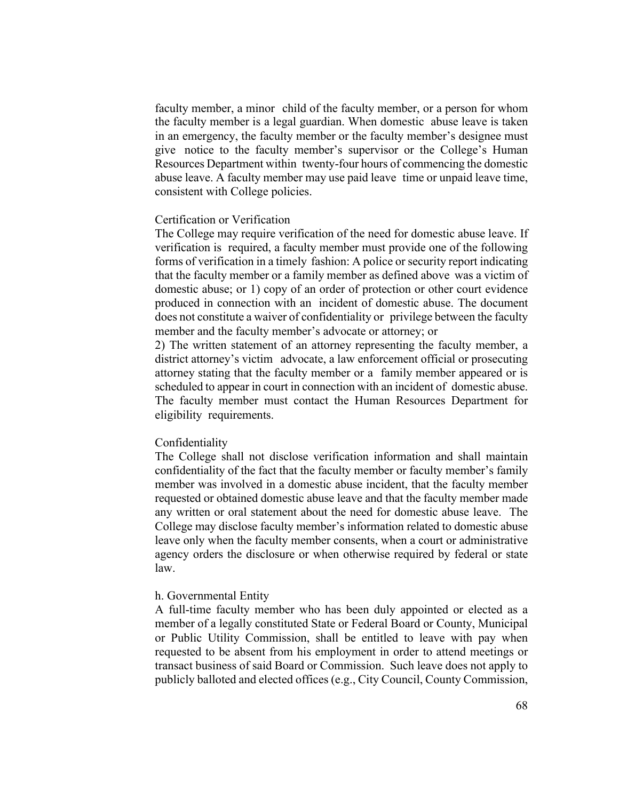faculty member, a minor child of the faculty member, or a person for whom the faculty member is a legal guardian. When domestic abuse leave is taken in an emergency, the faculty member or the faculty member's designee must give notice to the faculty member's supervisor or the College's Human Resources Department within twenty-four hours of commencing the domestic abuse leave. A faculty member may use paid leave time or unpaid leave time, consistent with College policies.

### Certification or Verification

The College may require verification of the need for domestic abuse leave. If verification is required, a faculty member must provide one of the following forms of verification in a timely fashion: A police or security report indicating that the faculty member or a family member as defined above was a victim of domestic abuse; or 1) copy of an order of protection or other court evidence produced in connection with an incident of domestic abuse. The document does not constitute a waiver of confidentiality or privilege between the faculty member and the faculty member's advocate or attorney; or

2) The written statement of an attorney representing the faculty member, a district attorney's victim advocate, a law enforcement official or prosecuting attorney stating that the faculty member or a family member appeared or is scheduled to appear in court in connection with an incident of domestic abuse. The faculty member must contact the Human Resources Department for eligibility requirements.

#### Confidentiality

The College shall not disclose verification information and shall maintain confidentiality of the fact that the faculty member or faculty member's family member was involved in a domestic abuse incident, that the faculty member requested or obtained domestic abuse leave and that the faculty member made any written or oral statement about the need for domestic abuse leave. The College may disclose faculty member's information related to domestic abuse leave only when the faculty member consents, when a court or administrative agency orders the disclosure or when otherwise required by federal or state law.

### h. Governmental Entity

A full-time faculty member who has been duly appointed or elected as a member of a legally constituted State or Federal Board or County, Municipal or Public Utility Commission, shall be entitled to leave with pay when requested to be absent from his employment in order to attend meetings or transact business of said Board or Commission. Such leave does not apply to publicly balloted and elected offices (e.g., City Council, County Commission,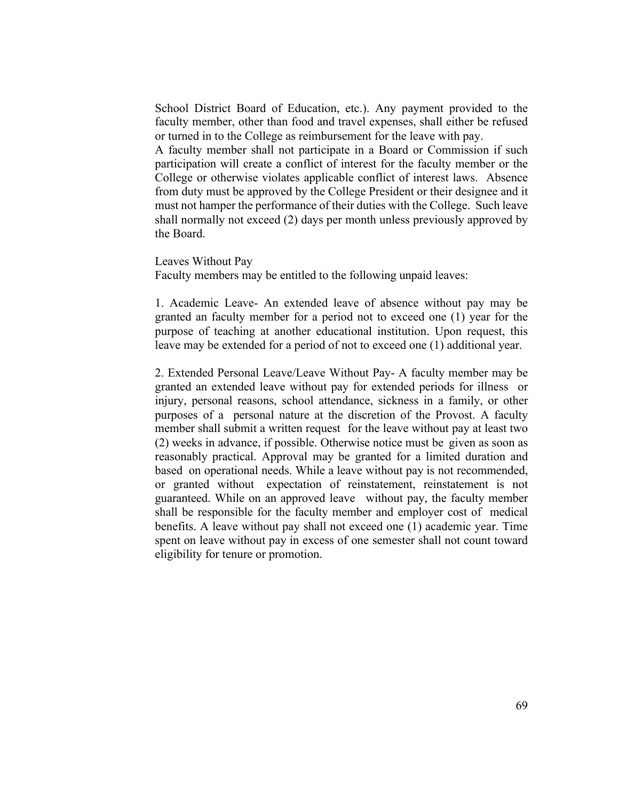School District Board of Education, etc.). Any payment provided to the faculty member, other than food and travel expenses, shall either be refused or turned in to the College as reimbursement for the leave with pay.

A faculty member shall not participate in a Board or Commission if such participation will create a conflict of interest for the faculty member or the College or otherwise violates applicable conflict of interest laws. Absence from duty must be approved by the College President or their designee and it must not hamper the performance of their duties with the College. Such leave shall normally not exceed (2) days per month unless previously approved by the Board.

Leaves Without Pay

Faculty members may be entitled to the following unpaid leaves:

1. Academic Leave- An extended leave of absence without pay may be granted an faculty member for a period not to exceed one (1) year for the purpose of teaching at another educational institution. Upon request, this leave may be extended for a period of not to exceed one (1) additional year.

2. Extended Personal Leave/Leave Without Pay- A faculty member may be granted an extended leave without pay for extended periods for illness or injury, personal reasons, school attendance, sickness in a family, or other purposes of a personal nature at the discretion of the Provost. A faculty member shall submit a written request for the leave without pay at least two (2) weeks in advance, if possible. Otherwise notice must be given as soon as reasonably practical. Approval may be granted for a limited duration and based on operational needs. While a leave without pay is not recommended, or granted without expectation of reinstatement, reinstatement is not guaranteed. While on an approved leave without pay, the faculty member shall be responsible for the faculty member and employer cost of medical benefits. A leave without pay shall not exceed one (1) academic year. Time spent on leave without pay in excess of one semester shall not count toward eligibility for tenure or promotion.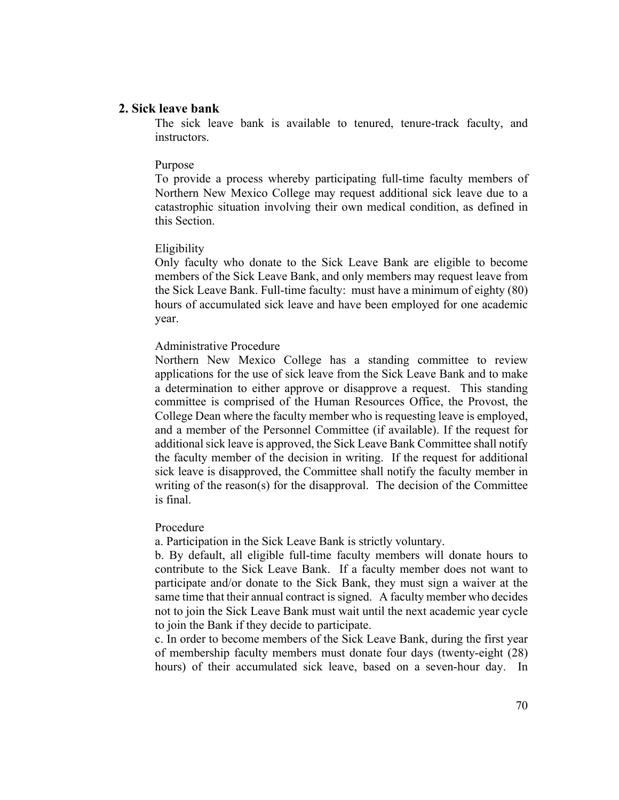### **2. Sick leave bank**

The sick leave bank is available to tenured, tenure-track faculty, and instructors.

#### Purpose

To provide a process whereby participating full-time faculty members of Northern New Mexico College may request additional sick leave due to a catastrophic situation involving their own medical condition, as defined in this Section.

#### Eligibility

Only faculty who donate to the Sick Leave Bank are eligible to become members of the Sick Leave Bank, and only members may request leave from the Sick Leave Bank. Full-time faculty: must have a minimum of eighty (80) hours of accumulated sick leave and have been employed for one academic year.

### Administrative Procedure

Northern New Mexico College has a standing committee to review applications for the use of sick leave from the Sick Leave Bank and to make a determination to either approve or disapprove a request. This standing committee is comprised of the Human Resources Office, the Provost, the College Dean where the faculty member who is requesting leave is employed, and a member of the Personnel Committee (if available). If the request for additional sick leave is approved, the Sick Leave Bank Committee shall notify the faculty member of the decision in writing. If the request for additional sick leave is disapproved, the Committee shall notify the faculty member in writing of the reason(s) for the disapproval. The decision of the Committee is final.

### Procedure

a. Participation in the Sick Leave Bank is strictly voluntary.

b. By default, all eligible full-time faculty members will donate hours to contribute to the Sick Leave Bank. If a faculty member does not want to participate and/or donate to the Sick Bank, they must sign a waiver at the same time that their annual contract is signed. A faculty member who decides not to join the Sick Leave Bank must wait until the next academic year cycle to join the Bank if they decide to participate.

c. In order to become members of the Sick Leave Bank, during the first year of membership faculty members must donate four days (twenty-eight (28) hours) of their accumulated sick leave, based on a seven-hour day. In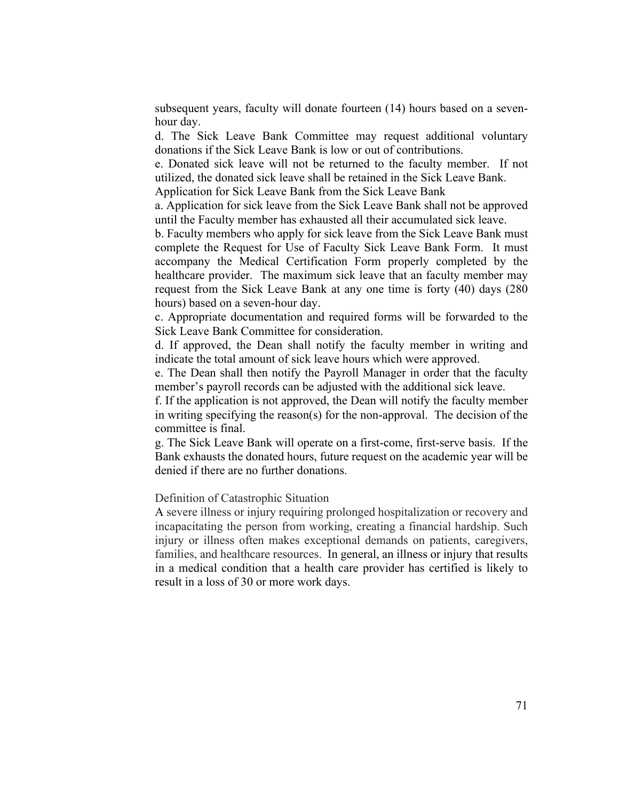subsequent years, faculty will donate fourteen (14) hours based on a sevenhour day.

d. The Sick Leave Bank Committee may request additional voluntary donations if the Sick Leave Bank is low or out of contributions.

e. Donated sick leave will not be returned to the faculty member. If not utilized, the donated sick leave shall be retained in the Sick Leave Bank.

Application for Sick Leave Bank from the Sick Leave Bank

a. Application for sick leave from the Sick Leave Bank shall not be approved until the Faculty member has exhausted all their accumulated sick leave.

b. Faculty members who apply for sick leave from the Sick Leave Bank must complete the Request for Use of Faculty Sick Leave Bank Form. It must accompany the Medical Certification Form properly completed by the healthcare provider. The maximum sick leave that an faculty member may request from the Sick Leave Bank at any one time is forty (40) days (280 hours) based on a seven-hour day.

c. Appropriate documentation and required forms will be forwarded to the Sick Leave Bank Committee for consideration.

d. If approved, the Dean shall notify the faculty member in writing and indicate the total amount of sick leave hours which were approved.

e. The Dean shall then notify the Payroll Manager in order that the faculty member's payroll records can be adjusted with the additional sick leave.

f. If the application is not approved, the Dean will notify the faculty member in writing specifying the reason(s) for the non-approval. The decision of the committee is final.

g. The Sick Leave Bank will operate on a first-come, first-serve basis. If the Bank exhausts the donated hours, future request on the academic year will be denied if there are no further donations.

Definition of Catastrophic Situation

A severe illness or injury requiring prolonged hospitalization or recovery and incapacitating the person from working, creating a financial hardship. Such injury or illness often makes exceptional demands on patients, caregivers, families, and healthcare resources. In general, an illness or injury that results in a medical condition that a health care provider has certified is likely to result in a loss of 30 or more work days.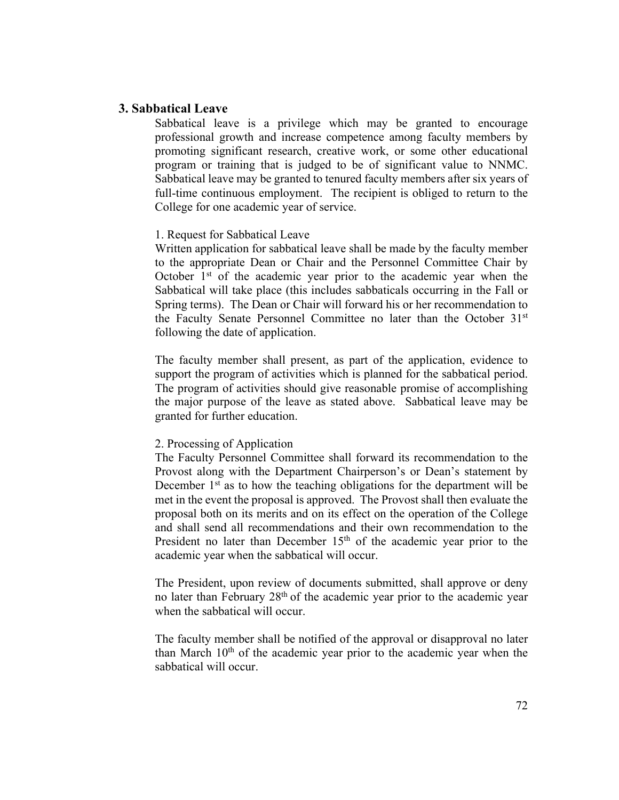### **3. Sabbatical Leave**

Sabbatical leave is a privilege which may be granted to encourage professional growth and increase competence among faculty members by promoting significant research, creative work, or some other educational program or training that is judged to be of significant value to NNMC. Sabbatical leave may be granted to tenured faculty members after six years of full-time continuous employment. The recipient is obliged to return to the College for one academic year of service.

### 1. Request for Sabbatical Leave

Written application for sabbatical leave shall be made by the faculty member to the appropriate Dean or Chair and the Personnel Committee Chair by October  $1<sup>st</sup>$  of the academic year prior to the academic year when the Sabbatical will take place (this includes sabbaticals occurring in the Fall or Spring terms). The Dean or Chair will forward his or her recommendation to the Faculty Senate Personnel Committee no later than the October 31st following the date of application.

The faculty member shall present, as part of the application, evidence to support the program of activities which is planned for the sabbatical period. The program of activities should give reasonable promise of accomplishing the major purpose of the leave as stated above. Sabbatical leave may be granted for further education.

### 2. Processing of Application

The Faculty Personnel Committee shall forward its recommendation to the Provost along with the Department Chairperson's or Dean's statement by December  $1<sup>st</sup>$  as to how the teaching obligations for the department will be met in the event the proposal is approved. The Provost shall then evaluate the proposal both on its merits and on its effect on the operation of the College and shall send all recommendations and their own recommendation to the President no later than December 15<sup>th</sup> of the academic year prior to the academic year when the sabbatical will occur.

The President, upon review of documents submitted, shall approve or deny no later than February 28<sup>th</sup> of the academic year prior to the academic year when the sabbatical will occur.

The faculty member shall be notified of the approval or disapproval no later than March  $10<sup>th</sup>$  of the academic year prior to the academic year when the sabbatical will occur.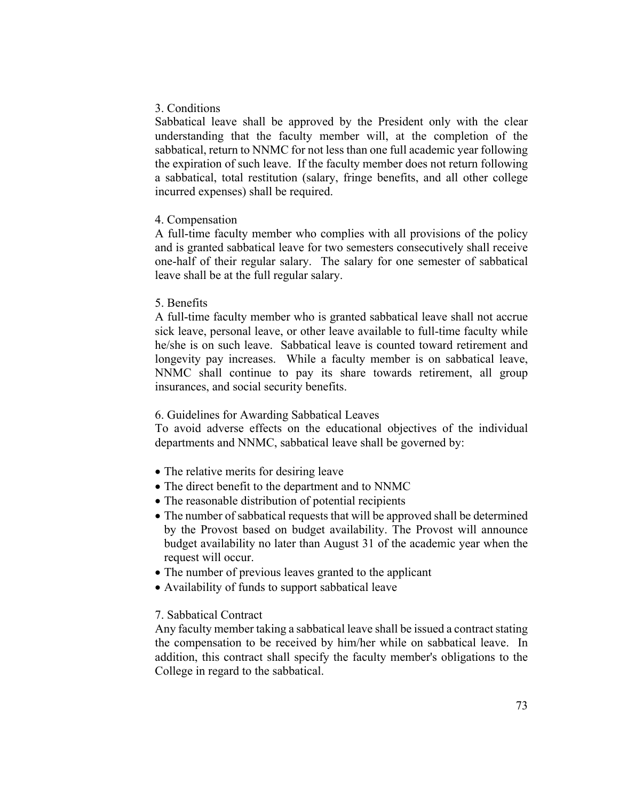### 3. Conditions

Sabbatical leave shall be approved by the President only with the clear understanding that the faculty member will, at the completion of the sabbatical, return to NNMC for not less than one full academic year following the expiration of such leave. If the faculty member does not return following a sabbatical, total restitution (salary, fringe benefits, and all other college incurred expenses) shall be required.

#### 4. Compensation

A full-time faculty member who complies with all provisions of the policy and is granted sabbatical leave for two semesters consecutively shall receive one-half of their regular salary. The salary for one semester of sabbatical leave shall be at the full regular salary.

### 5. Benefits

A full-time faculty member who is granted sabbatical leave shall not accrue sick leave, personal leave, or other leave available to full-time faculty while he/she is on such leave. Sabbatical leave is counted toward retirement and longevity pay increases. While a faculty member is on sabbatical leave, NNMC shall continue to pay its share towards retirement, all group insurances, and social security benefits.

### 6. Guidelines for Awarding Sabbatical Leaves

To avoid adverse effects on the educational objectives of the individual departments and NNMC, sabbatical leave shall be governed by:

- The relative merits for desiring leave
- The direct benefit to the department and to NNMC
- The reasonable distribution of potential recipients
- The number of sabbatical requests that will be approved shall be determined by the Provost based on budget availability. The Provost will announce budget availability no later than August 31 of the academic year when the request will occur.
- The number of previous leaves granted to the applicant
- Availability of funds to support sabbatical leave

### 7. Sabbatical Contract

Any faculty member taking a sabbatical leave shall be issued a contract stating the compensation to be received by him/her while on sabbatical leave. In addition, this contract shall specify the faculty member's obligations to the College in regard to the sabbatical.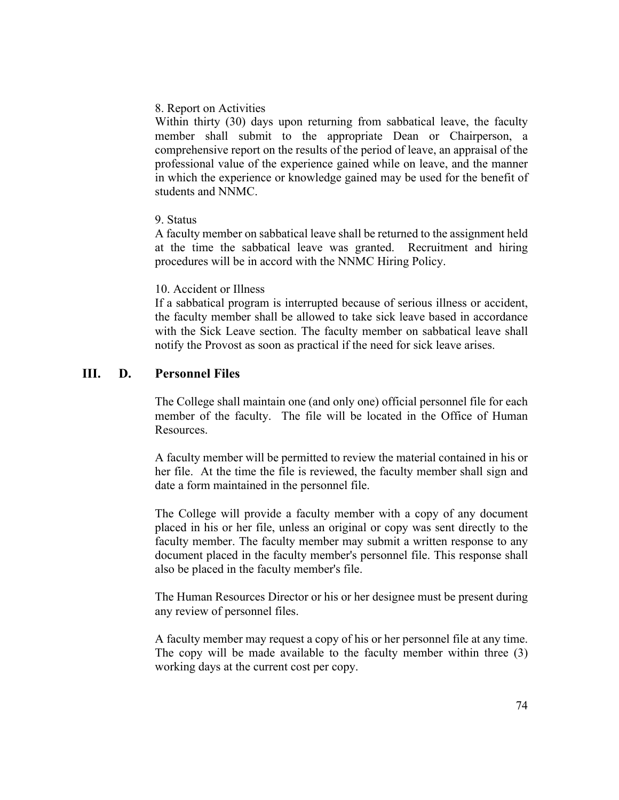### 8. Report on Activities

Within thirty (30) days upon returning from sabbatical leave, the faculty member shall submit to the appropriate Dean or Chairperson, a comprehensive report on the results of the period of leave, an appraisal of the professional value of the experience gained while on leave, and the manner in which the experience or knowledge gained may be used for the benefit of students and NNMC.

#### 9. Status

A faculty member on sabbatical leave shall be returned to the assignment held at the time the sabbatical leave was granted. Recruitment and hiring procedures will be in accord with the NNMC Hiring Policy.

#### 10. Accident or Illness

If a sabbatical program is interrupted because of serious illness or accident, the faculty member shall be allowed to take sick leave based in accordance with the Sick Leave section. The faculty member on sabbatical leave shall notify the Provost as soon as practical if the need for sick leave arises.

## **III. D. Personnel Files**

The College shall maintain one (and only one) official personnel file for each member of the faculty. The file will be located in the Office of Human Resources.

A faculty member will be permitted to review the material contained in his or her file. At the time the file is reviewed, the faculty member shall sign and date a form maintained in the personnel file.

The College will provide a faculty member with a copy of any document placed in his or her file, unless an original or copy was sent directly to the faculty member. The faculty member may submit a written response to any document placed in the faculty member's personnel file. This response shall also be placed in the faculty member's file.

The Human Resources Director or his or her designee must be present during any review of personnel files.

A faculty member may request a copy of his or her personnel file at any time. The copy will be made available to the faculty member within three (3) working days at the current cost per copy.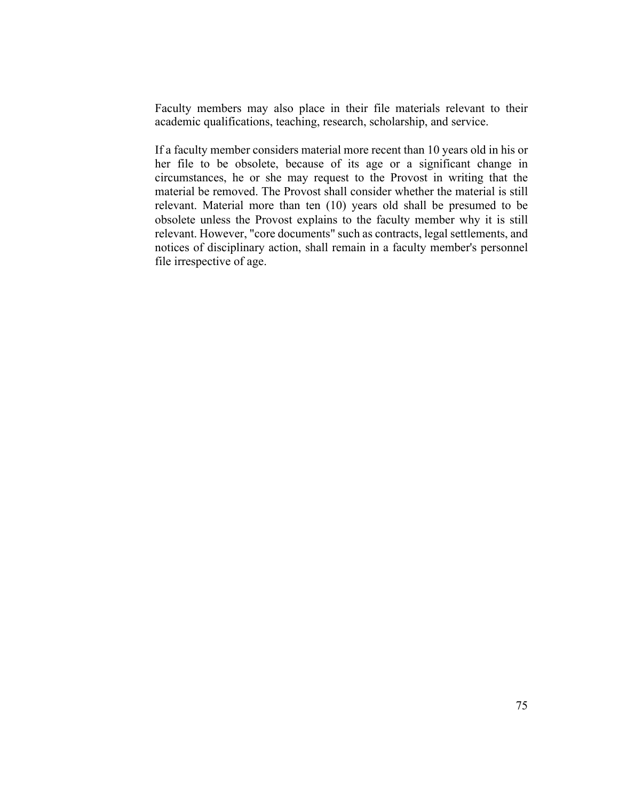Faculty members may also place in their file materials relevant to their academic qualifications, teaching, research, scholarship, and service.

If a faculty member considers material more recent than 10 years old in his or her file to be obsolete, because of its age or a significant change in circumstances, he or she may request to the Provost in writing that the material be removed. The Provost shall consider whether the material is still relevant. Material more than ten (10) years old shall be presumed to be obsolete unless the Provost explains to the faculty member why it is still relevant. However, "core documents" such as contracts, legal settlements, and notices of disciplinary action, shall remain in a faculty member's personnel file irrespective of age.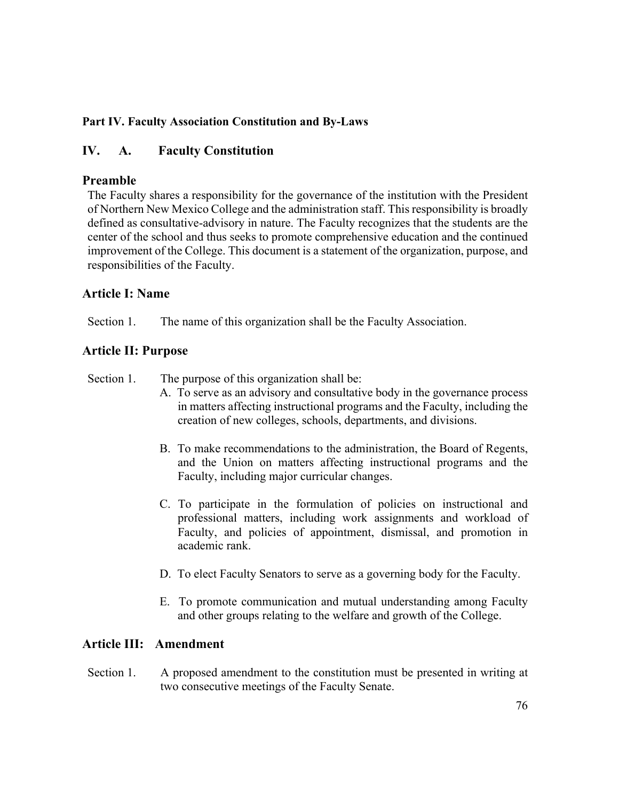## **Part IV. Faculty Association Constitution and By-Laws**

# **IV. A. Faculty Constitution**

## **Preamble**

The Faculty shares a responsibility for the governance of the institution with the President of Northern New Mexico College and the administration staff. This responsibility is broadly defined as consultative-advisory in nature. The Faculty recognizes that the students are the center of the school and thus seeks to promote comprehensive education and the continued improvement of the College. This document is a statement of the organization, purpose, and responsibilities of the Faculty.

## **Article I: Name**

Section 1. The name of this organization shall be the Faculty Association.

## **Article II: Purpose**

Section 1. The purpose of this organization shall be:

- A. To serve as an advisory and consultative body in the governance process in matters affecting instructional programs and the Faculty, including the creation of new colleges, schools, departments, and divisions.
- B. To make recommendations to the administration, the Board of Regents, and the Union on matters affecting instructional programs and the Faculty, including major curricular changes.
- C. To participate in the formulation of policies on instructional and professional matters, including work assignments and workload of Faculty, and policies of appointment, dismissal, and promotion in academic rank.
- D. To elect Faculty Senators to serve as a governing body for the Faculty.
- E. To promote communication and mutual understanding among Faculty and other groups relating to the welfare and growth of the College.

# **Article III: Amendment**

Section 1. A proposed amendment to the constitution must be presented in writing at two consecutive meetings of the Faculty Senate.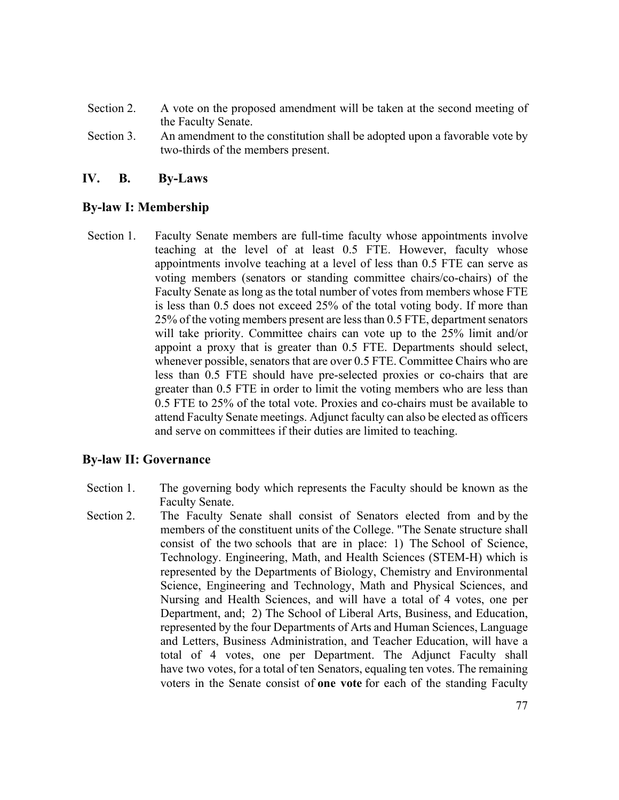- Section 2. A vote on the proposed amendment will be taken at the second meeting of the Faculty Senate.
- Section 3. An amendment to the constitution shall be adopted upon a favorable vote by two-thirds of the members present.

## **IV. B. By-Laws**

## **By-law I: Membership**

Section 1. Faculty Senate members are full-time faculty whose appointments involve teaching at the level of at least 0.5 FTE. However, faculty whose appointments involve teaching at a level of less than 0.5 FTE can serve as voting members (senators or standing committee chairs/co-chairs) of the Faculty Senate as long as the total number of votes from members whose FTE is less than 0.5 does not exceed 25% of the total voting body. If more than 25% of the voting members present are less than 0.5 FTE, department senators will take priority. Committee chairs can vote up to the 25% limit and/or appoint a proxy that is greater than 0.5 FTE. Departments should select, whenever possible, senators that are over 0.5 FTE. Committee Chairs who are less than 0.5 FTE should have pre-selected proxies or co-chairs that are greater than 0.5 FTE in order to limit the voting members who are less than 0.5 FTE to 25% of the total vote. Proxies and co-chairs must be available to attend Faculty Senate meetings. Adjunct faculty can also be elected as officers and serve on committees if their duties are limited to teaching.

### **By-law II: Governance**

- Section 1. The governing body which represents the Faculty should be known as the Faculty Senate.
- Section 2. The Faculty Senate shall consist of Senators elected from and by the members of the constituent units of the College. "The Senate structure shall consist of the two schools that are in place: 1) The School of Science, Technology. Engineering, Math, and Health Sciences (STEM-H) which is represented by the Departments of Biology, Chemistry and Environmental Science, Engineering and Technology, Math and Physical Sciences, and Nursing and Health Sciences, and will have a total of 4 votes, one per Department, and; 2) The School of Liberal Arts, Business, and Education, represented by the four Departments of Arts and Human Sciences, Language and Letters, Business Administration, and Teacher Education, will have a total of 4 votes, one per Department. The Adjunct Faculty shall have two votes, for a total of ten Senators, equaling ten votes. The remaining voters in the Senate consist of **one vote** for each of the standing Faculty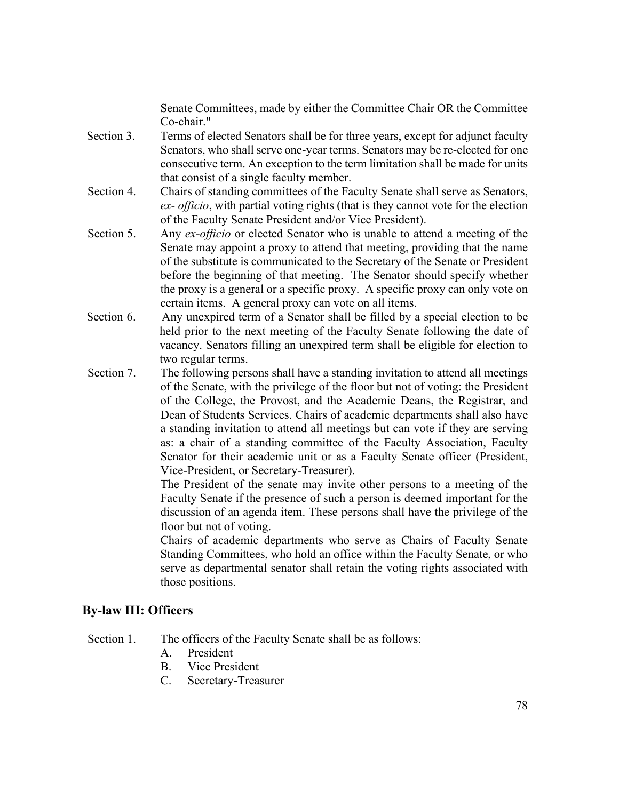Senate Committees, made by either the Committee Chair OR the Committee Co-chair."

- Section 3. Terms of elected Senators shall be for three years, except for adjunct faculty Senators, who shall serve one-year terms. Senators may be re-elected for one consecutive term. An exception to the term limitation shall be made for units that consist of a single faculty member.
- Section 4. Chairs of standing committees of the Faculty Senate shall serve as Senators, *ex- officio*, with partial voting rights (that is they cannot vote for the election of the Faculty Senate President and/or Vice President).
- Section 5. Any *ex-officio* or elected Senator who is unable to attend a meeting of the Senate may appoint a proxy to attend that meeting, providing that the name of the substitute is communicated to the Secretary of the Senate or President before the beginning of that meeting. The Senator should specify whether the proxy is a general or a specific proxy. A specific proxy can only vote on certain items. A general proxy can vote on all items.
- Section 6. Any unexpired term of a Senator shall be filled by a special election to be held prior to the next meeting of the Faculty Senate following the date of vacancy. Senators filling an unexpired term shall be eligible for election to two regular terms.
- Section 7. The following persons shall have a standing invitation to attend all meetings of the Senate, with the privilege of the floor but not of voting: the President of the College, the Provost, and the Academic Deans, the Registrar, and Dean of Students Services. Chairs of academic departments shall also have a standing invitation to attend all meetings but can vote if they are serving as: a chair of a standing committee of the Faculty Association, Faculty Senator for their academic unit or as a Faculty Senate officer (President, Vice-President, or Secretary-Treasurer).

The President of the senate may invite other persons to a meeting of the Faculty Senate if the presence of such a person is deemed important for the discussion of an agenda item. These persons shall have the privilege of the floor but not of voting.

Chairs of academic departments who serve as Chairs of Faculty Senate Standing Committees, who hold an office within the Faculty Senate, or who serve as departmental senator shall retain the voting rights associated with those positions.

### **By-law III: Officers**

Section 1. The officers of the Faculty Senate shall be as follows:

- A. President
- B. Vice President
- C. Secretary-Treasurer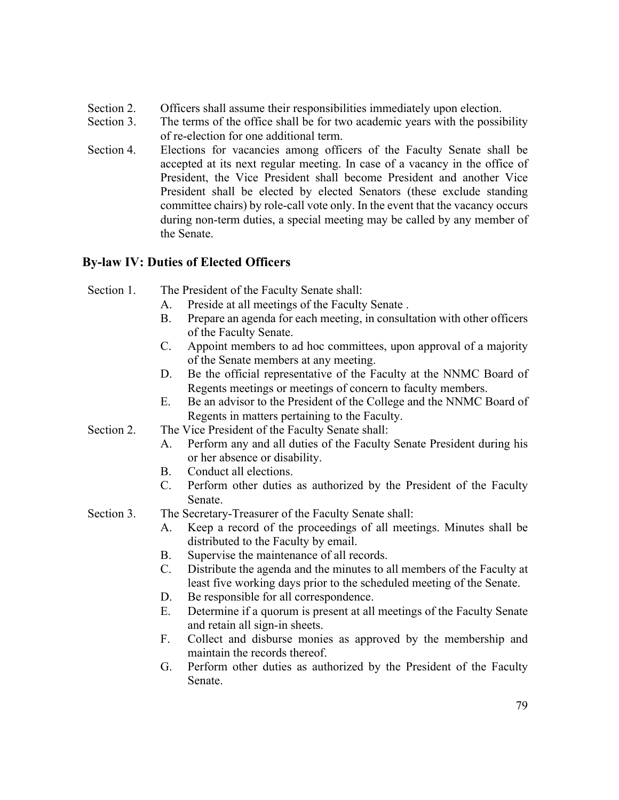- Section 2. Officers shall assume their responsibilities immediately upon election.
- Section 3. The terms of the office shall be for two academic years with the possibility of re-election for one additional term.
- Section 4. Elections for vacancies among officers of the Faculty Senate shall be accepted at its next regular meeting. In case of a vacancy in the office of President, the Vice President shall become President and another Vice President shall be elected by elected Senators (these exclude standing committee chairs) by role-call vote only. In the event that the vacancy occurs during non-term duties, a special meeting may be called by any member of the Senate.

# **By-law IV: Duties of Elected Officers**

- Section 1. The President of the Faculty Senate shall:
	- A. Preside at all meetings of the Faculty Senate .
	- B. Prepare an agenda for each meeting, in consultation with other officers of the Faculty Senate.
	- C. Appoint members to ad hoc committees, upon approval of a majority of the Senate members at any meeting.
	- D. Be the official representative of the Faculty at the NNMC Board of Regents meetings or meetings of concern to faculty members.
	- E. Be an advisor to the President of the College and the NNMC Board of Regents in matters pertaining to the Faculty.
- Section 2. The Vice President of the Faculty Senate shall:
	- A. Perform any and all duties of the Faculty Senate President during his or her absence or disability.
	- B. Conduct all elections.
	- C. Perform other duties as authorized by the President of the Faculty Senate.
- Section 3. The Secretary-Treasurer of the Faculty Senate shall:
	- A. Keep a record of the proceedings of all meetings. Minutes shall be distributed to the Faculty by email.
	- B. Supervise the maintenance of all records.
	- C. Distribute the agenda and the minutes to all members of the Faculty at least five working days prior to the scheduled meeting of the Senate.
	- D. Be responsible for all correspondence.
	- E. Determine if a quorum is present at all meetings of the Faculty Senate and retain all sign-in sheets.
	- F. Collect and disburse monies as approved by the membership and maintain the records thereof.
	- G. Perform other duties as authorized by the President of the Faculty Senate.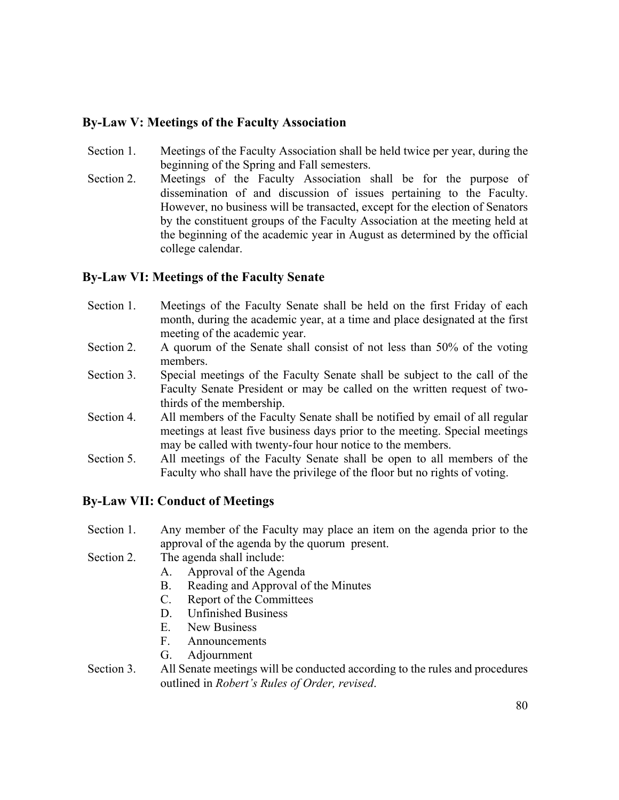# **By-Law V: Meetings of the Faculty Association**

- Section 1. Meetings of the Faculty Association shall be held twice per year, during the beginning of the Spring and Fall semesters.
- Section 2. Meetings of the Faculty Association shall be for the purpose of dissemination of and discussion of issues pertaining to the Faculty. However, no business will be transacted, except for the election of Senators by the constituent groups of the Faculty Association at the meeting held at the beginning of the academic year in August as determined by the official college calendar.

# **By-Law VI: Meetings of the Faculty Senate**

- Section 1. Meetings of the Faculty Senate shall be held on the first Friday of each month, during the academic year, at a time and place designated at the first meeting of the academic year.
- Section 2. A quorum of the Senate shall consist of not less than 50% of the voting members.
- Section 3. Special meetings of the Faculty Senate shall be subject to the call of the Faculty Senate President or may be called on the written request of twothirds of the membership.
- Section 4. All members of the Faculty Senate shall be notified by email of all regular meetings at least five business days prior to the meeting. Special meetings may be called with twenty-four hour notice to the members.
- Section 5. All meetings of the Faculty Senate shall be open to all members of the Faculty who shall have the privilege of the floor but no rights of voting.

## **By-Law VII: Conduct of Meetings**

- Section 1. Any member of the Faculty may place an item on the agenda prior to the approval of the agenda by the quorum present.
- Section 2. The agenda shall include:
	- A. Approval of the Agenda
	- B. Reading and Approval of the Minutes
	- C. Report of the Committees
	- D. Unfinished Business
	- E. New Business
	- F. Announcements
	- G. Adjournment
- Section 3. All Senate meetings will be conducted according to the rules and procedures outlined in *Robert's Rules of Order, revised*.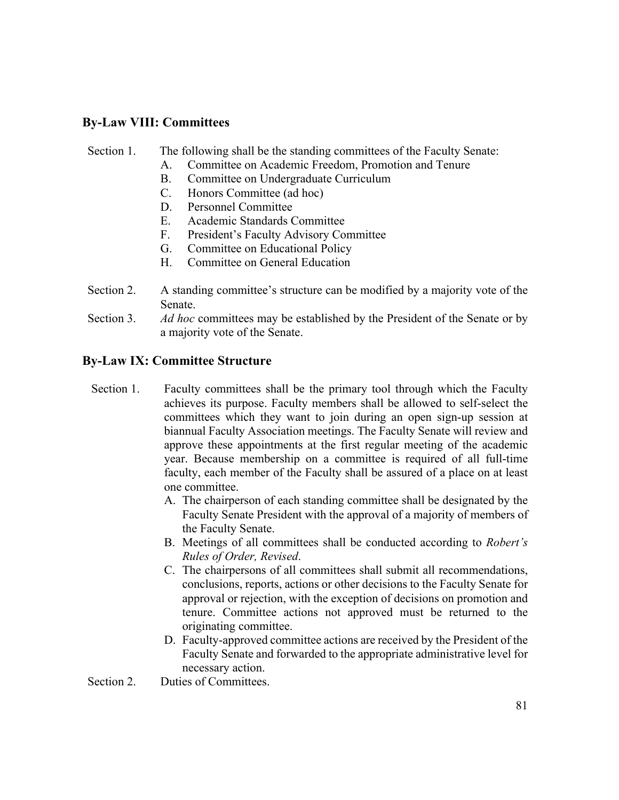## **By-Law VIII: Committees**

#### Section 1. The following shall be the standing committees of the Faculty Senate:

- A. Committee on Academic Freedom, Promotion and Tenure
- B. Committee on Undergraduate Curriculum
- C. Honors Committee (ad hoc)
- D. Personnel Committee
- E. Academic Standards Committee
- F. President's Faculty Advisory Committee
- G. Committee on Educational Policy
- H. Committee on General Education
- Section 2. A standing committee's structure can be modified by a majority vote of the Senate.
- Section 3. *Ad hoc* committees may be established by the President of the Senate or by a majority vote of the Senate.

## **By-Law IX: Committee Structure**

- Section 1. Faculty committees shall be the primary tool through which the Faculty achieves its purpose. Faculty members shall be allowed to self-select the committees which they want to join during an open sign-up session at biannual Faculty Association meetings. The Faculty Senate will review and approve these appointments at the first regular meeting of the academic year. Because membership on a committee is required of all full-time faculty, each member of the Faculty shall be assured of a place on at least one committee.
	- A. The chairperson of each standing committee shall be designated by the Faculty Senate President with the approval of a majority of members of the Faculty Senate.
	- B. Meetings of all committees shall be conducted according to *Robert's Rules of Order, Revised*.
	- C. The chairpersons of all committees shall submit all recommendations, conclusions, reports, actions or other decisions to the Faculty Senate for approval or rejection, with the exception of decisions on promotion and tenure. Committee actions not approved must be returned to the originating committee.
	- D. Faculty-approved committee actions are received by the President of the Faculty Senate and forwarded to the appropriate administrative level for necessary action.

Section 2. Duties of Committees.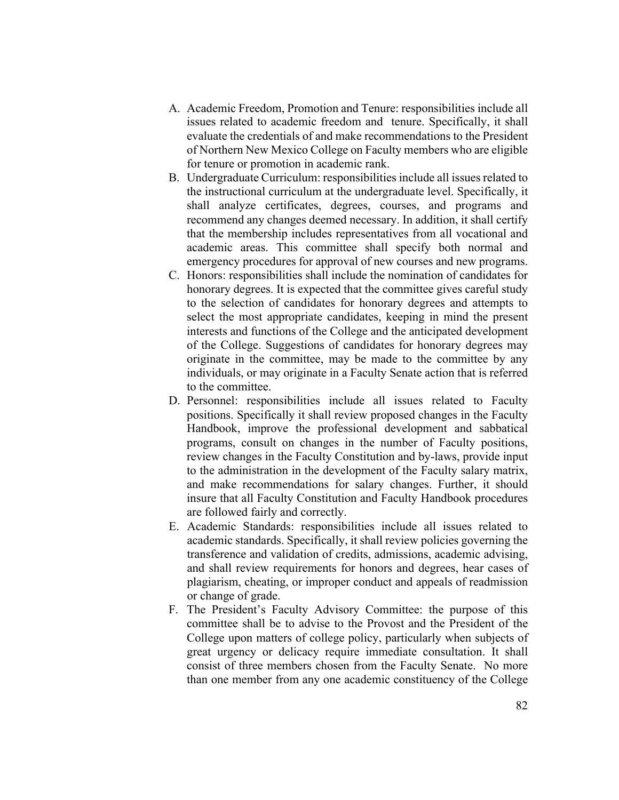- A. Academic Freedom, Promotion and Tenure: responsibilities include all issues related to academic freedom and tenure. Specifically, it shall evaluate the credentials of and make recommendations to the President of Northern New Mexico College on Faculty members who are eligible for tenure or promotion in academic rank.
- B. Undergraduate Curriculum: responsibilities include all issues related to the instructional curriculum at the undergraduate level. Specifically, it shall analyze certificates, degrees, courses, and programs and recommend any changes deemed necessary. In addition, it shall certify that the membership includes representatives from all vocational and academic areas. This committee shall specify both normal and emergency procedures for approval of new courses and new programs.
- C. Honors: responsibilities shall include the nomination of candidates for honorary degrees. It is expected that the committee gives careful study to the selection of candidates for honorary degrees and attempts to select the most appropriate candidates, keeping in mind the present interests and functions of the College and the anticipated development of the College. Suggestions of candidates for honorary degrees may originate in the committee, may be made to the committee by any individuals, or may originate in a Faculty Senate action that is referred to the committee.
- D. Personnel: responsibilities include all issues related to Faculty positions. Specifically it shall review proposed changes in the Faculty Handbook, improve the professional development and sabbatical programs, consult on changes in the number of Faculty positions, review changes in the Faculty Constitution and by-laws, provide input to the administration in the development of the Faculty salary matrix, and make recommendations for salary changes. Further, it should insure that all Faculty Constitution and Faculty Handbook procedures are followed fairly and correctly.
- E. Academic Standards: responsibilities include all issues related to academic standards. Specifically, it shall review policies governing the transference and validation of credits, admissions, academic advising, and shall review requirements for honors and degrees, hear cases of plagiarism, cheating, or improper conduct and appeals of readmission or change of grade.
- F. The President's Faculty Advisory Committee: the purpose of this committee shall be to advise to the Provost and the President of the College upon matters of college policy, particularly when subjects of great urgency or delicacy require immediate consultation. It shall consist of three members chosen from the Faculty Senate. No more than one member from any one academic constituency of the College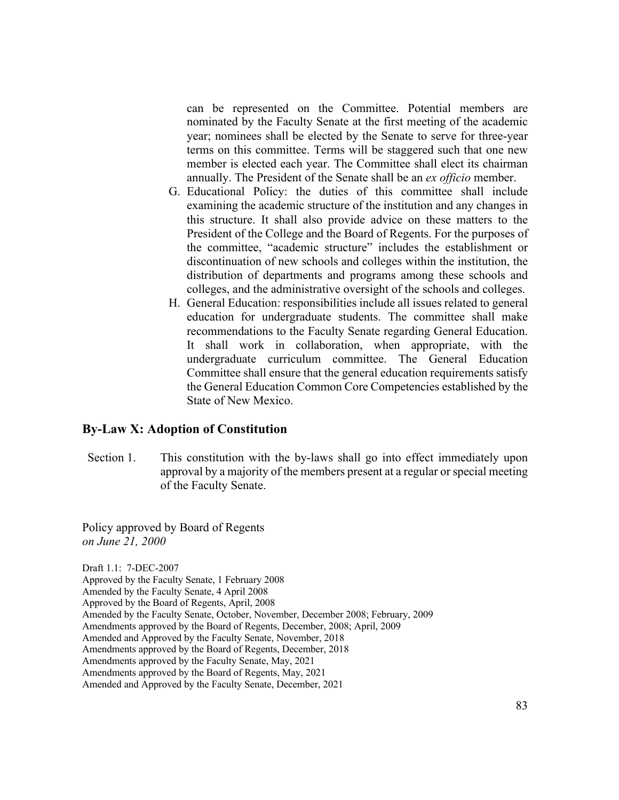can be represented on the Committee. Potential members are nominated by the Faculty Senate at the first meeting of the academic year; nominees shall be elected by the Senate to serve for three-year terms on this committee. Terms will be staggered such that one new member is elected each year. The Committee shall elect its chairman annually. The President of the Senate shall be an *ex officio* member.

- G. Educational Policy: the duties of this committee shall include examining the academic structure of the institution and any changes in this structure. It shall also provide advice on these matters to the President of the College and the Board of Regents. For the purposes of the committee, "academic structure" includes the establishment or discontinuation of new schools and colleges within the institution, the distribution of departments and programs among these schools and colleges, and the administrative oversight of the schools and colleges.
- H. General Education: responsibilities include all issues related to general education for undergraduate students. The committee shall make recommendations to the Faculty Senate regarding General Education. It shall work in collaboration, when appropriate, with the undergraduate curriculum committee. The General Education Committee shall ensure that the general education requirements satisfy the General Education Common Core Competencies established by the State of New Mexico.

#### **By-Law X: Adoption of Constitution**

Section 1. This constitution with the by-laws shall go into effect immediately upon approval by a majority of the members present at a regular or special meeting of the Faculty Senate.

Policy approved by Board of Regents *on June 21, 2000*

Draft 1.1: 7-DEC-2007 Approved by the Faculty Senate, 1 February 2008 Amended by the Faculty Senate, 4 April 2008 Approved by the Board of Regents, April, 2008 Amended by the Faculty Senate, October, November, December 2008; February, 2009 Amendments approved by the Board of Regents, December, 2008; April, 2009 Amended and Approved by the Faculty Senate, November, 2018 Amendments approved by the Board of Regents, December, 2018 Amendments approved by the Faculty Senate, May, 2021 Amendments approved by the Board of Regents, May, 2021 Amended and Approved by the Faculty Senate, December, 2021